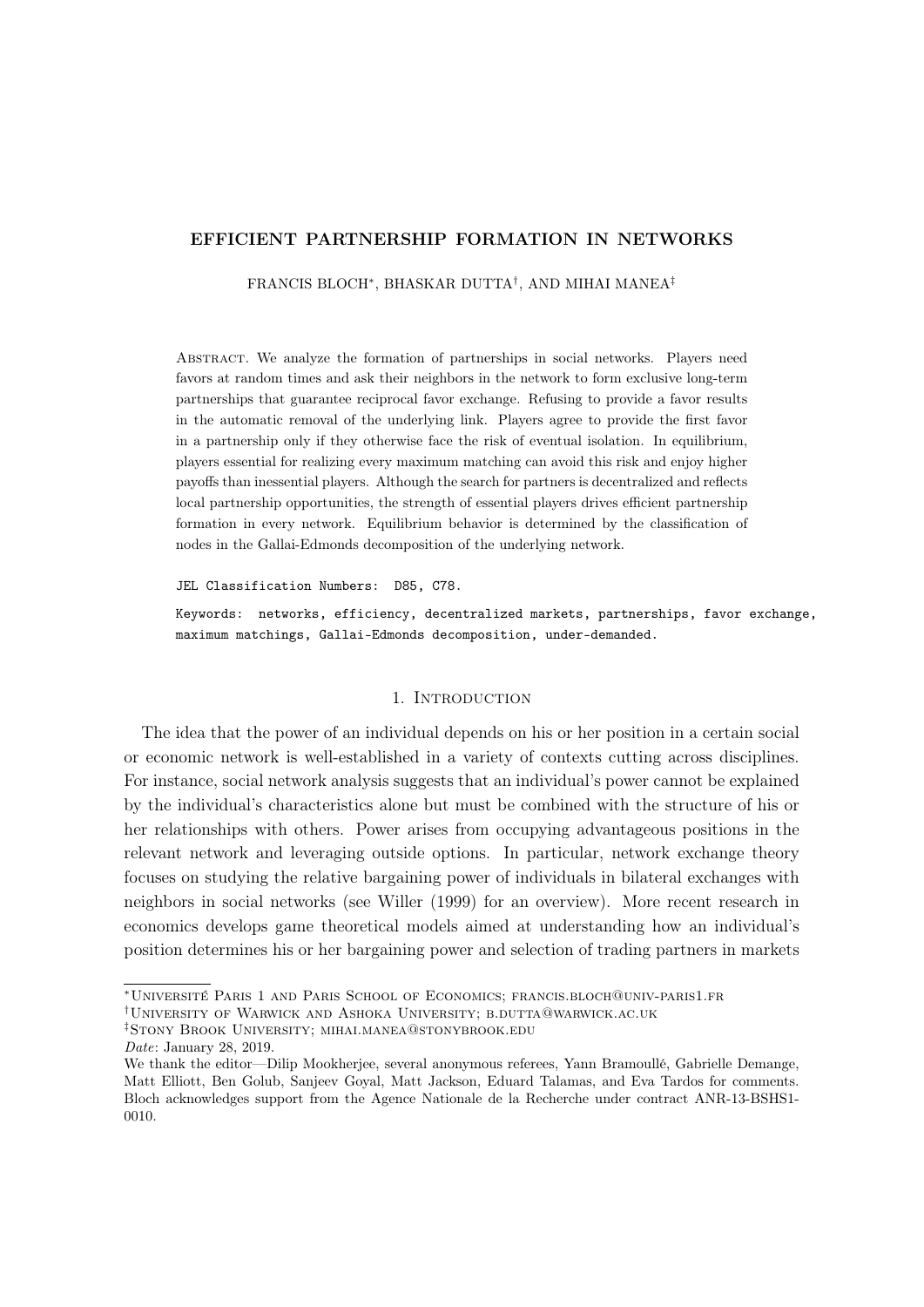### EFFICIENT PARTNERSHIP FORMATION IN NETWORKS

FRANCIS BLOCH⇤, BHASKAR DUTTA*†*, AND MIHAI MANEA*‡*

Abstract. We analyze the formation of partnerships in social networks. Players need favors at random times and ask their neighbors in the network to form exclusive long-term partnerships that guarantee reciprocal favor exchange. Refusing to provide a favor results in the automatic removal of the underlying link. Players agree to provide the first favor in a partnership only if they otherwise face the risk of eventual isolation. In equilibrium, players essential for realizing every maximum matching can avoid this risk and enjoy higher payoffs than inessential players. Although the search for partners is decentralized and reflects local partnership opportunities, the strength of essential players drives efficient partnership formation in every network. Equilibrium behavior is determined by the classification of nodes in the Gallai-Edmonds decomposition of the underlying network.

JEL Classification Numbers: D85, C78. Keywords: networks, efficiency, decentralized markets, partnerships, favor exchange, maximum matchings, Gallai-Edmonds decomposition, under-demanded.

## 1. Introduction

The idea that the power of an individual depends on his or her position in a certain social or economic network is well-established in a variety of contexts cutting across disciplines. For instance, social network analysis suggests that an individual's power cannot be explained by the individual's characteristics alone but must be combined with the structure of his or her relationships with others. Power arises from occupying advantageous positions in the relevant network and leveraging outside options. In particular, network exchange theory focuses on studying the relative bargaining power of individuals in bilateral exchanges with neighbors in social networks (see Willer (1999) for an overview). More recent research in economics develops game theoretical models aimed at understanding how an individual's position determines his or her bargaining power and selection of trading partners in markets

*‡*Stony Brook University; mihai.manea@stonybrook.edu

<sup>⇤</sup>Université Paris 1 and Paris School of Economics; francis.bloch@univ-paris1.fr

*<sup>†</sup>*University of Warwick and Ashoka University; b.dutta@warwick.ac.uk

*Date*: January 28, 2019.

We thank the editor—Dilip Mookherjee, several anonymous referees, Yann Bramoullé, Gabrielle Demange, Matt Elliott, Ben Golub, Sanjeev Goyal, Matt Jackson, Eduard Talamas, and Eva Tardos for comments. Bloch acknowledges support from the Agence Nationale de la Recherche under contract ANR-13-BSHS1- 0010.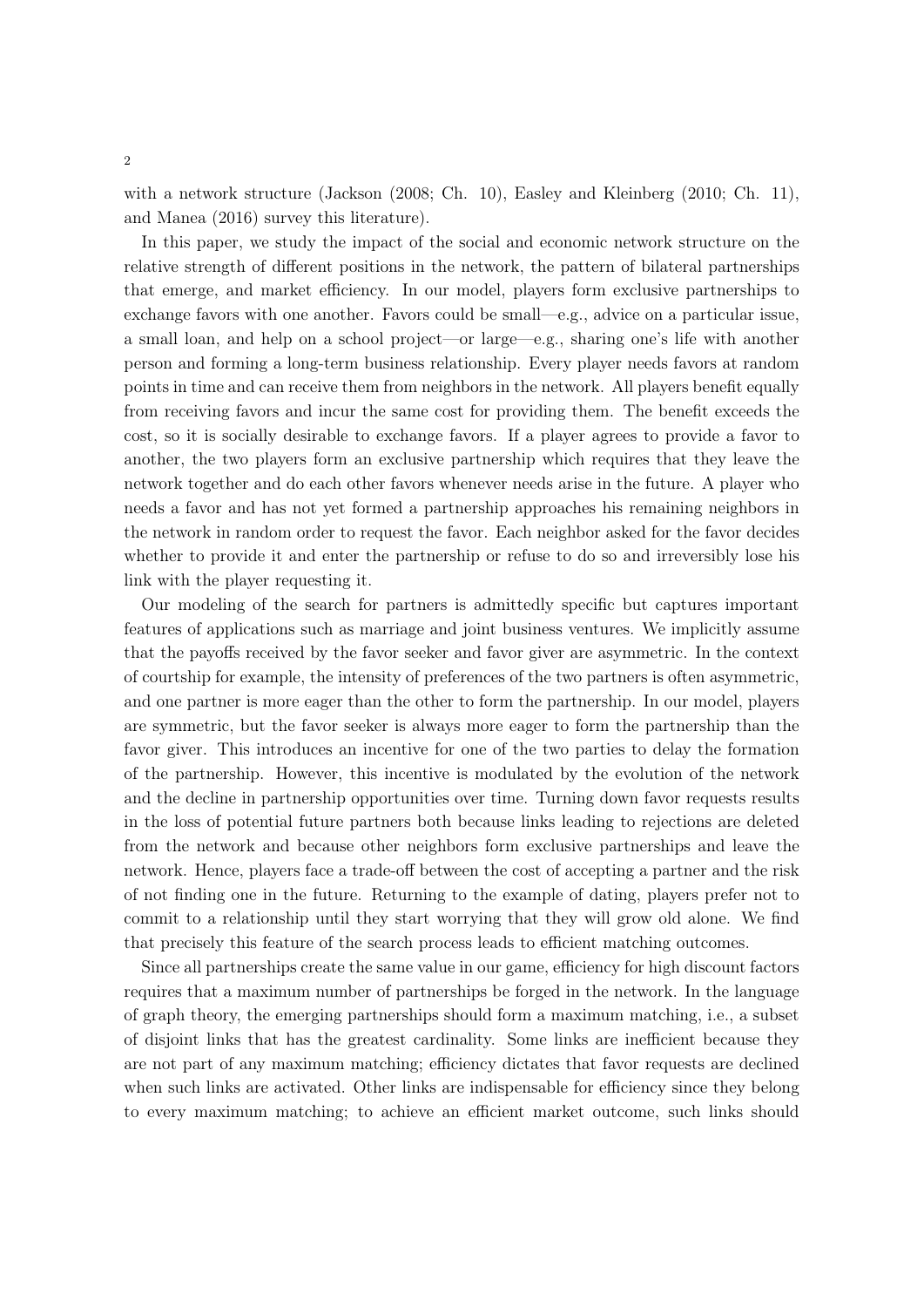with a network structure (Jackson (2008; Ch. 10), Easley and Kleinberg (2010; Ch. 11), and Manea (2016) survey this literature).

In this paper, we study the impact of the social and economic network structure on the relative strength of different positions in the network, the pattern of bilateral partnerships that emerge, and market efficiency. In our model, players form exclusive partnerships to exchange favors with one another. Favors could be small—e.g., advice on a particular issue, a small loan, and help on a school project—or large—e.g., sharing one's life with another person and forming a long-term business relationship. Every player needs favors at random points in time and can receive them from neighbors in the network. All players benefit equally from receiving favors and incur the same cost for providing them. The benefit exceeds the cost, so it is socially desirable to exchange favors. If a player agrees to provide a favor to another, the two players form an exclusive partnership which requires that they leave the network together and do each other favors whenever needs arise in the future. A player who needs a favor and has not yet formed a partnership approaches his remaining neighbors in the network in random order to request the favor. Each neighbor asked for the favor decides whether to provide it and enter the partnership or refuse to do so and irreversibly lose his link with the player requesting it.

Our modeling of the search for partners is admittedly specific but captures important features of applications such as marriage and joint business ventures. We implicitly assume that the payoffs received by the favor seeker and favor giver are asymmetric. In the context of courtship for example, the intensity of preferences of the two partners is often asymmetric, and one partner is more eager than the other to form the partnership. In our model, players are symmetric, but the favor seeker is always more eager to form the partnership than the favor giver. This introduces an incentive for one of the two parties to delay the formation of the partnership. However, this incentive is modulated by the evolution of the network and the decline in partnership opportunities over time. Turning down favor requests results in the loss of potential future partners both because links leading to rejections are deleted from the network and because other neighbors form exclusive partnerships and leave the network. Hence, players face a trade-off between the cost of accepting a partner and the risk of not finding one in the future. Returning to the example of dating, players prefer not to commit to a relationship until they start worrying that they will grow old alone. We find that precisely this feature of the search process leads to efficient matching outcomes.

Since all partnerships create the same value in our game, efficiency for high discount factors requires that a maximum number of partnerships be forged in the network. In the language of graph theory, the emerging partnerships should form a maximum matching, i.e., a subset of disjoint links that has the greatest cardinality. Some links are inefficient because they are not part of any maximum matching; efficiency dictates that favor requests are declined when such links are activated. Other links are indispensable for efficiency since they belong to every maximum matching; to achieve an efficient market outcome, such links should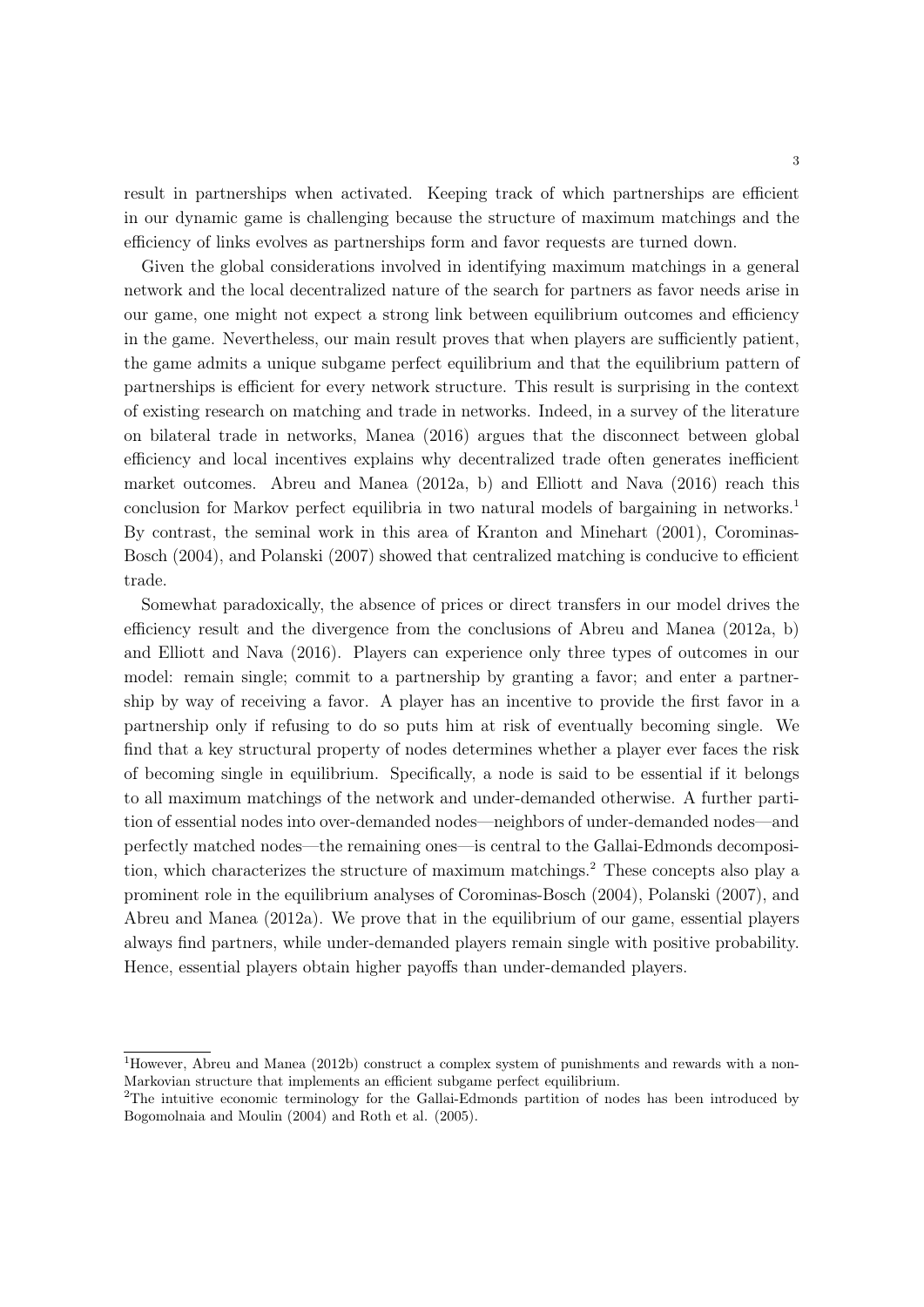result in partnerships when activated. Keeping track of which partnerships are efficient in our dynamic game is challenging because the structure of maximum matchings and the efficiency of links evolves as partnerships form and favor requests are turned down.

Given the global considerations involved in identifying maximum matchings in a general network and the local decentralized nature of the search for partners as favor needs arise in our game, one might not expect a strong link between equilibrium outcomes and efficiency in the game. Nevertheless, our main result proves that when players are sufficiently patient, the game admits a unique subgame perfect equilibrium and that the equilibrium pattern of partnerships is efficient for every network structure. This result is surprising in the context of existing research on matching and trade in networks. Indeed, in a survey of the literature on bilateral trade in networks, Manea (2016) argues that the disconnect between global efficiency and local incentives explains why decentralized trade often generates inefficient market outcomes. Abreu and Manea (2012a, b) and Elliott and Nava (2016) reach this conclusion for Markov perfect equilibria in two natural models of bargaining in networks.<sup>1</sup> By contrast, the seminal work in this area of Kranton and Minehart (2001), Corominas-Bosch (2004), and Polanski (2007) showed that centralized matching is conducive to efficient trade.

Somewhat paradoxically, the absence of prices or direct transfers in our model drives the efficiency result and the divergence from the conclusions of Abreu and Manea (2012a, b) and Elliott and Nava (2016). Players can experience only three types of outcomes in our model: remain single; commit to a partnership by granting a favor; and enter a partnership by way of receiving a favor. A player has an incentive to provide the first favor in a partnership only if refusing to do so puts him at risk of eventually becoming single. We find that a key structural property of nodes determines whether a player ever faces the risk of becoming single in equilibrium. Specifically, a node is said to be essential if it belongs to all maximum matchings of the network and under-demanded otherwise. A further partition of essential nodes into over-demanded nodes—neighbors of under-demanded nodes—and perfectly matched nodes—the remaining ones—is central to the Gallai-Edmonds decomposition, which characterizes the structure of maximum matchings.<sup>2</sup> These concepts also play a prominent role in the equilibrium analyses of Corominas-Bosch (2004), Polanski (2007), and Abreu and Manea (2012a). We prove that in the equilibrium of our game, essential players always find partners, while under-demanded players remain single with positive probability. Hence, essential players obtain higher payoffs than under-demanded players.

<sup>1</sup>However, Abreu and Manea (2012b) construct a complex system of punishments and rewards with a non-Markovian structure that implements an efficient subgame perfect equilibrium.

<sup>&</sup>lt;sup>2</sup>The intuitive economic terminology for the Gallai-Edmonds partition of nodes has been introduced by Bogomolnaia and Moulin (2004) and Roth et al. (2005).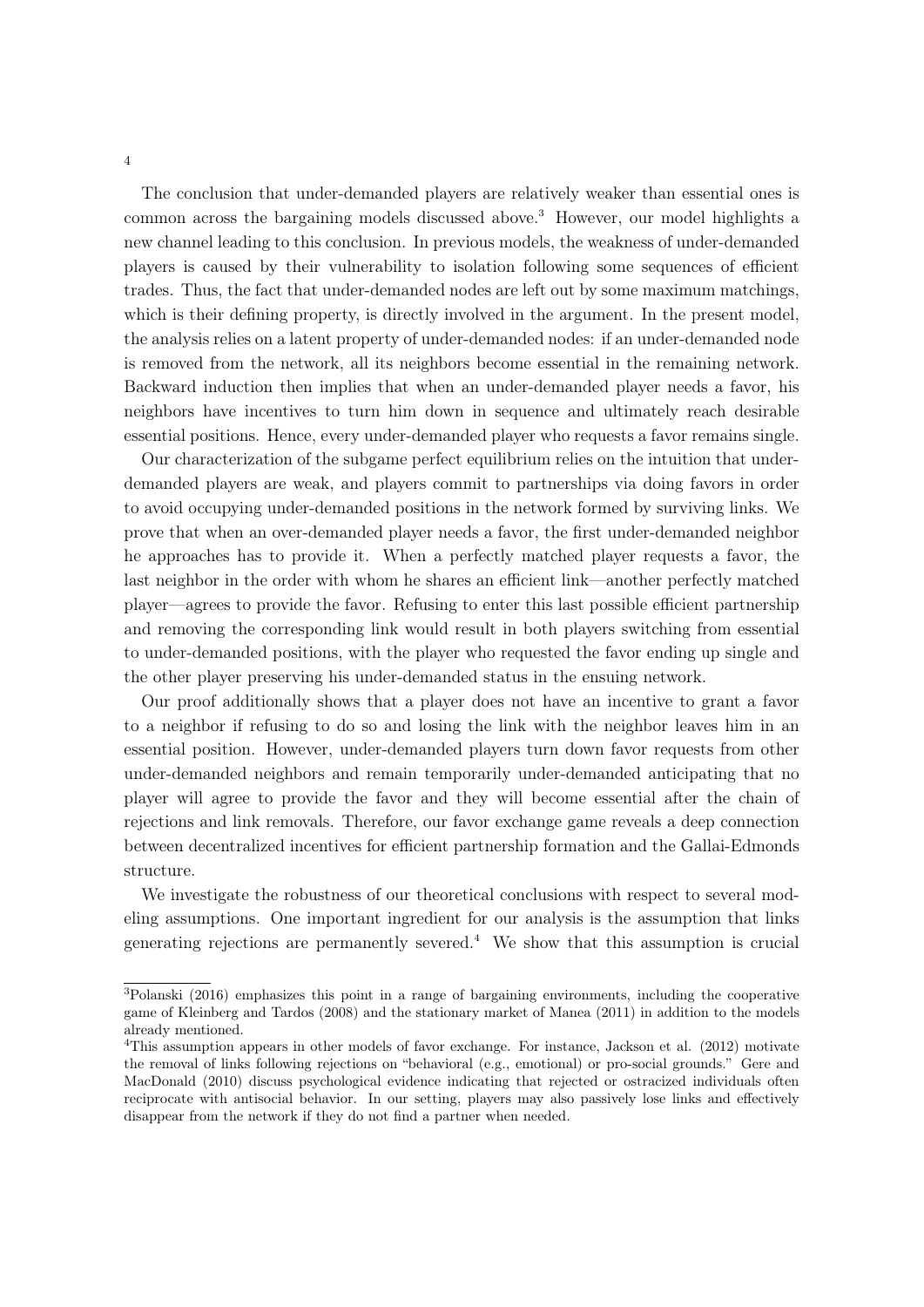The conclusion that under-demanded players are relatively weaker than essential ones is common across the bargaining models discussed above.<sup>3</sup> However, our model highlights a new channel leading to this conclusion. In previous models, the weakness of under-demanded players is caused by their vulnerability to isolation following some sequences of efficient trades. Thus, the fact that under-demanded nodes are left out by some maximum matchings, which is their defining property, is directly involved in the argument. In the present model, the analysis relies on a latent property of under-demanded nodes: if an under-demanded node is removed from the network, all its neighbors become essential in the remaining network. Backward induction then implies that when an under-demanded player needs a favor, his neighbors have incentives to turn him down in sequence and ultimately reach desirable essential positions. Hence, every under-demanded player who requests a favor remains single.

Our characterization of the subgame perfect equilibrium relies on the intuition that underdemanded players are weak, and players commit to partnerships via doing favors in order to avoid occupying under-demanded positions in the network formed by surviving links. We prove that when an over-demanded player needs a favor, the first under-demanded neighbor he approaches has to provide it. When a perfectly matched player requests a favor, the last neighbor in the order with whom he shares an efficient link—another perfectly matched player—agrees to provide the favor. Refusing to enter this last possible efficient partnership and removing the corresponding link would result in both players switching from essential to under-demanded positions, with the player who requested the favor ending up single and the other player preserving his under-demanded status in the ensuing network.

Our proof additionally shows that a player does not have an incentive to grant a favor to a neighbor if refusing to do so and losing the link with the neighbor leaves him in an essential position. However, under-demanded players turn down favor requests from other under-demanded neighbors and remain temporarily under-demanded anticipating that no player will agree to provide the favor and they will become essential after the chain of rejections and link removals. Therefore, our favor exchange game reveals a deep connection between decentralized incentives for efficient partnership formation and the Gallai-Edmonds structure.

We investigate the robustness of our theoretical conclusions with respect to several modeling assumptions. One important ingredient for our analysis is the assumption that links generating rejections are permanently severed.<sup>4</sup> We show that this assumption is crucial

<sup>3</sup>Polanski (2016) emphasizes this point in a range of bargaining environments, including the cooperative game of Kleinberg and Tardos (2008) and the stationary market of Manea (2011) in addition to the models already mentioned.

<sup>4</sup>This assumption appears in other models of favor exchange. For instance, Jackson et al. (2012) motivate the removal of links following rejections on "behavioral (e.g., emotional) or pro-social grounds." Gere and MacDonald (2010) discuss psychological evidence indicating that rejected or ostracized individuals often reciprocate with antisocial behavior. In our setting, players may also passively lose links and effectively disappear from the network if they do not find a partner when needed.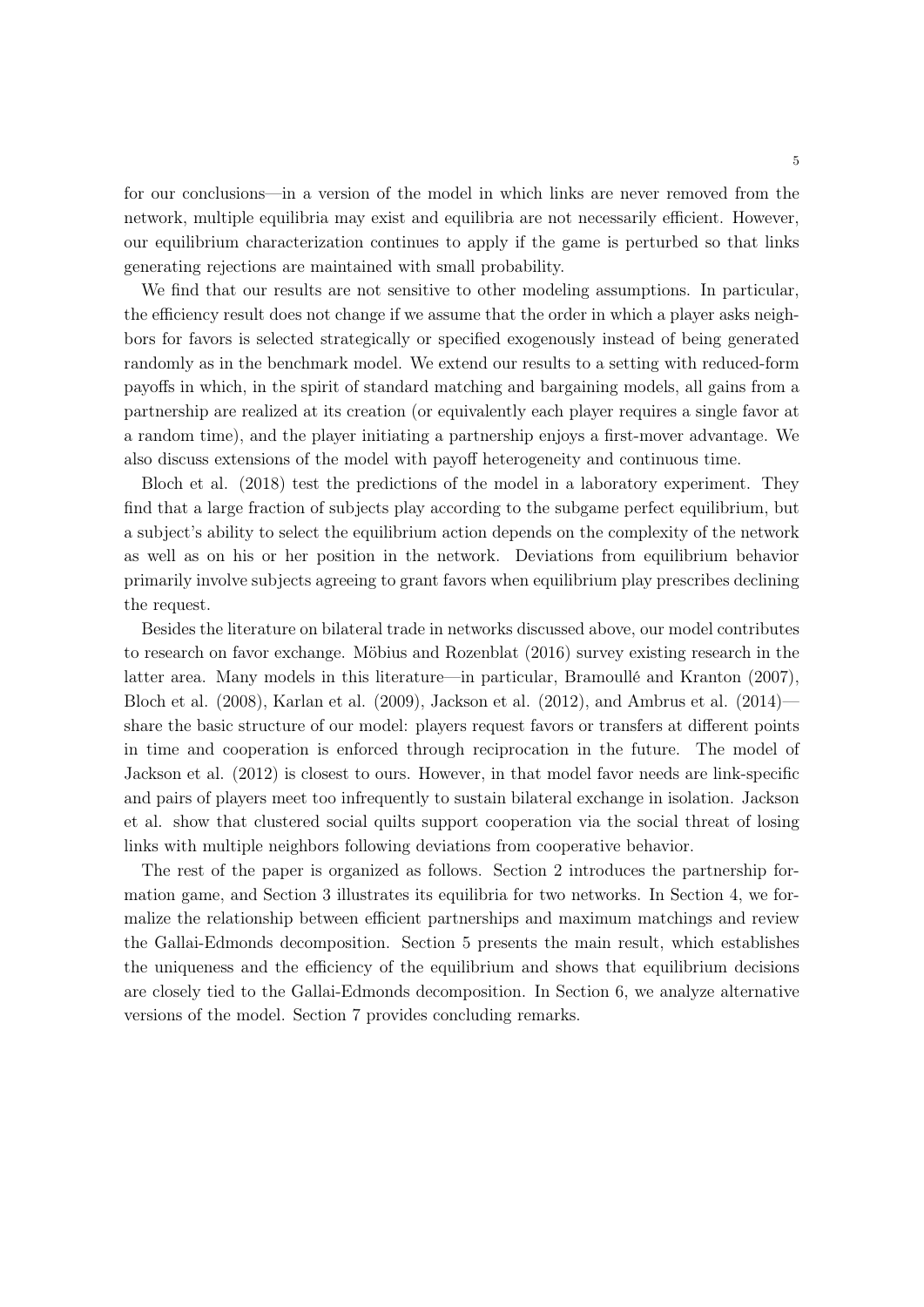for our conclusions—in a version of the model in which links are never removed from the network, multiple equilibria may exist and equilibria are not necessarily efficient. However, our equilibrium characterization continues to apply if the game is perturbed so that links generating rejections are maintained with small probability.

We find that our results are not sensitive to other modeling assumptions. In particular, the efficiency result does not change if we assume that the order in which a player asks neighbors for favors is selected strategically or specified exogenously instead of being generated randomly as in the benchmark model. We extend our results to a setting with reduced-form payoffs in which, in the spirit of standard matching and bargaining models, all gains from a partnership are realized at its creation (or equivalently each player requires a single favor at a random time), and the player initiating a partnership enjoys a first-mover advantage. We also discuss extensions of the model with payoff heterogeneity and continuous time.

Bloch et al. (2018) test the predictions of the model in a laboratory experiment. They find that a large fraction of subjects play according to the subgame perfect equilibrium, but a subject's ability to select the equilibrium action depends on the complexity of the network as well as on his or her position in the network. Deviations from equilibrium behavior primarily involve subjects agreeing to grant favors when equilibrium play prescribes declining the request.

Besides the literature on bilateral trade in networks discussed above, our model contributes to research on favor exchange. Möbius and Rozenblat (2016) survey existing research in the latter area. Many models in this literature—in particular, Bramoullé and Kranton (2007), Bloch et al. (2008), Karlan et al. (2009), Jackson et al. (2012), and Ambrus et al. (2014) share the basic structure of our model: players request favors or transfers at different points in time and cooperation is enforced through reciprocation in the future. The model of Jackson et al. (2012) is closest to ours. However, in that model favor needs are link-specific and pairs of players meet too infrequently to sustain bilateral exchange in isolation. Jackson et al. show that clustered social quilts support cooperation via the social threat of losing links with multiple neighbors following deviations from cooperative behavior.

The rest of the paper is organized as follows. Section 2 introduces the partnership formation game, and Section 3 illustrates its equilibria for two networks. In Section 4, we formalize the relationship between efficient partnerships and maximum matchings and review the Gallai-Edmonds decomposition. Section 5 presents the main result, which establishes the uniqueness and the efficiency of the equilibrium and shows that equilibrium decisions are closely tied to the Gallai-Edmonds decomposition. In Section 6, we analyze alternative versions of the model. Section 7 provides concluding remarks.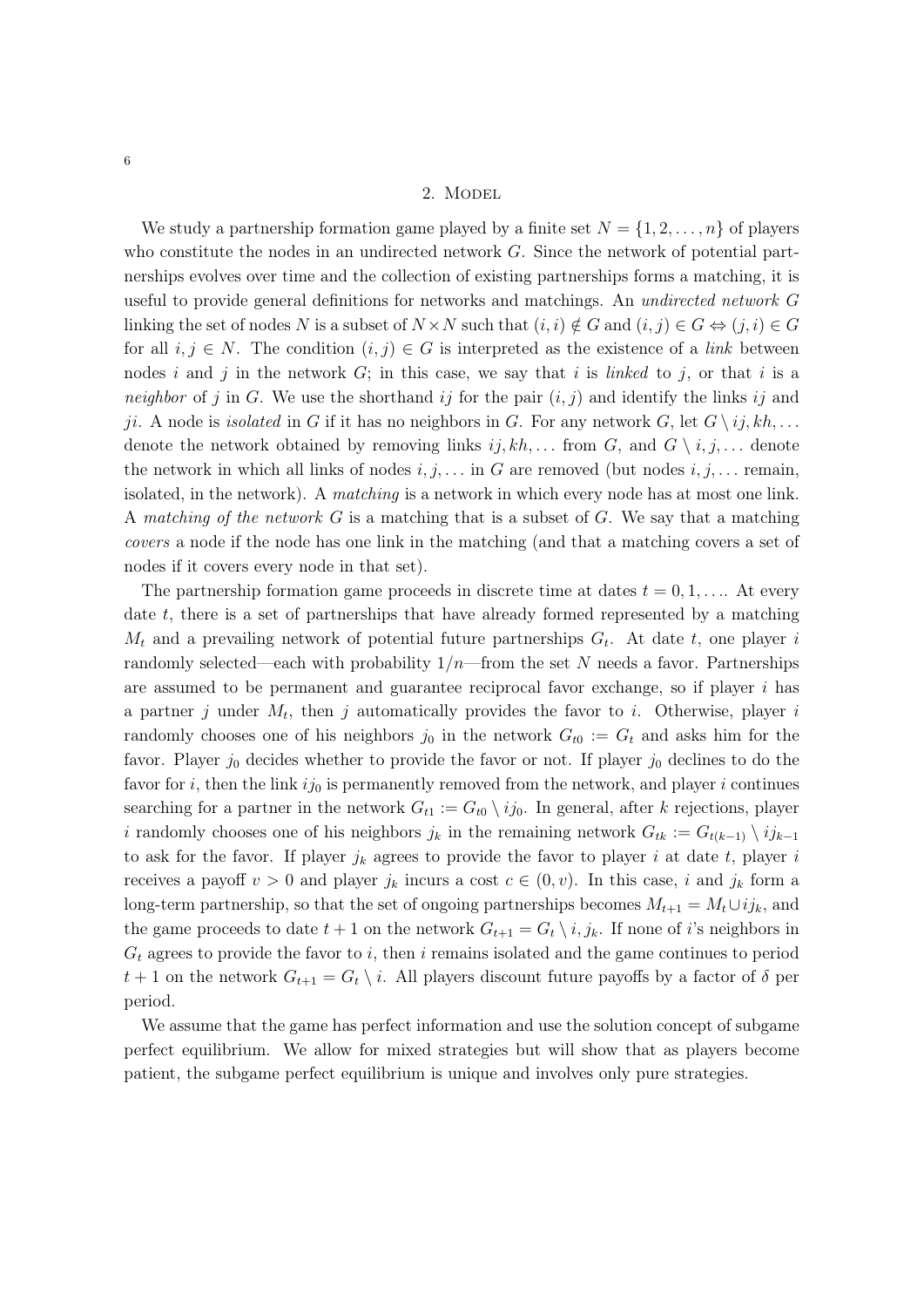We study a partnership formation game played by a finite set  $N = \{1, 2, \ldots, n\}$  of players who constitute the nodes in an undirected network *G*. Since the network of potential partnerships evolves over time and the collection of existing partnerships forms a matching, it is useful to provide general definitions for networks and matchings. An *undirected network G* linking the set of nodes *N* is a subset of  $N \times N$  such that  $(i, i) \notin G$  and  $(i, j) \in G \Leftrightarrow (j, i) \in G$ for all  $i, j \in N$ . The condition  $(i, j) \in G$  is interpreted as the existence of a *link* between nodes *i* and *j* in the network  $G$ ; in this case, we say that *i* is *linked* to *j*, or that *i* is a *neighbor* of *j* in *G*. We use the shorthand *ij* for the pair  $(i, j)$  and identify the links *ij* and *ji*. A node is *isolated* in *G* if it has no neighbors in *G*. For any network *G*, let  $G \setminus \{i\}$ ,  $kh$ , ... denote the network obtained by removing links  $ij, kh, \ldots$  from  $G$ , and  $G \setminus i, j, \ldots$  denote the network in which all links of nodes  $i, j, \ldots$  in *G* are removed (but nodes  $i, j, \ldots$  remain, isolated, in the network). A *matching* is a network in which every node has at most one link. A *matching of the network G* is a matching that is a subset of *G*. We say that a matching *covers* a node if the node has one link in the matching (and that a matching covers a set of nodes if it covers every node in that set).

The partnership formation game proceeds in discrete time at dates  $t = 0, 1, \ldots$ . At every date *t*, there is a set of partnerships that have already formed represented by a matching *M<sup>t</sup>* and a prevailing network of potential future partnerships *Gt*. At date *t*, one player *i* randomly selected—each with probability 1*/n*—from the set *N* needs a favor. Partnerships are assumed to be permanent and guarantee reciprocal favor exchange, so if player *i* has a partner *j* under *Mt*, then *j* automatically provides the favor to *i*. Otherwise, player *i* randomly chooses one of his neighbors  $j_0$  in the network  $G_{t0} := G_t$  and asks him for the favor. Player  $j_0$  decides whether to provide the favor or not. If player  $j_0$  declines to do the favor for  $i$ , then the link  $ij_0$  is permanently removed from the network, and player  $i$  continues searching for a partner in the network  $G_{t1} := G_{t0} \setminus ij_0$ . In general, after *k* rejections, player *i* randomly chooses one of his neighbors  $j_k$  in the remaining network  $G_{tk} := G_{t(k-1)} \setminus i j_{k-1}$ to ask for the favor. If player  $j_k$  agrees to provide the favor to player *i* at date *t*, player *i* receives a payoff  $v > 0$  and player  $j_k$  incurs a cost  $c \in (0, v)$ . In this case, *i* and  $j_k$  form a long-term partnership, so that the set of ongoing partnerships becomes  $M_{t+1} = M_t \cup i j_k$ , and the game proceeds to date  $t + 1$  on the network  $G_{t+1} = G_t \setminus i, j_k$ . If none of *i*'s neighbors in *G<sup>t</sup>* agrees to provide the favor to *i*, then *i* remains isolated and the game continues to period  $t + 1$  on the network  $G_{t+1} = G_t \setminus i$ . All players discount future payoffs by a factor of  $\delta$  per period.

We assume that the game has perfect information and use the solution concept of subgame perfect equilibrium. We allow for mixed strategies but will show that as players become patient, the subgame perfect equilibrium is unique and involves only pure strategies.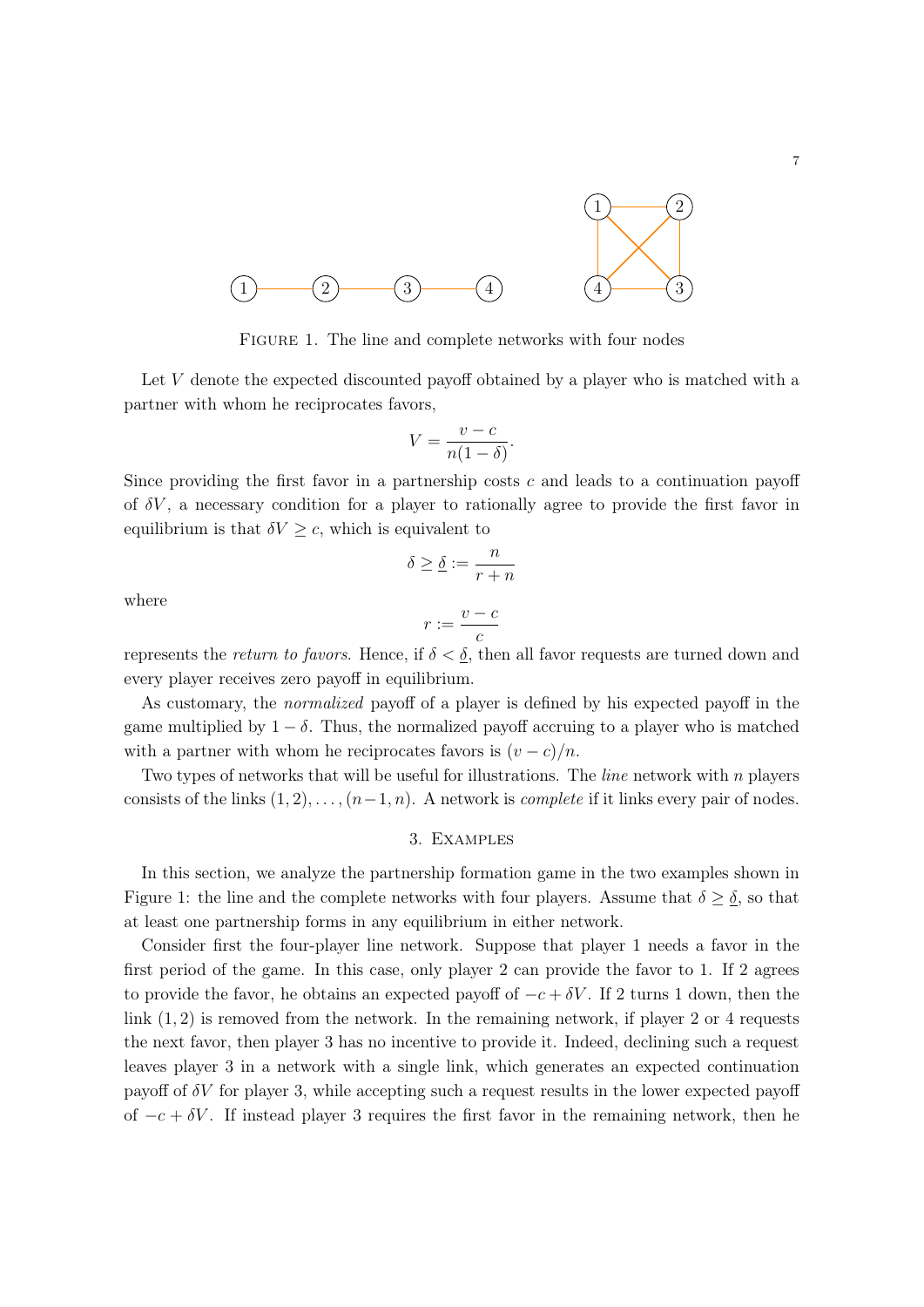

FIGURE 1. The line and complete networks with four nodes

Let *V* denote the expected discounted payoff obtained by a player who is matched with a partner with whom he reciprocates favors,

$$
V = \frac{v - c}{n(1 - \delta)}.
$$

Since providing the first favor in a partnership costs *c* and leads to a continuation payoff of  $\delta V$ , a necessary condition for a player to rationally agree to provide the first favor in equilibrium is that  $\delta V \geq c$ , which is equivalent to

$$
\delta \ge \underline{\delta} := \frac{n}{r+n}
$$

where

$$
r:=\frac{v-c}{c}
$$

represents the *return to favors*. Hence, if  $\delta < \underline{\delta}$ , then all favor requests are turned down and every player receives zero payoff in equilibrium.

As customary, the *normalized* payoff of a player is defined by his expected payoff in the game multiplied by  $1 - \delta$ . Thus, the normalized payoff accruing to a player who is matched with a partner with whom he reciprocates favors is  $(v - c)/n$ .

Two types of networks that will be useful for illustrations. The *line* network with *n* players consists of the links  $(1, 2), \ldots, (n-1, n)$ . A network is *complete* if it links every pair of nodes.

#### 3. Examples

In this section, we analyze the partnership formation game in the two examples shown in Figure 1: the line and the complete networks with four players. Assume that  $\delta \geq \underline{\delta}$ , so that at least one partnership forms in any equilibrium in either network.

Consider first the four-player line network. Suppose that player 1 needs a favor in the first period of the game. In this case, only player 2 can provide the favor to 1. If 2 agrees to provide the favor, he obtains an expected payoff of  $-c+\delta V$ . If 2 turns 1 down, then the link  $(1, 2)$  is removed from the network. In the remaining network, if player 2 or 4 requests the next favor, then player 3 has no incentive to provide it. Indeed, declining such a request leaves player 3 in a network with a single link, which generates an expected continuation payoff of  $\delta V$  for player 3, while accepting such a request results in the lower expected payoff of  $-c + \delta V$ . If instead player 3 requires the first favor in the remaining network, then he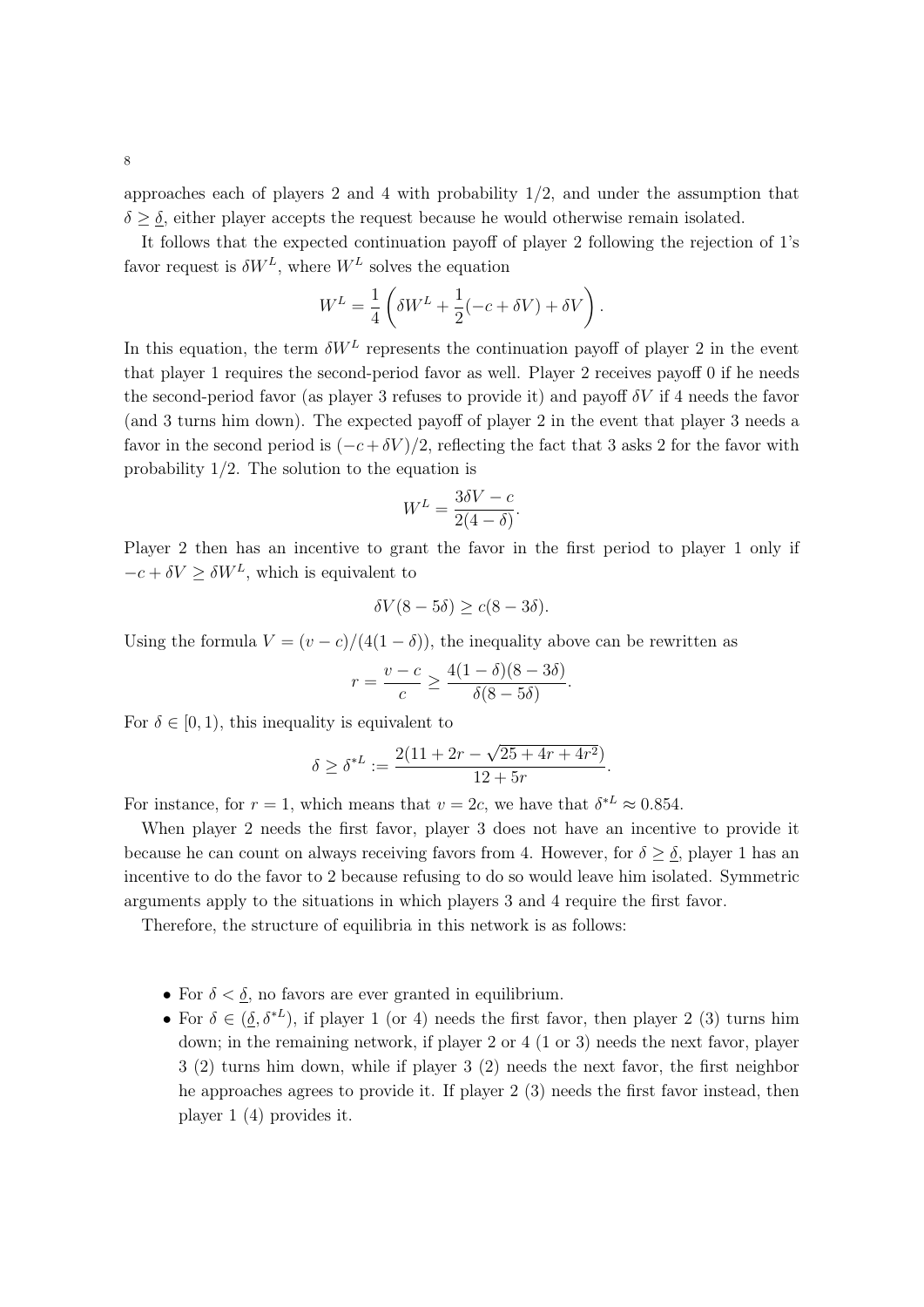approaches each of players 2 and 4 with probability 1*/*2, and under the assumption that  $\delta \geq \delta$ , either player accepts the request because he would otherwise remain isolated.

It follows that the expected continuation payoff of player 2 following the rejection of 1's favor request is  $\delta W^L$ , where  $W^L$  solves the equation

$$
W^{L} = \frac{1}{4} \left( \delta W^{L} + \frac{1}{2} (-c + \delta V) + \delta V \right).
$$

In this equation, the term  $\delta W^L$  represents the continuation payoff of player 2 in the event that player 1 requires the second-period favor as well. Player 2 receives payoff 0 if he needs the second-period favor (as player 3 refuses to provide it) and payoff *V* if 4 needs the favor (and 3 turns him down). The expected payoff of player 2 in the event that player 3 needs a favor in the second period is  $(-c + \delta V)/2$ , reflecting the fact that 3 asks 2 for the favor with probability 1*/*2. The solution to the equation is

$$
W^L = \frac{3\delta V - c}{2(4 - \delta)}.
$$

Player 2 then has an incentive to grant the favor in the first period to player 1 only if  $-c + \delta V \ge \delta W^L$ , which is equivalent to

$$
\delta V(8-5\delta) \ge c(8-3\delta).
$$

Using the formula  $V = (v - c)/(4(1 - \delta))$ , the inequality above can be rewritten as

$$
r = \frac{v - c}{c} \ge \frac{4(1 - \delta)(8 - 3\delta)}{\delta(8 - 5\delta)}.
$$

For  $\delta \in [0, 1)$ , this inequality is equivalent to

$$
\delta \geq \delta^{*L} := \frac{2(11 + 2r - \sqrt{25 + 4r + 4r^2})}{12 + 5r}.
$$

For instance, for  $r = 1$ , which means that  $v = 2c$ , we have that  $\delta^{*L} \approx 0.854$ .

When player 2 needs the first favor, player 3 does not have an incentive to provide it because he can count on always receiving favors from 4. However, for  $\delta \geq \delta$ , player 1 has an incentive to do the favor to 2 because refusing to do so would leave him isolated. Symmetric arguments apply to the situations in which players 3 and 4 require the first favor.

Therefore, the structure of equilibria in this network is as follows:

- For  $\delta < \delta$ , no favors are ever granted in equilibrium.
- For  $\delta \in (\delta, \delta^{*L})$ , if player 1 (or 4) needs the first favor, then player 2 (3) turns him down; in the remaining network, if player 2 or 4 (1 or 3) needs the next favor, player 3 (2) turns him down, while if player 3 (2) needs the next favor, the first neighbor he approaches agrees to provide it. If player 2 (3) needs the first favor instead, then player 1 (4) provides it.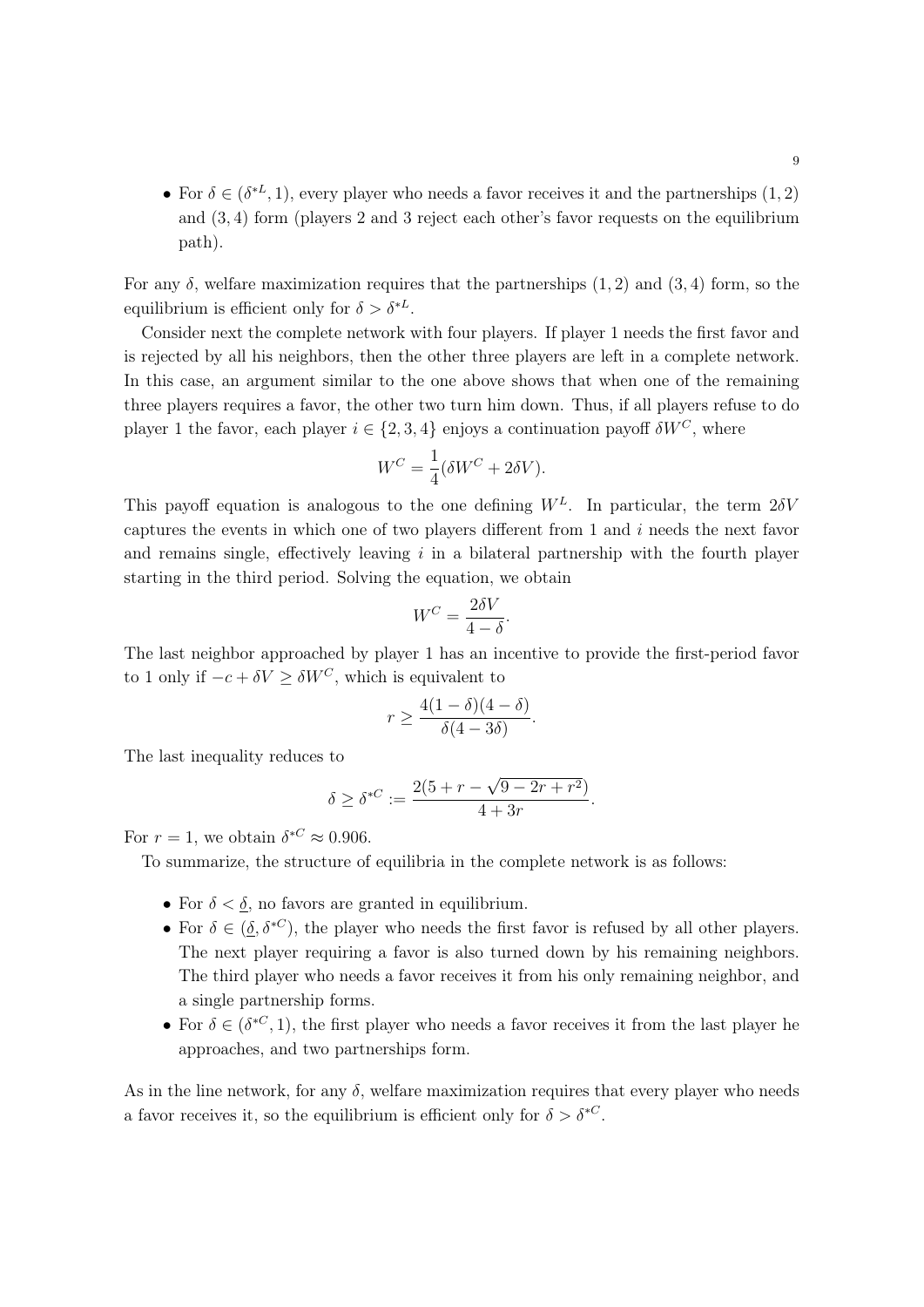• For  $\delta \in (\delta^{*L}, 1)$ , every player who needs a favor receives it and the partnerships  $(1, 2)$ and (3*,* 4) form (players 2 and 3 reject each other's favor requests on the equilibrium path).

For any  $\delta$ , welfare maximization requires that the partnerships (1, 2) and (3, 4) form, so the equilibrium is efficient only for  $\delta > \delta^{*L}$ .

Consider next the complete network with four players. If player 1 needs the first favor and is rejected by all his neighbors, then the other three players are left in a complete network. In this case, an argument similar to the one above shows that when one of the remaining three players requires a favor, the other two turn him down. Thus, if all players refuse to do player 1 the favor, each player  $i \in \{2, 3, 4\}$  enjoys a continuation payoff  $\delta W^C$ , where

$$
W^C = \frac{1}{4} (\delta W^C + 2\delta V).
$$

This payoff equation is analogous to the one defining  $W^L$ . In particular, the term  $2\delta V$ captures the events in which one of two players different from 1 and *i* needs the next favor and remains single, effectively leaving *i* in a bilateral partnership with the fourth player starting in the third period. Solving the equation, we obtain

$$
W^C = \frac{2\delta V}{4 - \delta}.
$$

The last neighbor approached by player 1 has an incentive to provide the first-period favor to 1 only if  $-c + \delta V \ge \delta W^C$ , which is equivalent to

$$
r \ge \frac{4(1-\delta)(4-\delta)}{\delta(4-3\delta)}.
$$

The last inequality reduces to

$$
\delta \ge \delta^{*C} := \frac{2(5+r-\sqrt{9-2r+r^2})}{4+3r}.
$$

For  $r = 1$ , we obtain  $\delta^{*C} \approx 0.906$ .

To summarize, the structure of equilibria in the complete network is as follows:

- For  $\delta < \underline{\delta}$ , no favors are granted in equilibrium.
- For  $\delta \in (\delta, \delta^{*C})$ , the player who needs the first favor is refused by all other players. The next player requiring a favor is also turned down by his remaining neighbors. The third player who needs a favor receives it from his only remaining neighbor, and a single partnership forms.
- For  $\delta \in (\delta^{*C}, 1)$ , the first player who needs a favor receives it from the last player he approaches, and two partnerships form.

As in the line network, for any  $\delta$ , welfare maximization requires that every player who needs a favor receives it, so the equilibrium is efficient only for  $\delta > \delta^{*C}$ .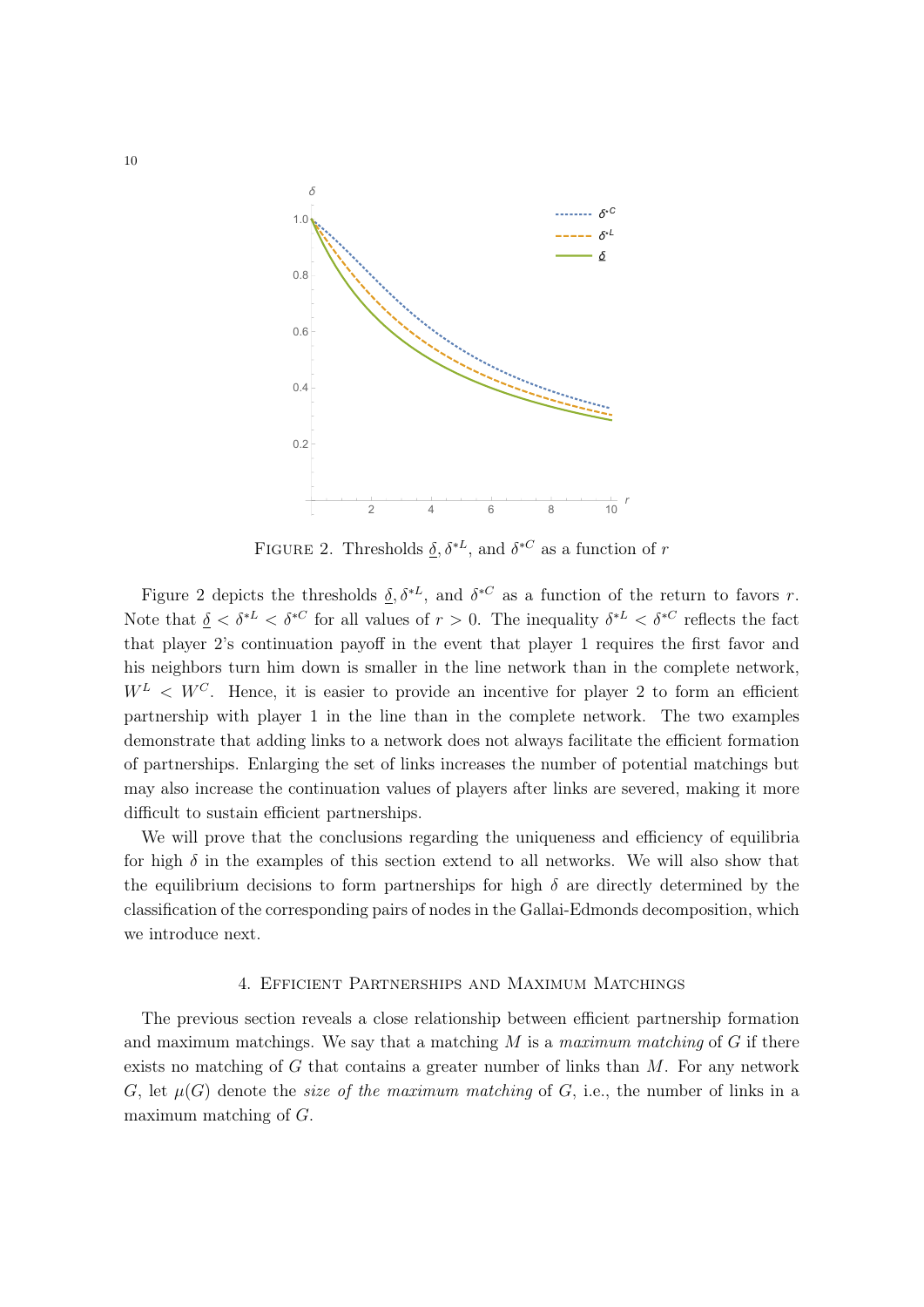

FIGURE 2. Thresholds  $\underline{\delta}, \delta^{*L}$ , and  $\delta^{*C}$  as a function of *r* 

Figure 2 depicts the thresholds  $\delta, \delta^{*L}$ , and  $\delta^{*C}$  as a function of the return to favors *r*. Note that  $\delta < \delta^{*L} < \delta^{*C}$  for all values of  $r > 0$ . The inequality  $\delta^{*L} < \delta^{*C}$  reflects the fact that player 2's continuation payoff in the event that player 1 requires the first favor and his neighbors turn him down is smaller in the line network than in the complete network,  $W^L \, \langle W^C \rangle$ . Hence, it is easier to provide an incentive for player 2 to form an efficient partnership with player 1 in the line than in the complete network. The two examples demonstrate that adding links to a network does not always facilitate the efficient formation of partnerships. Enlarging the set of links increases the number of potential matchings but may also increase the continuation values of players after links are severed, making it more difficult to sustain efficient partnerships.

We will prove that the conclusions regarding the uniqueness and efficiency of equilibria for high  $\delta$  in the examples of this section extend to all networks. We will also show that the equilibrium decisions to form partnerships for high  $\delta$  are directly determined by the classification of the corresponding pairs of nodes in the Gallai-Edmonds decomposition, which we introduce next.

### 4. Efficient Partnerships and Maximum Matchings

The previous section reveals a close relationship between efficient partnership formation and maximum matchings. We say that a matching *M* is a *maximum matching* of *G* if there exists no matching of *G* that contains a greater number of links than *M*. For any network *G*, let  $\mu(G)$  denote the *size of the maximum matching* of *G*, i.e., the number of links in a maximum matching of *G*.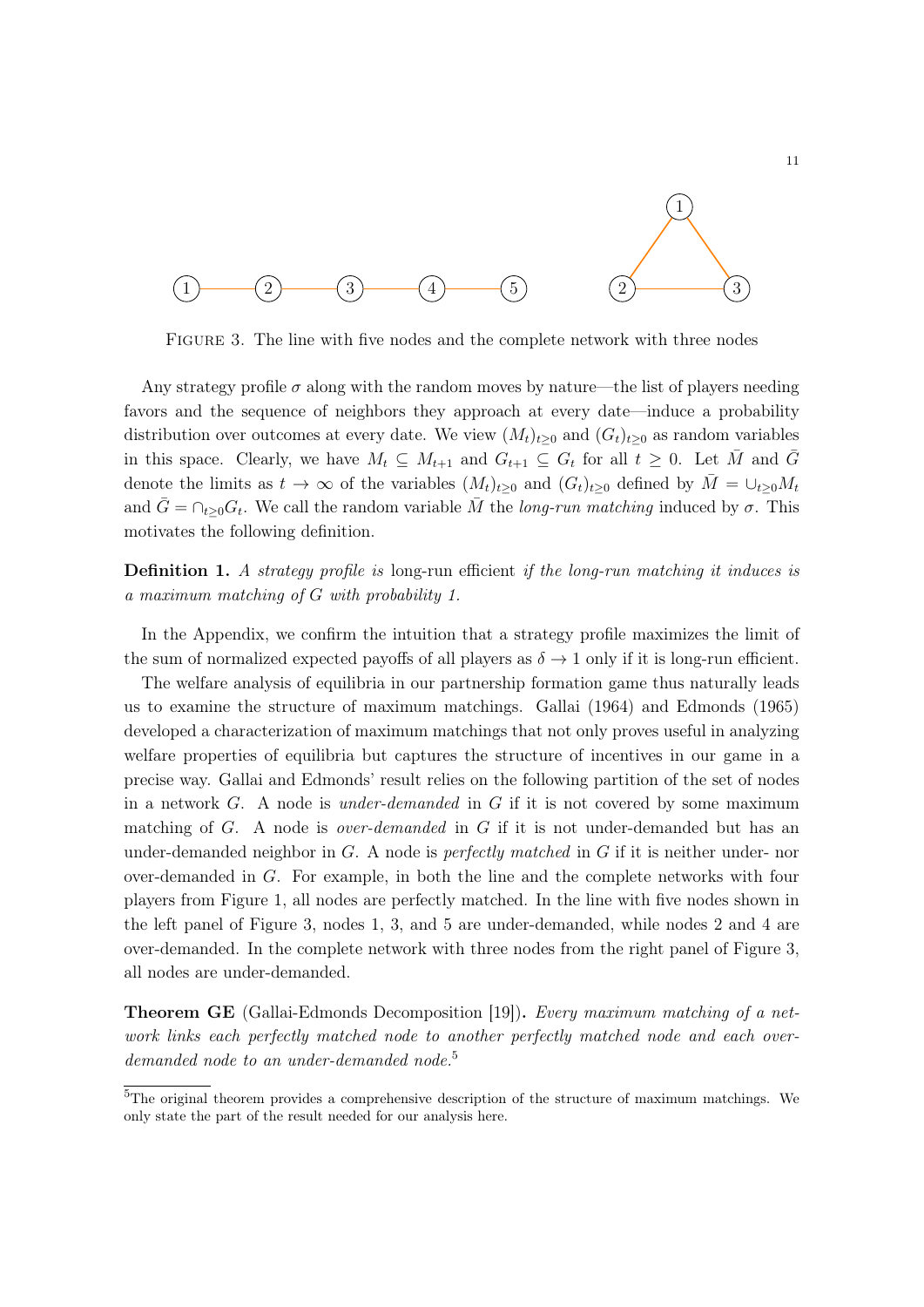

Figure 3. The line with five nodes and the complete network with three nodes

Any strategy profile  $\sigma$  along with the random moves by nature—the list of players needing favors and the sequence of neighbors they approach at every date—induce a probability distribution over outcomes at every date. We view  $(M_t)_{t>0}$  and  $(G_t)_{t>0}$  as random variables in this space. Clearly, we have  $M_t \subseteq M_{t+1}$  and  $G_{t+1} \subseteq G_t$  for all  $t \geq 0$ . Let  $\overline{M}$  and  $\overline{G}$ denote the limits as  $t \to \infty$  of the variables  $(M_t)_{t\geq 0}$  and  $(G_t)_{t\geq 0}$  defined by  $\overline{M} = \bigcup_{t\geq 0} M_t$ and  $\bar{G} = \cap_{t>0} G_t$ . We call the random variable  $\bar{M}$  the *long-run matching* induced by  $\sigma$ . This motivates the following definition.

Definition 1. *A strategy profile is* long-run efficient *if the long-run matching it induces is a maximum matching of G with probability 1.*

In the Appendix, we confirm the intuition that a strategy profile maximizes the limit of the sum of normalized expected payoffs of all players as  $\delta \to 1$  only if it is long-run efficient.

The welfare analysis of equilibria in our partnership formation game thus naturally leads us to examine the structure of maximum matchings. Gallai (1964) and Edmonds (1965) developed a characterization of maximum matchings that not only proves useful in analyzing welfare properties of equilibria but captures the structure of incentives in our game in a precise way. Gallai and Edmonds' result relies on the following partition of the set of nodes in a network *G*. A node is *under-demanded* in *G* if it is not covered by some maximum matching of *G*. A node is *over-demanded* in *G* if it is not under-demanded but has an under-demanded neighbor in *G*. A node is *perfectly matched* in *G* if it is neither under- nor over-demanded in *G*. For example, in both the line and the complete networks with four players from Figure 1, all nodes are perfectly matched. In the line with five nodes shown in the left panel of Figure 3, nodes 1, 3, and 5 are under-demanded, while nodes 2 and 4 are over-demanded. In the complete network with three nodes from the right panel of Figure 3, all nodes are under-demanded.

Theorem GE (Gallai-Edmonds Decomposition [19]). *Every maximum matching of a network links each perfectly matched node to another perfectly matched node and each overdemanded node to an under-demanded node.*<sup>5</sup>

<sup>5</sup>The original theorem provides a comprehensive description of the structure of maximum matchings. We only state the part of the result needed for our analysis here.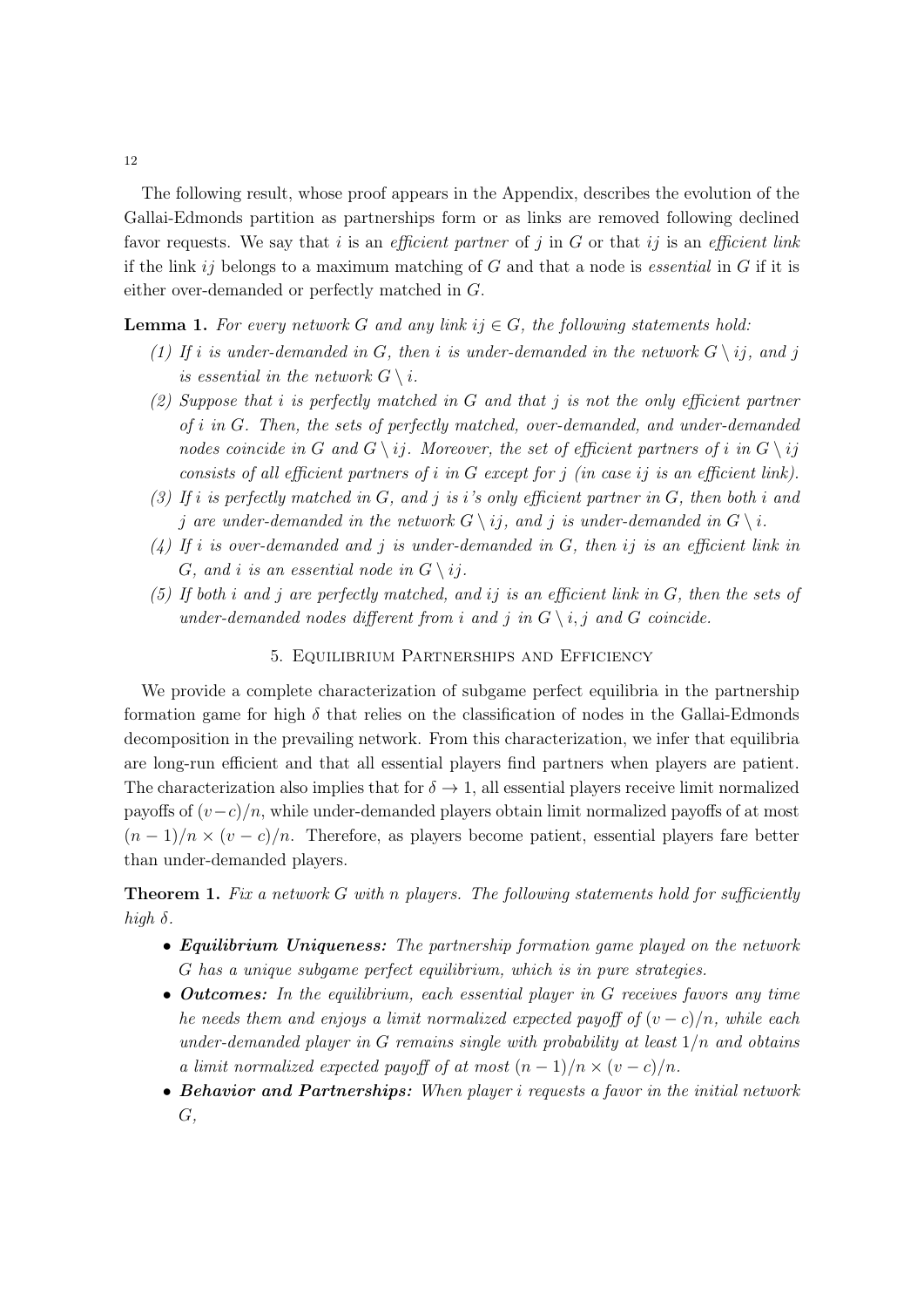The following result, whose proof appears in the Appendix, describes the evolution of the Gallai-Edmonds partition as partnerships form or as links are removed following declined favor requests. We say that *i* is an *e*ffi*cient partner* of *j* in *G* or that *ij* is an *e*ffi*cient link* if the link *ij* belongs to a maximum matching of *G* and that a node is *essential* in *G* if it is either over-demanded or perfectly matched in *G*.

### **Lemma 1.** For every network G and any link  $ij \in G$ , the following statements hold:

- *(1)* If *i* is under-demanded in *G*, then *i* is under-demanded in the network  $G \setminus ij$ , and *j is essential in the network*  $G \setminus i$ .
- *(2) Suppose that i is perfectly matched in G and that j is not the only e*ffi*cient partner of i in G. Then, the sets of perfectly matched, over-demanded, and under-demanded nodes coincide in G* and  $G \setminus ij$ *. Moreover, the set of efficient partners of <i>i in*  $G \setminus ij$ *consists of all e*ffi*cient partners of i in G except for j (in case ij is an e*ffi*cient link).*
- $(3)$  *If i is perfectly matched in G, and j is i*'s only efficient partner in *G, then both i* and *j* are under-demanded in the network  $G \setminus i$ , and *j* is under-demanded in  $G \setminus i$ .
- *(4) If i is over-demanded and j is under-demanded in G, then ij is an e*ffi*cient link in G, and i is an essential node in*  $G \setminus i$ *<i>i*.
- *(5) If both i and j are perfectly matched, and ij is an e*ffi*cient link in G, then the sets of under-demanded nodes different from i* and *j* in  $G \setminus i, j$  and *G coincide.*

### 5. Equilibrium Partnerships and Efficiency

We provide a complete characterization of subgame perfect equilibria in the partnership formation game for high  $\delta$  that relies on the classification of nodes in the Gallai-Edmonds decomposition in the prevailing network. From this characterization, we infer that equilibria are long-run efficient and that all essential players find partners when players are patient. The characterization also implies that for  $\delta \to 1$ , all essential players receive limit normalized payoffs of  $(v-c)/n$ , while under-demanded players obtain limit normalized payoffs of at most  $(n-1)/n \times (v-c)/n$ . Therefore, as players become patient, essential players fare better than under-demanded players.

**Theorem 1.** Fix a network G with *n* players. The following statements hold for sufficiently  $high \delta$ .

- *• Equilibrium Uniqueness: The partnership formation game played on the network G has a unique subgame perfect equilibrium, which is in pure strategies.*
- *• Outcomes: In the equilibrium, each essential player in G receives favors any time he needs them and enjoys a limit normalized expected payoff of*  $(v-c)/n$ *, while each under-demanded player in G remains single with probability at least* 1*/n and obtains a limit normalized expected payoff of at most*  $(n-1)/n \times (v-c)/n$ .
- *• Behavior and Partnerships: When player i requests a favor in the initial network G,*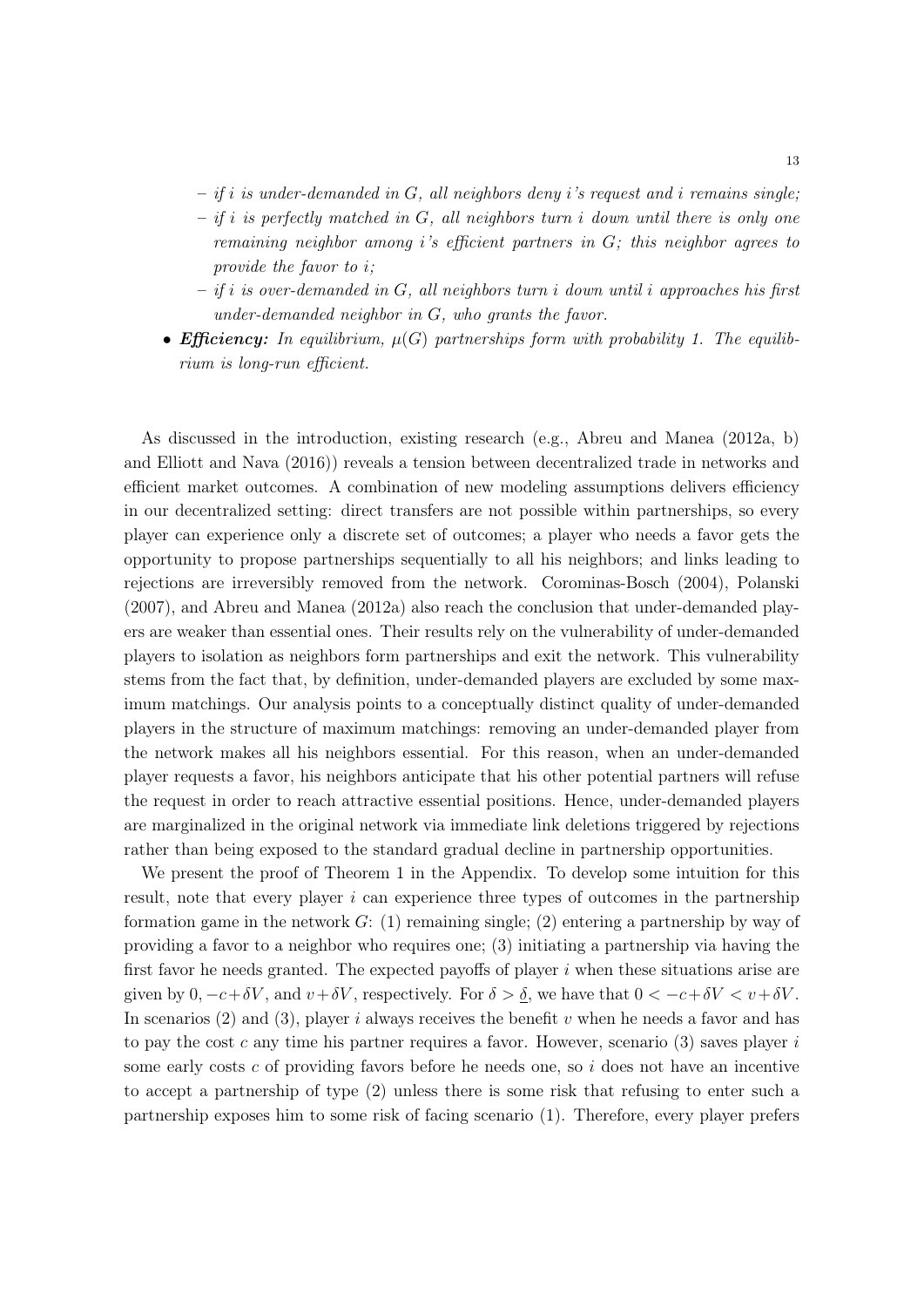- *– if i is under-demanded in G, all neighbors deny i's request and i remains single;*
- *– if i is perfectly matched in G, all neighbors turn i down until there is only one remaining neighbor among i's e*ffi*cient partners in G; this neighbor agrees to provide the favor to i;*
- *– if i is over-demanded in G, all neighbors turn i down until i approaches his first under-demanded neighbor in G, who grants the favor.*
- *Efficiency:* In equilibrium,  $\mu(G)$  partnerships form with probability 1. The equilib*rium is long-run efficient.*

As discussed in the introduction, existing research (e.g., Abreu and Manea (2012a, b) and Elliott and Nava (2016)) reveals a tension between decentralized trade in networks and efficient market outcomes. A combination of new modeling assumptions delivers efficiency in our decentralized setting: direct transfers are not possible within partnerships, so every player can experience only a discrete set of outcomes; a player who needs a favor gets the opportunity to propose partnerships sequentially to all his neighbors; and links leading to rejections are irreversibly removed from the network. Corominas-Bosch (2004), Polanski (2007), and Abreu and Manea (2012a) also reach the conclusion that under-demanded players are weaker than essential ones. Their results rely on the vulnerability of under-demanded players to isolation as neighbors form partnerships and exit the network. This vulnerability stems from the fact that, by definition, under-demanded players are excluded by some maximum matchings. Our analysis points to a conceptually distinct quality of under-demanded players in the structure of maximum matchings: removing an under-demanded player from the network makes all his neighbors essential. For this reason, when an under-demanded player requests a favor, his neighbors anticipate that his other potential partners will refuse the request in order to reach attractive essential positions. Hence, under-demanded players are marginalized in the original network via immediate link deletions triggered by rejections rather than being exposed to the standard gradual decline in partnership opportunities.

We present the proof of Theorem 1 in the Appendix. To develop some intuition for this result, note that every player *i* can experience three types of outcomes in the partnership formation game in the network  $G: (1)$  remaining single; (2) entering a partnership by way of providing a favor to a neighbor who requires one; (3) initiating a partnership via having the first favor he needs granted. The expected payoffs of player *i* when these situations arise are given by  $0, -c + \delta V$ , and  $v + \delta V$ , respectively. For  $\delta > \delta$ , we have that  $0 < -c + \delta V < v + \delta V$ . In scenarios (2) and (3), player *i* always receives the benefit *v* when he needs a favor and has to pay the cost *c* any time his partner requires a favor. However, scenario (3) saves player *i* some early costs *c* of providing favors before he needs one, so *i* does not have an incentive to accept a partnership of type (2) unless there is some risk that refusing to enter such a partnership exposes him to some risk of facing scenario (1). Therefore, every player prefers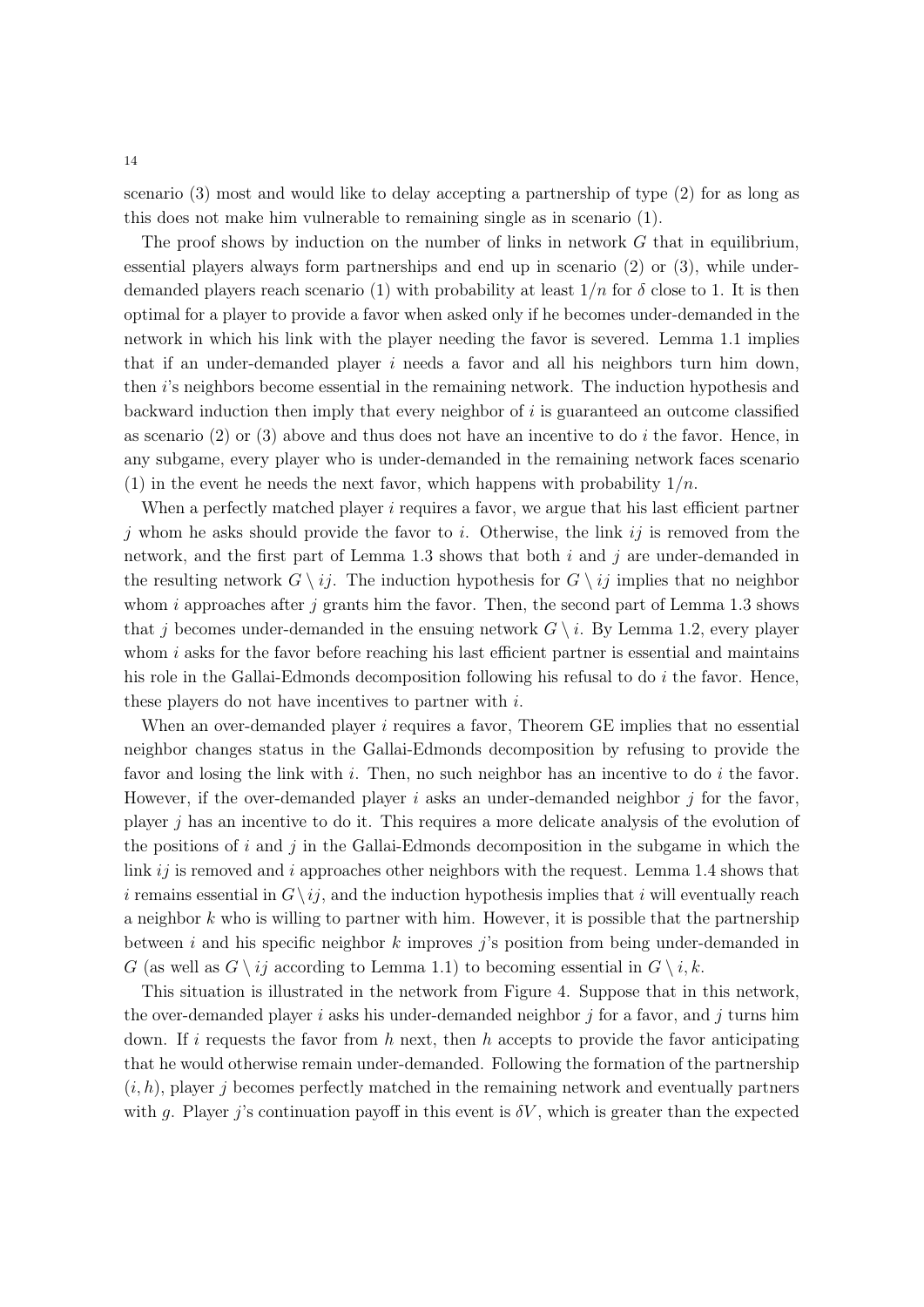scenario (3) most and would like to delay accepting a partnership of type (2) for as long as this does not make him vulnerable to remaining single as in scenario (1).

The proof shows by induction on the number of links in network *G* that in equilibrium, essential players always form partnerships and end up in scenario (2) or (3), while underdemanded players reach scenario (1) with probability at least  $1/n$  for  $\delta$  close to 1. It is then optimal for a player to provide a favor when asked only if he becomes under-demanded in the network in which his link with the player needing the favor is severed. Lemma 1.1 implies that if an under-demanded player *i* needs a favor and all his neighbors turn him down, then *i*'s neighbors become essential in the remaining network. The induction hypothesis and backward induction then imply that every neighbor of *i* is guaranteed an outcome classified as scenario (2) or (3) above and thus does not have an incentive to do *i* the favor. Hence, in any subgame, every player who is under-demanded in the remaining network faces scenario (1) in the event he needs the next favor, which happens with probability  $1/n$ .

When a perfectly matched player *i* requires a favor, we argue that his last efficient partner *j* whom he asks should provide the favor to *i*. Otherwise, the link *ij* is removed from the network, and the first part of Lemma 1.3 shows that both *i* and *j* are under-demanded in the resulting network  $G \setminus ij$ . The induction hypothesis for  $G \setminus ij$  implies that no neighbor whom *i* approaches after *j* grants him the favor. Then, the second part of Lemma 1.3 shows that *j* becomes under-demanded in the ensuing network  $G \setminus i$ . By Lemma 1.2, every player whom *i* asks for the favor before reaching his last efficient partner is essential and maintains his role in the Gallai-Edmonds decomposition following his refusal to do *i* the favor. Hence, these players do not have incentives to partner with *i*.

When an over-demanded player *i* requires a favor, Theorem GE implies that no essential neighbor changes status in the Gallai-Edmonds decomposition by refusing to provide the favor and losing the link with *i*. Then, no such neighbor has an incentive to do *i* the favor. However, if the over-demanded player *i* asks an under-demanded neighbor *j* for the favor, player *j* has an incentive to do it. This requires a more delicate analysis of the evolution of the positions of *i* and *j* in the Gallai-Edmonds decomposition in the subgame in which the link *ij* is removed and *i* approaches other neighbors with the request. Lemma 1.4 shows that *i* remains essential in  $G \setminus i_j$ , and the induction hypothesis implies that *i* will eventually reach a neighbor *k* who is willing to partner with him. However, it is possible that the partnership between *i* and his specific neighbor *k* improves *j*'s position from being under-demanded in *G* (as well as  $G \setminus i_j$  according to Lemma 1.1) to becoming essential in  $G \setminus i, k$ .

This situation is illustrated in the network from Figure 4. Suppose that in this network, the over-demanded player *i* asks his under-demanded neighbor *j* for a favor, and *j* turns him down. If *i* requests the favor from *h* next, then *h* accepts to provide the favor anticipating that he would otherwise remain under-demanded. Following the formation of the partnership  $(i, h)$ , player *j* becomes perfectly matched in the remaining network and eventually partners with *g*. Player *j*'s continuation payoff in this event is  $\delta V$ , which is greater than the expected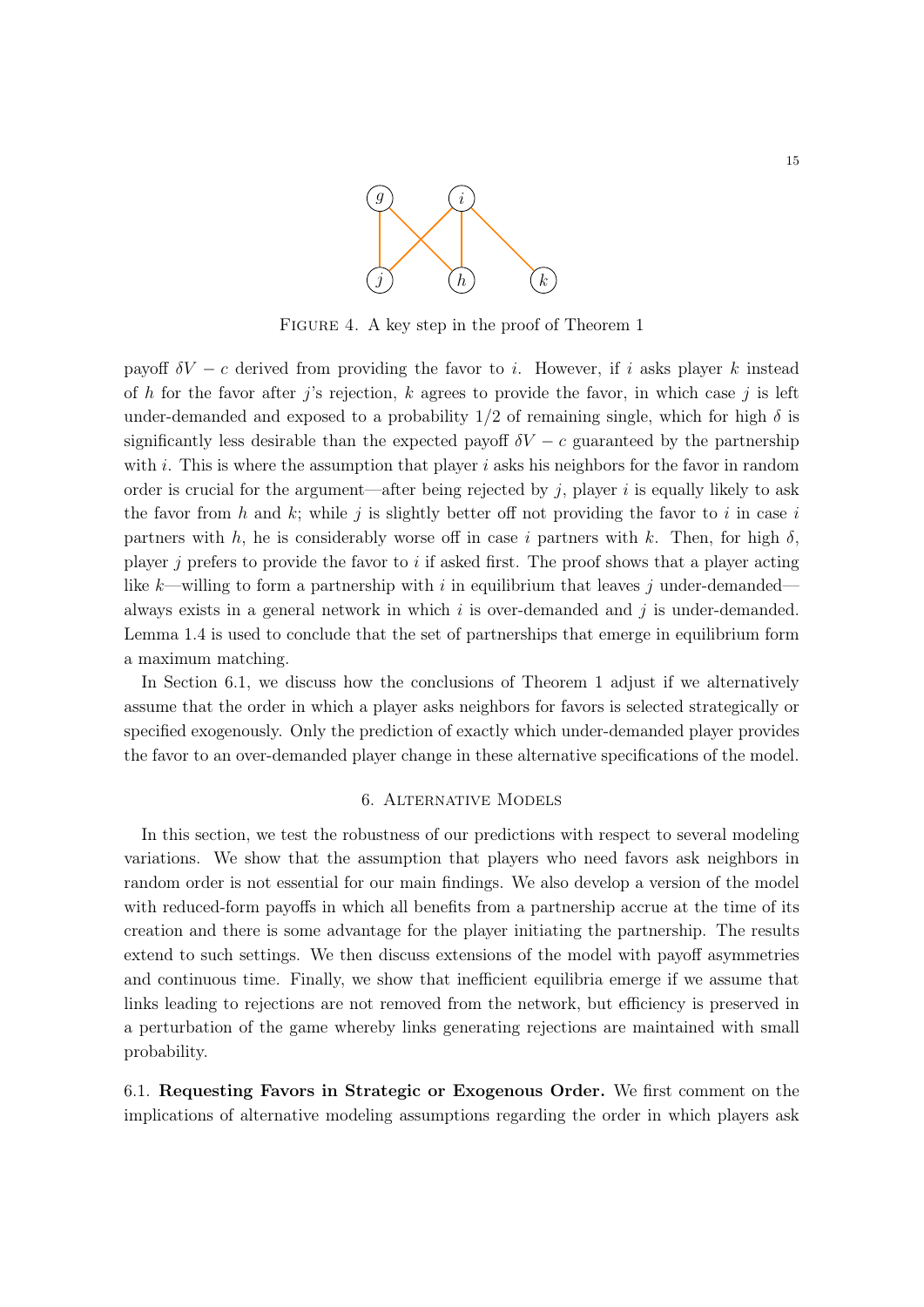

FIGURE 4. A key step in the proof of Theorem 1

payoff  $\delta V - c$  derived from providing the favor to *i*. However, if *i* asks player *k* instead of *h* for the favor after *j*'s rejection, *k* agrees to provide the favor, in which case *j* is left under-demanded and exposed to a probability  $1/2$  of remaining single, which for high  $\delta$  is significantly less desirable than the expected payoff  $\delta V - c$  guaranteed by the partnership with *i*. This is where the assumption that player *i* asks his neighbors for the favor in random order is crucial for the argument—after being rejected by  $j$ , player  $i$  is equally likely to ask the favor from *h* and *k*; while *j* is slightly better off not providing the favor to *i* in case *i* partners with  $h$ , he is considerably worse off in case *i* partners with  $k$ . Then, for high  $\delta$ , player *j* prefers to provide the favor to *i* if asked first. The proof shows that a player acting like *k*—willing to form a partnership with *i* in equilibrium that leaves *j* under-demanded always exists in a general network in which *i* is over-demanded and *j* is under-demanded. Lemma 1.4 is used to conclude that the set of partnerships that emerge in equilibrium form a maximum matching.

In Section 6.1, we discuss how the conclusions of Theorem 1 adjust if we alternatively assume that the order in which a player asks neighbors for favors is selected strategically or specified exogenously. Only the prediction of exactly which under-demanded player provides the favor to an over-demanded player change in these alternative specifications of the model.

### 6. Alternative Models

In this section, we test the robustness of our predictions with respect to several modeling variations. We show that the assumption that players who need favors ask neighbors in random order is not essential for our main findings. We also develop a version of the model with reduced-form payoffs in which all benefits from a partnership accrue at the time of its creation and there is some advantage for the player initiating the partnership. The results extend to such settings. We then discuss extensions of the model with payoff asymmetries and continuous time. Finally, we show that inefficient equilibria emerge if we assume that links leading to rejections are not removed from the network, but efficiency is preserved in a perturbation of the game whereby links generating rejections are maintained with small probability.

6.1. Requesting Favors in Strategic or Exogenous Order. We first comment on the implications of alternative modeling assumptions regarding the order in which players ask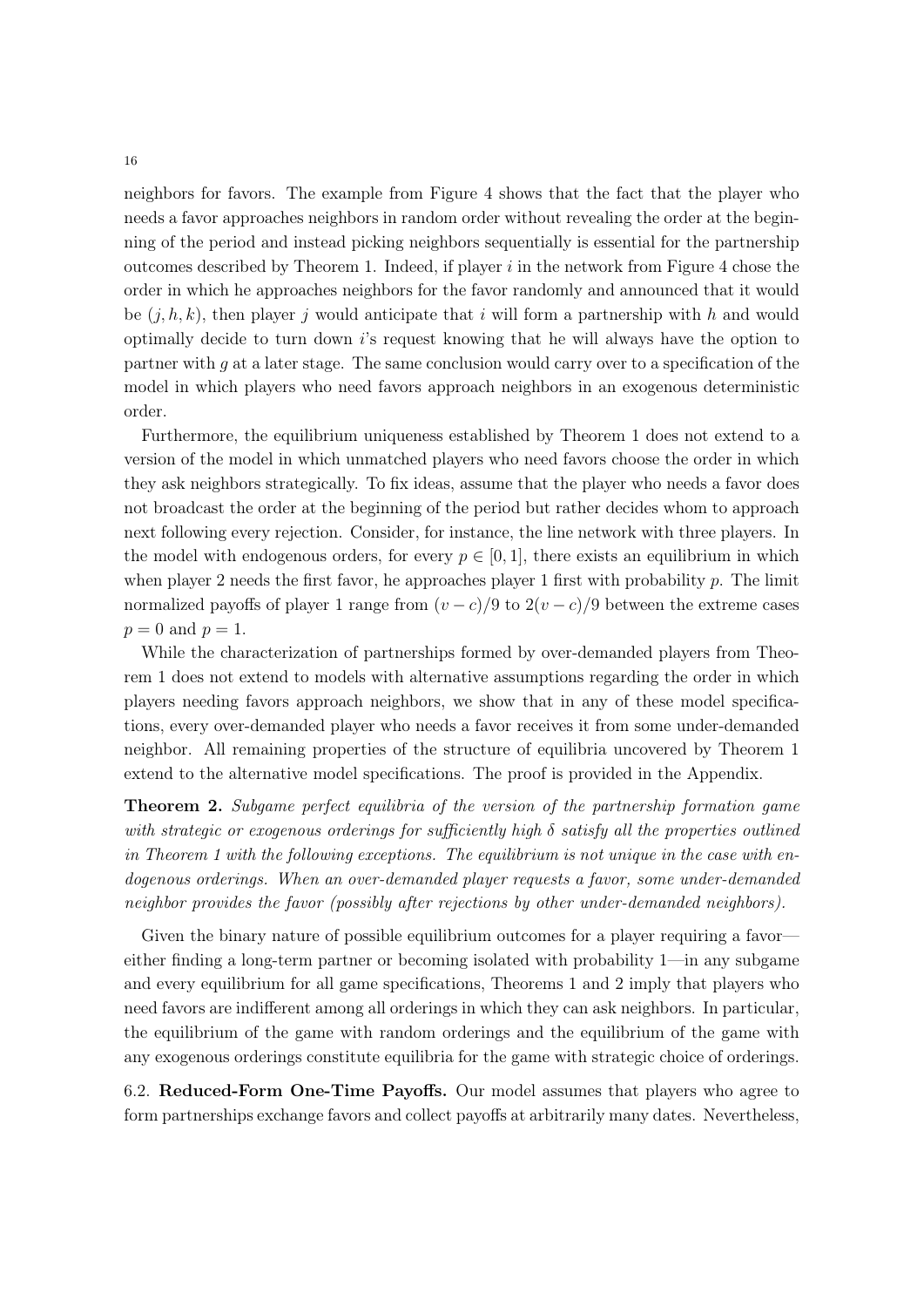neighbors for favors. The example from Figure 4 shows that the fact that the player who needs a favor approaches neighbors in random order without revealing the order at the beginning of the period and instead picking neighbors sequentially is essential for the partnership outcomes described by Theorem 1. Indeed, if player *i* in the network from Figure 4 chose the order in which he approaches neighbors for the favor randomly and announced that it would be  $(j, h, k)$ , then player *j* would anticipate that *i* will form a partnership with *h* and would optimally decide to turn down *i*'s request knowing that he will always have the option to partner with *g* at a later stage. The same conclusion would carry over to a specification of the model in which players who need favors approach neighbors in an exogenous deterministic order.

Furthermore, the equilibrium uniqueness established by Theorem 1 does not extend to a version of the model in which unmatched players who need favors choose the order in which they ask neighbors strategically. To fix ideas, assume that the player who needs a favor does not broadcast the order at the beginning of the period but rather decides whom to approach next following every rejection. Consider, for instance, the line network with three players. In the model with endogenous orders, for every  $p \in [0, 1]$ , there exists an equilibrium in which when player 2 needs the first favor, he approaches player 1 first with probability *p*. The limit normalized payoffs of player 1 range from  $(v-c)/9$  to  $2(v-c)/9$  between the extreme cases  $p = 0$  and  $p = 1$ .

While the characterization of partnerships formed by over-demanded players from Theorem 1 does not extend to models with alternative assumptions regarding the order in which players needing favors approach neighbors, we show that in any of these model specifications, every over-demanded player who needs a favor receives it from some under-demanded neighbor. All remaining properties of the structure of equilibria uncovered by Theorem 1 extend to the alternative model specifications. The proof is provided in the Appendix.

Theorem 2. *Subgame perfect equilibria of the version of the partnership formation game with strategic or exogenous orderings for sufficiently high*  $\delta$  *satisfy all the properties outlined in Theorem 1 with the following exceptions. The equilibrium is not unique in the case with endogenous orderings. When an over-demanded player requests a favor, some under-demanded neighbor provides the favor (possibly after rejections by other under-demanded neighbors).*

Given the binary nature of possible equilibrium outcomes for a player requiring a favor either finding a long-term partner or becoming isolated with probability 1—in any subgame and every equilibrium for all game specifications, Theorems 1 and 2 imply that players who need favors are indifferent among all orderings in which they can ask neighbors. In particular, the equilibrium of the game with random orderings and the equilibrium of the game with any exogenous orderings constitute equilibria for the game with strategic choice of orderings.

6.2. Reduced-Form One-Time Payoffs. Our model assumes that players who agree to form partnerships exchange favors and collect payoffs at arbitrarily many dates. Nevertheless,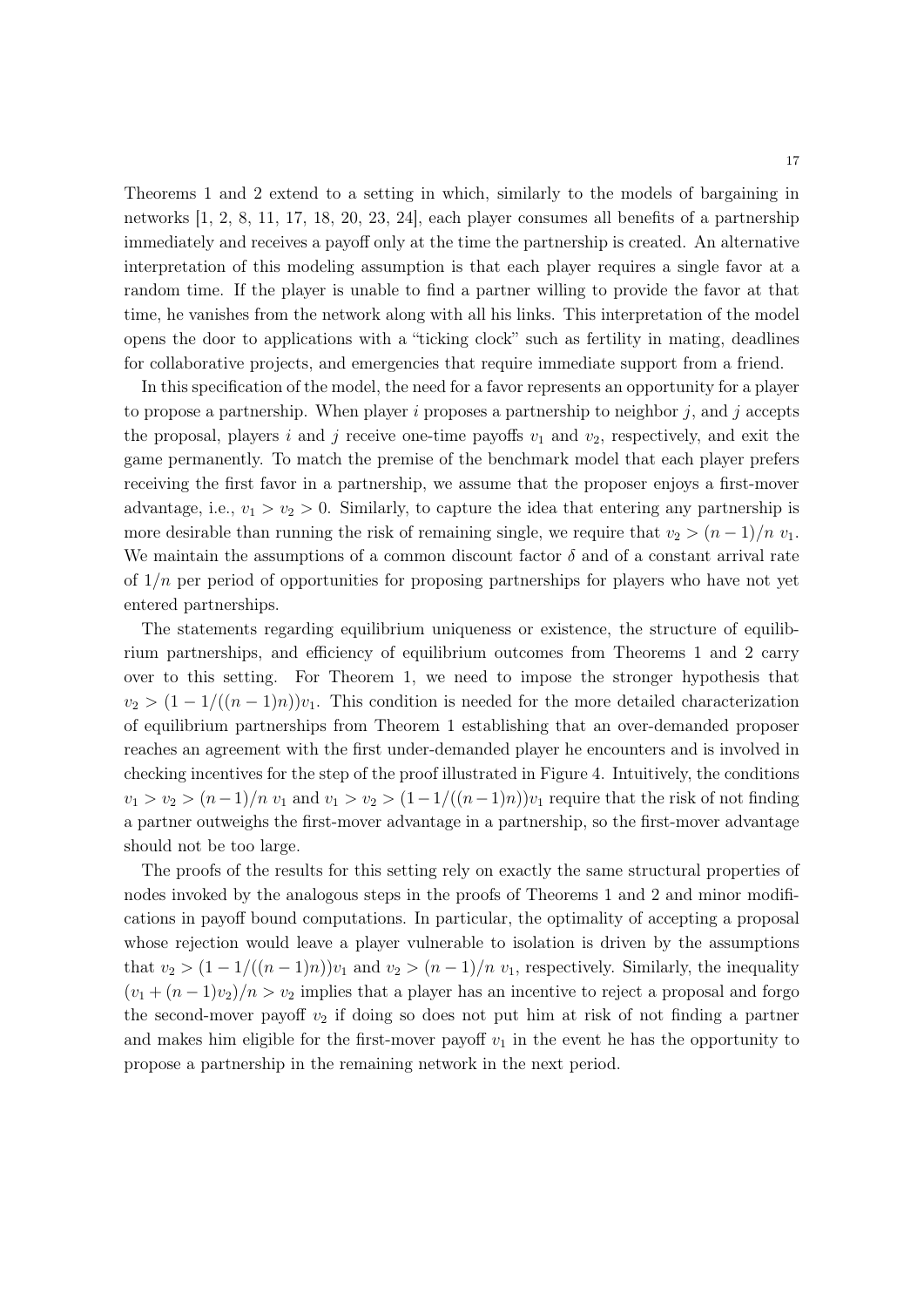Theorems 1 and 2 extend to a setting in which, similarly to the models of bargaining in networks [1, 2, 8, 11, 17, 18, 20, 23, 24], each player consumes all benefits of a partnership immediately and receives a payoff only at the time the partnership is created. An alternative interpretation of this modeling assumption is that each player requires a single favor at a random time. If the player is unable to find a partner willing to provide the favor at that time, he vanishes from the network along with all his links. This interpretation of the model opens the door to applications with a "ticking clock" such as fertility in mating, deadlines for collaborative projects, and emergencies that require immediate support from a friend.

In this specification of the model, the need for a favor represents an opportunity for a player to propose a partnership. When player *i* proposes a partnership to neighbor *j*, and *j* accepts the proposal, players *i* and *j* receive one-time payoffs  $v_1$  and  $v_2$ , respectively, and exit the game permanently. To match the premise of the benchmark model that each player prefers receiving the first favor in a partnership, we assume that the proposer enjoys a first-mover advantage, i.e.,  $v_1 > v_2 > 0$ . Similarly, to capture the idea that entering any partnership is more desirable than running the risk of remaining single, we require that  $v_2 > (n-1)/n$   $v_1$ . We maintain the assumptions of a common discount factor  $\delta$  and of a constant arrival rate of 1*/n* per period of opportunities for proposing partnerships for players who have not yet entered partnerships.

The statements regarding equilibrium uniqueness or existence, the structure of equilibrium partnerships, and efficiency of equilibrium outcomes from Theorems 1 and 2 carry over to this setting. For Theorem 1, we need to impose the stronger hypothesis that  $v_2 > (1 - 1/((n - 1)n))v_1$ . This condition is needed for the more detailed characterization of equilibrium partnerships from Theorem 1 establishing that an over-demanded proposer reaches an agreement with the first under-demanded player he encounters and is involved in checking incentives for the step of the proof illustrated in Figure 4. Intuitively, the conditions  $v_1 > v_2 > (n-1)/n$  *v*<sub>1</sub> and  $v_1 > v_2 > (1-1/((n-1)n))v_1$  require that the risk of not finding a partner outweighs the first-mover advantage in a partnership, so the first-mover advantage should not be too large.

The proofs of the results for this setting rely on exactly the same structural properties of nodes invoked by the analogous steps in the proofs of Theorems 1 and 2 and minor modifications in payoff bound computations. In particular, the optimality of accepting a proposal whose rejection would leave a player vulnerable to isolation is driven by the assumptions that  $v_2 > (1 - 1/((n-1)n))v_1$  and  $v_2 > (n-1)/n$   $v_1$ , respectively. Similarly, the inequality  $(v_1 + (n-1)v_2)/n > v_2$  implies that a player has an incentive to reject a proposal and forgo the second-mover payoff  $v_2$  if doing so does not put him at risk of not finding a partner and makes him eligible for the first-mover payoff  $v_1$  in the event he has the opportunity to propose a partnership in the remaining network in the next period.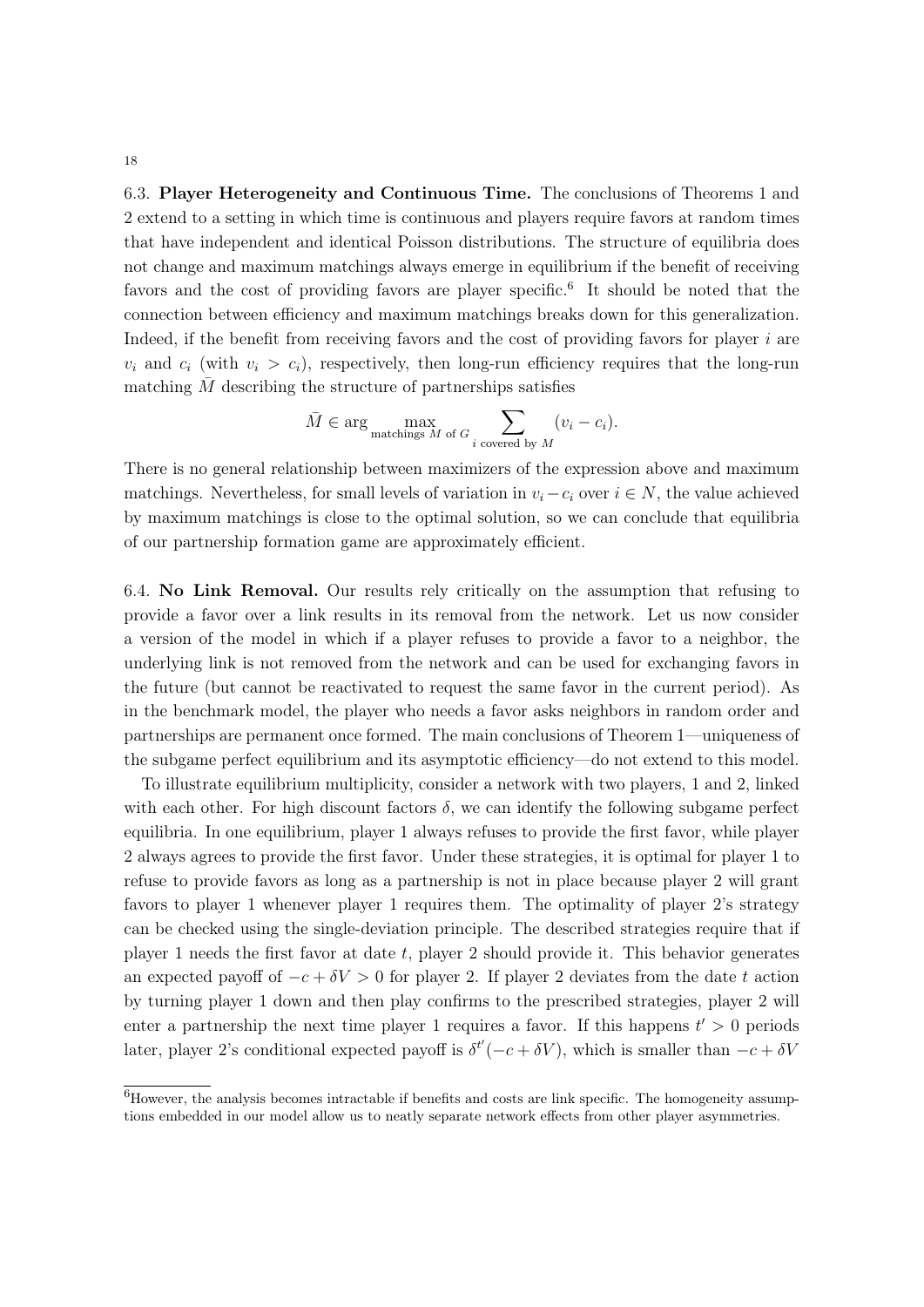6.3. Player Heterogeneity and Continuous Time. The conclusions of Theorems 1 and 2 extend to a setting in which time is continuous and players require favors at random times that have independent and identical Poisson distributions. The structure of equilibria does not change and maximum matchings always emerge in equilibrium if the benefit of receiving favors and the cost of providing favors are player specific.<sup>6</sup> It should be noted that the connection between efficiency and maximum matchings breaks down for this generalization. Indeed, if the benefit from receiving favors and the cost of providing favors for player *i* are  $v_i$  and  $c_i$  (with  $v_i > c_i$ ), respectively, then long-run efficiency requires that the long-run matching  $\overline{M}$  describing the structure of partnerships satisfies

$$
\overline{M} \in \arg\max_{\text{matching } M \text{ of } G} \sum_{i \text{ covered by } M} (v_i - c_i).
$$

There is no general relationship between maximizers of the expression above and maximum matchings. Nevertheless, for small levels of variation in  $v_i - c_i$  over  $i \in N$ , the value achieved by maximum matchings is close to the optimal solution, so we can conclude that equilibria of our partnership formation game are approximately efficient.

6.4. No Link Removal. Our results rely critically on the assumption that refusing to provide a favor over a link results in its removal from the network. Let us now consider a version of the model in which if a player refuses to provide a favor to a neighbor, the underlying link is not removed from the network and can be used for exchanging favors in the future (but cannot be reactivated to request the same favor in the current period). As in the benchmark model, the player who needs a favor asks neighbors in random order and partnerships are permanent once formed. The main conclusions of Theorem 1—uniqueness of the subgame perfect equilibrium and its asymptotic efficiency—do not extend to this model.

To illustrate equilibrium multiplicity, consider a network with two players, 1 and 2, linked with each other. For high discount factors  $\delta$ , we can identify the following subgame perfect equilibria. In one equilibrium, player 1 always refuses to provide the first favor, while player 2 always agrees to provide the first favor. Under these strategies, it is optimal for player 1 to refuse to provide favors as long as a partnership is not in place because player 2 will grant favors to player 1 whenever player 1 requires them. The optimality of player 2's strategy can be checked using the single-deviation principle. The described strategies require that if player 1 needs the first favor at date *t*, player 2 should provide it. This behavior generates an expected payoff of  $-c + \delta V > 0$  for player 2. If player 2 deviates from the date t action by turning player 1 down and then play confirms to the prescribed strategies, player 2 will enter a partnership the next time player 1 requires a favor. If this happens  $t' > 0$  periods later, player 2's conditional expected payoff is  $\delta^{t'}(-c + \delta V)$ , which is smaller than  $-c + \delta V$ 

<sup>&</sup>lt;sup>6</sup>However, the analysis becomes intractable if benefits and costs are link specific. The homogeneity assumptions embedded in our model allow us to neatly separate network effects from other player asymmetries.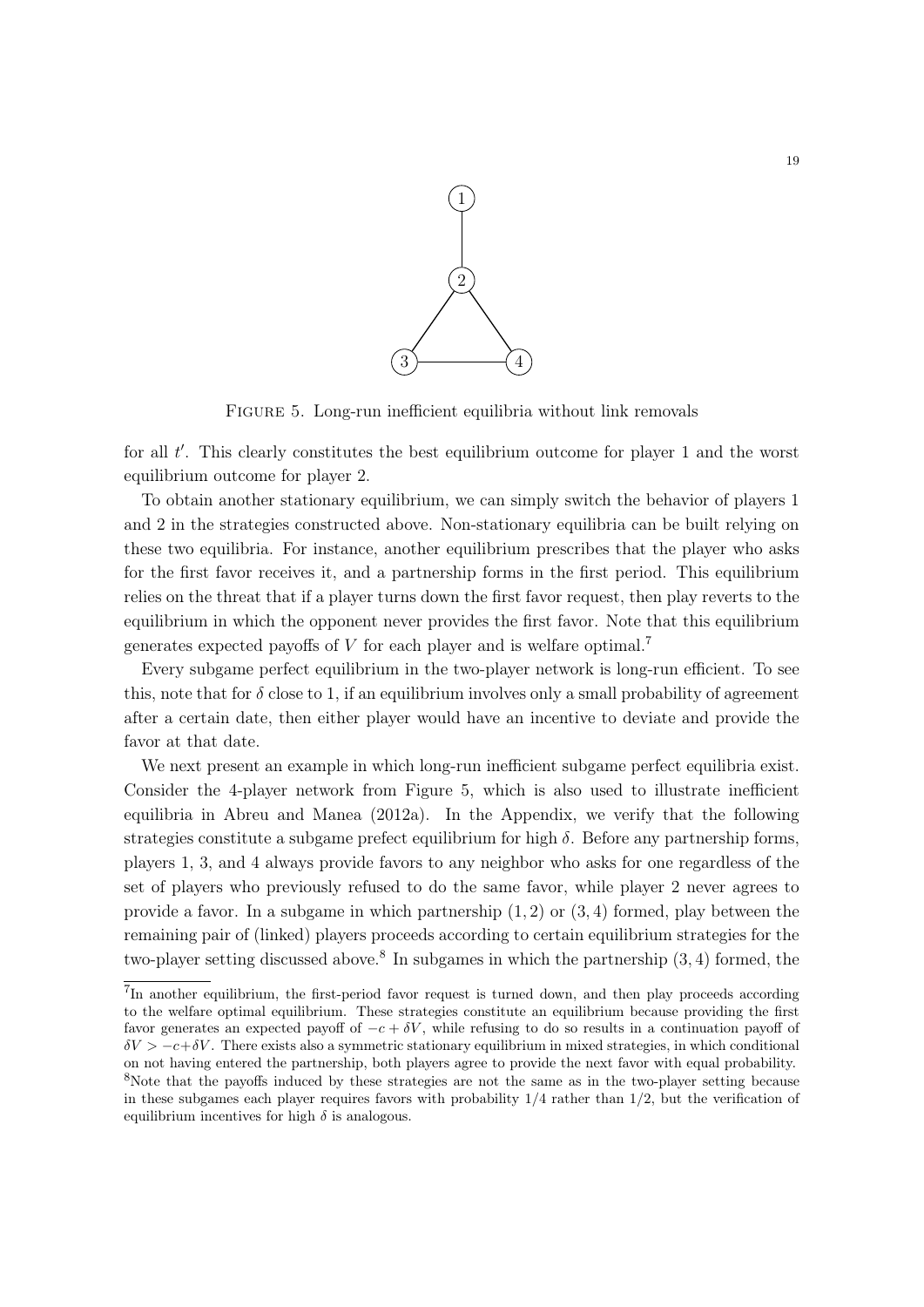

FIGURE 5. Long-run inefficient equilibria without link removals

for all t'. This clearly constitutes the best equilibrium outcome for player 1 and the worst equilibrium outcome for player 2.

To obtain another stationary equilibrium, we can simply switch the behavior of players 1 and 2 in the strategies constructed above. Non-stationary equilibria can be built relying on these two equilibria. For instance, another equilibrium prescribes that the player who asks for the first favor receives it, and a partnership forms in the first period. This equilibrium relies on the threat that if a player turns down the first favor request, then play reverts to the equilibrium in which the opponent never provides the first favor. Note that this equilibrium generates expected payoffs of *V* for each player and is welfare optimal.<sup>7</sup>

Every subgame perfect equilibrium in the two-player network is long-run efficient. To see this, note that for  $\delta$  close to 1, if an equilibrium involves only a small probability of agreement after a certain date, then either player would have an incentive to deviate and provide the favor at that date.

We next present an example in which long-run inefficient subgame perfect equilibria exist. Consider the 4-player network from Figure 5, which is also used to illustrate inefficient equilibria in Abreu and Manea (2012a). In the Appendix, we verify that the following strategies constitute a subgame prefect equilibrium for high  $\delta$ . Before any partnership forms, players 1, 3, and 4 always provide favors to any neighbor who asks for one regardless of the set of players who previously refused to do the same favor, while player 2 never agrees to provide a favor. In a subgame in which partnership (1*,* 2) or (3*,* 4) formed, play between the remaining pair of (linked) players proceeds according to certain equilibrium strategies for the two-player setting discussed above.<sup>8</sup> In subgames in which the partnership (3, 4) formed, the

<sup>&</sup>lt;sup>7</sup>In another equilibrium, the first-period favor request is turned down, and then play proceeds according to the welfare optimal equilibrium. These strategies constitute an equilibrium because providing the first favor generates an expected payoff of  $-c + \delta V$ , while refusing to do so results in a continuation payoff of  $\delta V > -c + \delta V$ . There exists also a symmetric stationary equilibrium in mixed strategies, in which conditional on not having entered the partnership, both players agree to provide the next favor with equal probability. <sup>8</sup>Note that the payoffs induced by these strategies are not the same as in the two-player setting because in these subgames each player requires favors with probability 1*/*4 rather than 1*/*2, but the verification of equilibrium incentives for high  $\delta$  is analogous.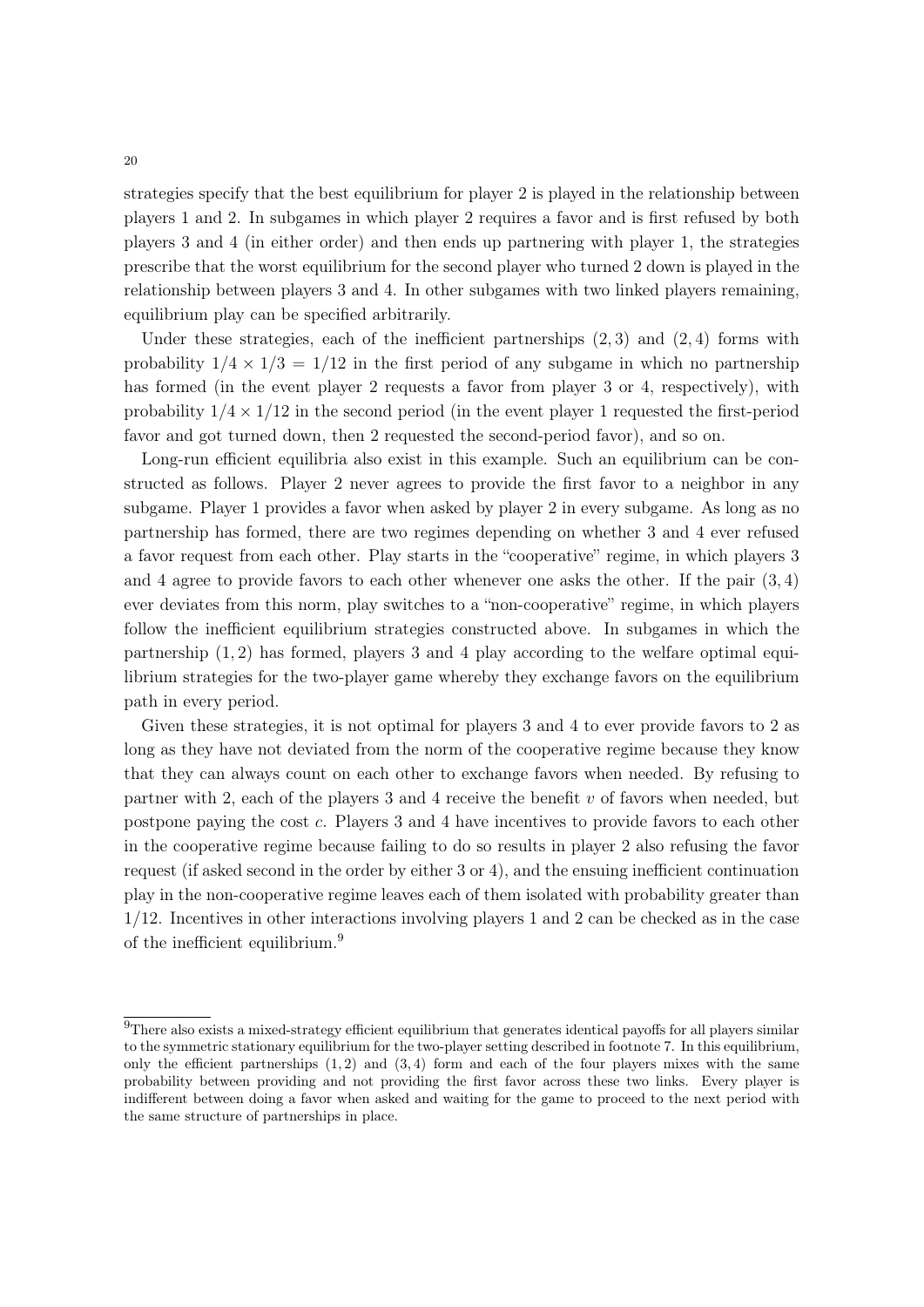strategies specify that the best equilibrium for player 2 is played in the relationship between players 1 and 2. In subgames in which player 2 requires a favor and is first refused by both players 3 and 4 (in either order) and then ends up partnering with player 1, the strategies prescribe that the worst equilibrium for the second player who turned 2 down is played in the relationship between players 3 and 4. In other subgames with two linked players remaining, equilibrium play can be specified arbitrarily.

Under these strategies, each of the inefficient partnerships (2*,* 3) and (2*,* 4) forms with probability  $1/4 \times 1/3 = 1/12$  in the first period of any subgame in which no partnership has formed (in the event player 2 requests a favor from player 3 or 4, respectively), with probability  $1/4 \times 1/12$  in the second period (in the event player 1 requested the first-period favor and got turned down, then 2 requested the second-period favor), and so on.

Long-run efficient equilibria also exist in this example. Such an equilibrium can be constructed as follows. Player 2 never agrees to provide the first favor to a neighbor in any subgame. Player 1 provides a favor when asked by player 2 in every subgame. As long as no partnership has formed, there are two regimes depending on whether 3 and 4 ever refused a favor request from each other. Play starts in the "cooperative" regime, in which players 3 and 4 agree to provide favors to each other whenever one asks the other. If the pair (3*,* 4) ever deviates from this norm, play switches to a "non-cooperative" regime, in which players follow the inefficient equilibrium strategies constructed above. In subgames in which the partnership (1*,* 2) has formed, players 3 and 4 play according to the welfare optimal equilibrium strategies for the two-player game whereby they exchange favors on the equilibrium path in every period.

Given these strategies, it is not optimal for players 3 and 4 to ever provide favors to 2 as long as they have not deviated from the norm of the cooperative regime because they know that they can always count on each other to exchange favors when needed. By refusing to partner with 2, each of the players 3 and 4 receive the benefit *v* of favors when needed, but postpone paying the cost *c*. Players 3 and 4 have incentives to provide favors to each other in the cooperative regime because failing to do so results in player 2 also refusing the favor request (if asked second in the order by either 3 or 4), and the ensuing inefficient continuation play in the non-cooperative regime leaves each of them isolated with probability greater than 1*/*12. Incentives in other interactions involving players 1 and 2 can be checked as in the case of the inefficient equilibrium.<sup>9</sup>

 $9$ There also exists a mixed-strategy efficient equilibrium that generates identical payoffs for all players similar to the symmetric stationary equilibrium for the two-player setting described in footnote 7. In this equilibrium, only the efficient partnerships  $(1, 2)$  and  $(3, 4)$  form and each of the four players mixes with the same probability between providing and not providing the first favor across these two links. Every player is indifferent between doing a favor when asked and waiting for the game to proceed to the next period with the same structure of partnerships in place.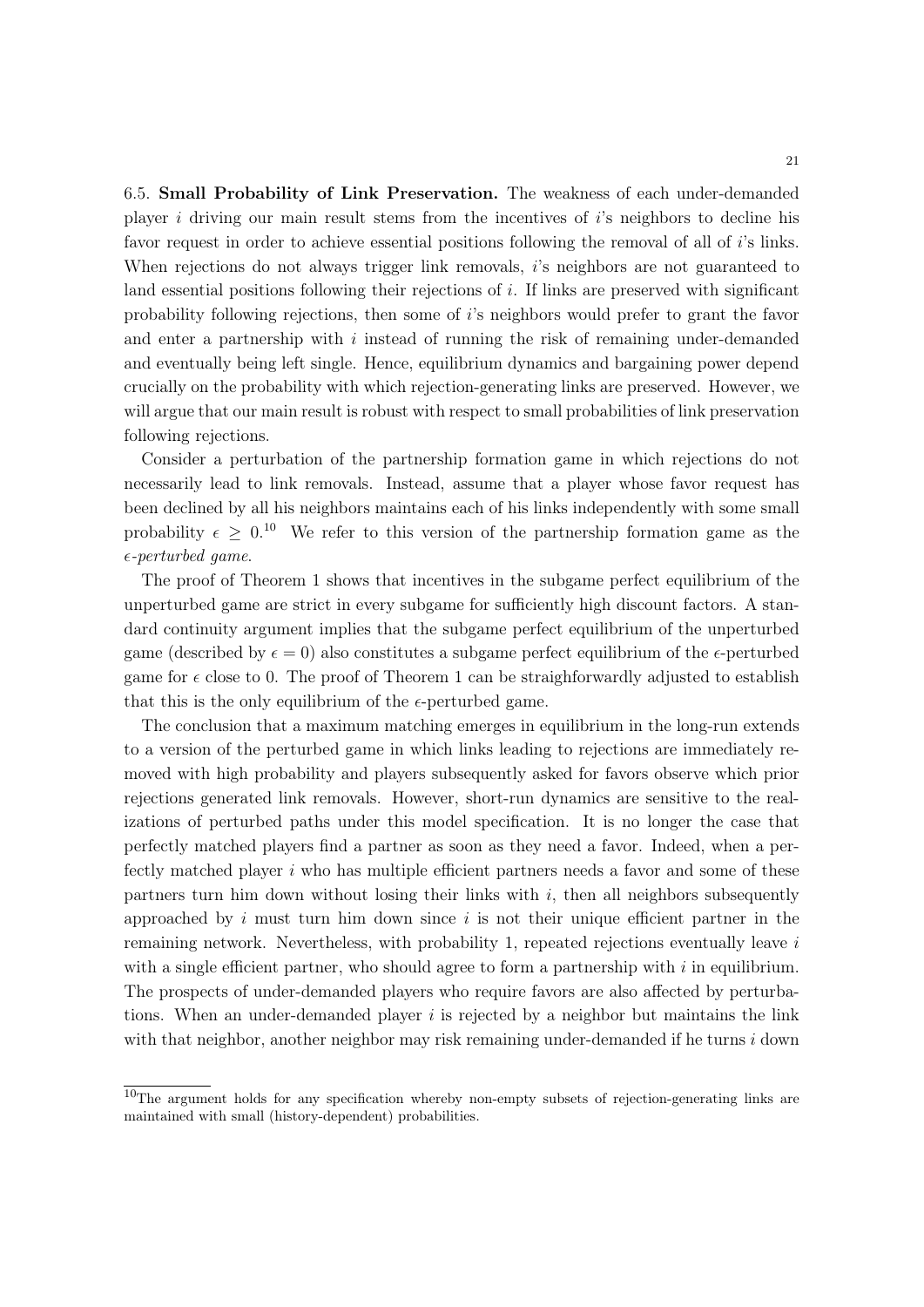6.5. Small Probability of Link Preservation. The weakness of each under-demanded player *i* driving our main result stems from the incentives of *i*'s neighbors to decline his favor request in order to achieve essential positions following the removal of all of *i*'s links. When rejections do not always trigger link removals, *i*'s neighbors are not guaranteed to land essential positions following their rejections of *i*. If links are preserved with significant probability following rejections, then some of *i*'s neighbors would prefer to grant the favor and enter a partnership with *i* instead of running the risk of remaining under-demanded and eventually being left single. Hence, equilibrium dynamics and bargaining power depend crucially on the probability with which rejection-generating links are preserved. However, we will argue that our main result is robust with respect to small probabilities of link preservation following rejections.

Consider a perturbation of the partnership formation game in which rejections do not necessarily lead to link removals. Instead, assume that a player whose favor request has been declined by all his neighbors maintains each of his links independently with some small probability  $\epsilon \geq 0.10$  We refer to this version of the partnership formation game as the ✏*-perturbed game*.

The proof of Theorem 1 shows that incentives in the subgame perfect equilibrium of the unperturbed game are strict in every subgame for sufficiently high discount factors. A standard continuity argument implies that the subgame perfect equilibrium of the unperturbed game (described by  $\epsilon = 0$ ) also constitutes a subgame perfect equilibrium of the  $\epsilon$ -perturbed game for  $\epsilon$  close to 0. The proof of Theorem 1 can be straighforwardly adjusted to establish that this is the only equilibrium of the  $\epsilon$ -perturbed game.

The conclusion that a maximum matching emerges in equilibrium in the long-run extends to a version of the perturbed game in which links leading to rejections are immediately removed with high probability and players subsequently asked for favors observe which prior rejections generated link removals. However, short-run dynamics are sensitive to the realizations of perturbed paths under this model specification. It is no longer the case that perfectly matched players find a partner as soon as they need a favor. Indeed, when a perfectly matched player *i* who has multiple efficient partners needs a favor and some of these partners turn him down without losing their links with  $i$ , then all neighbors subsequently approached by *i* must turn him down since *i* is not their unique efficient partner in the remaining network. Nevertheless, with probability 1, repeated rejections eventually leave *i* with a single efficient partner, who should agree to form a partnership with *i* in equilibrium. The prospects of under-demanded players who require favors are also affected by perturbations. When an under-demanded player *i* is rejected by a neighbor but maintains the link with that neighbor, another neighbor may risk remaining under-demanded if he turns *i* down

<sup>&</sup>lt;sup>10</sup>The argument holds for any specification whereby non-empty subsets of rejection-generating links are maintained with small (history-dependent) probabilities.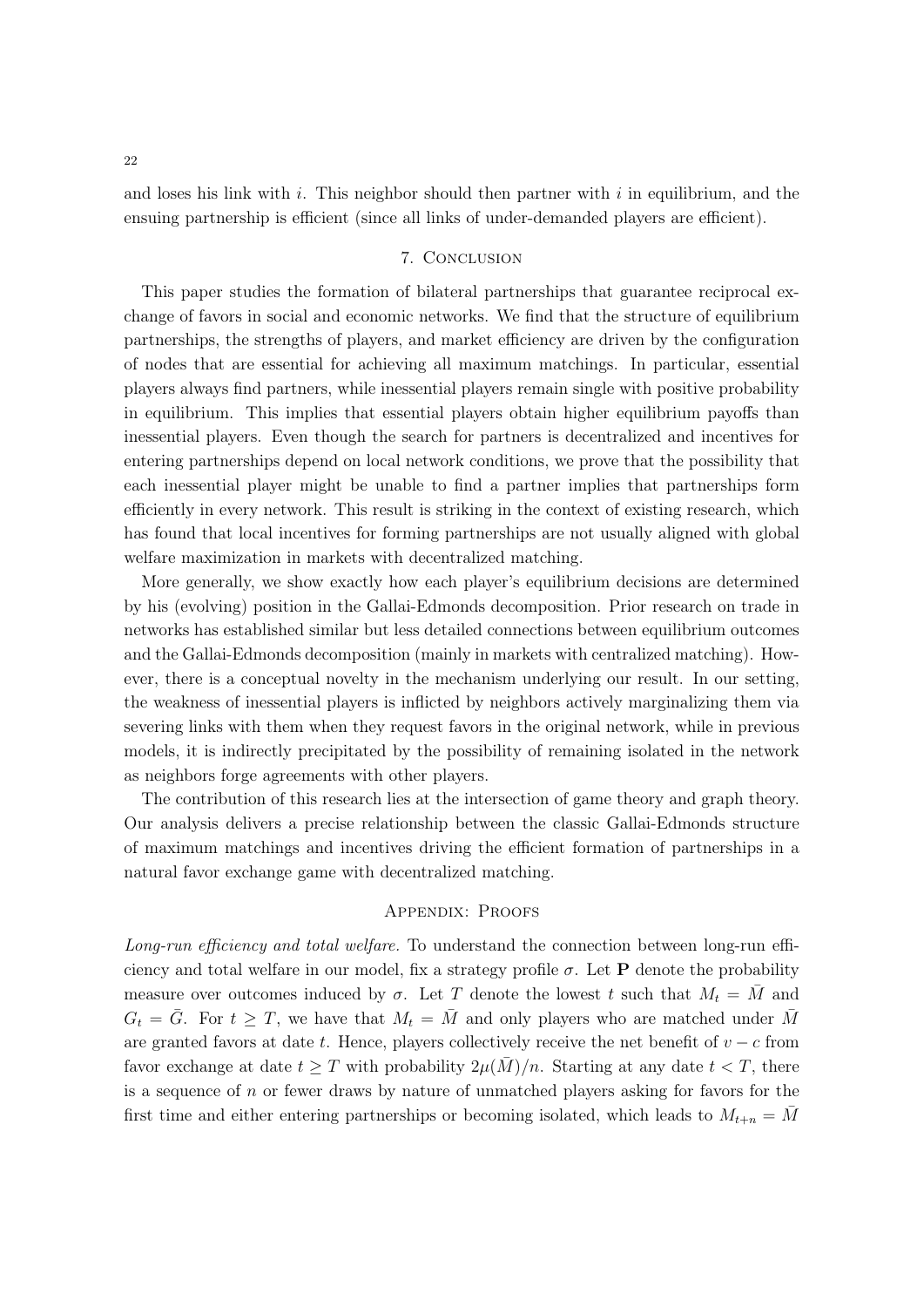and loses his link with *i*. This neighbor should then partner with *i* in equilibrium, and the ensuing partnership is efficient (since all links of under-demanded players are efficient).

# 7. Conclusion

This paper studies the formation of bilateral partnerships that guarantee reciprocal exchange of favors in social and economic networks. We find that the structure of equilibrium partnerships, the strengths of players, and market efficiency are driven by the configuration of nodes that are essential for achieving all maximum matchings. In particular, essential players always find partners, while inessential players remain single with positive probability in equilibrium. This implies that essential players obtain higher equilibrium payoffs than inessential players. Even though the search for partners is decentralized and incentives for entering partnerships depend on local network conditions, we prove that the possibility that each inessential player might be unable to find a partner implies that partnerships form efficiently in every network. This result is striking in the context of existing research, which has found that local incentives for forming partnerships are not usually aligned with global welfare maximization in markets with decentralized matching.

More generally, we show exactly how each player's equilibrium decisions are determined by his (evolving) position in the Gallai-Edmonds decomposition. Prior research on trade in networks has established similar but less detailed connections between equilibrium outcomes and the Gallai-Edmonds decomposition (mainly in markets with centralized matching). However, there is a conceptual novelty in the mechanism underlying our result. In our setting, the weakness of inessential players is inflicted by neighbors actively marginalizing them via severing links with them when they request favors in the original network, while in previous models, it is indirectly precipitated by the possibility of remaining isolated in the network as neighbors forge agreements with other players.

The contribution of this research lies at the intersection of game theory and graph theory. Our analysis delivers a precise relationship between the classic Gallai-Edmonds structure of maximum matchings and incentives driving the efficient formation of partnerships in a natural favor exchange game with decentralized matching.

# Appendix: Proofs

*Long-run e*ffi*ciency and total welfare.* To understand the connection between long-run efficiency and total welfare in our model, fix a strategy profile  $\sigma$ . Let **P** denote the probability measure over outcomes induced by  $\sigma$ . Let *T* denote the lowest *t* such that  $M_t = \overline{M}$  and  $G_t = \bar{G}$ . For  $t \geq T$ , we have that  $M_t = \bar{M}$  and only players who are matched under  $\bar{M}$ are granted favors at date *t*. Hence, players collectively receive the net benefit of  $v - c$  from favor exchange at date  $t > T$  with probability  $2\mu(M)/n$ . Starting at any date  $t < T$ , there is a sequence of *n* or fewer draws by nature of unmatched players asking for favors for the first time and either entering partnerships or becoming isolated, which leads to  $M_{t+n} = M$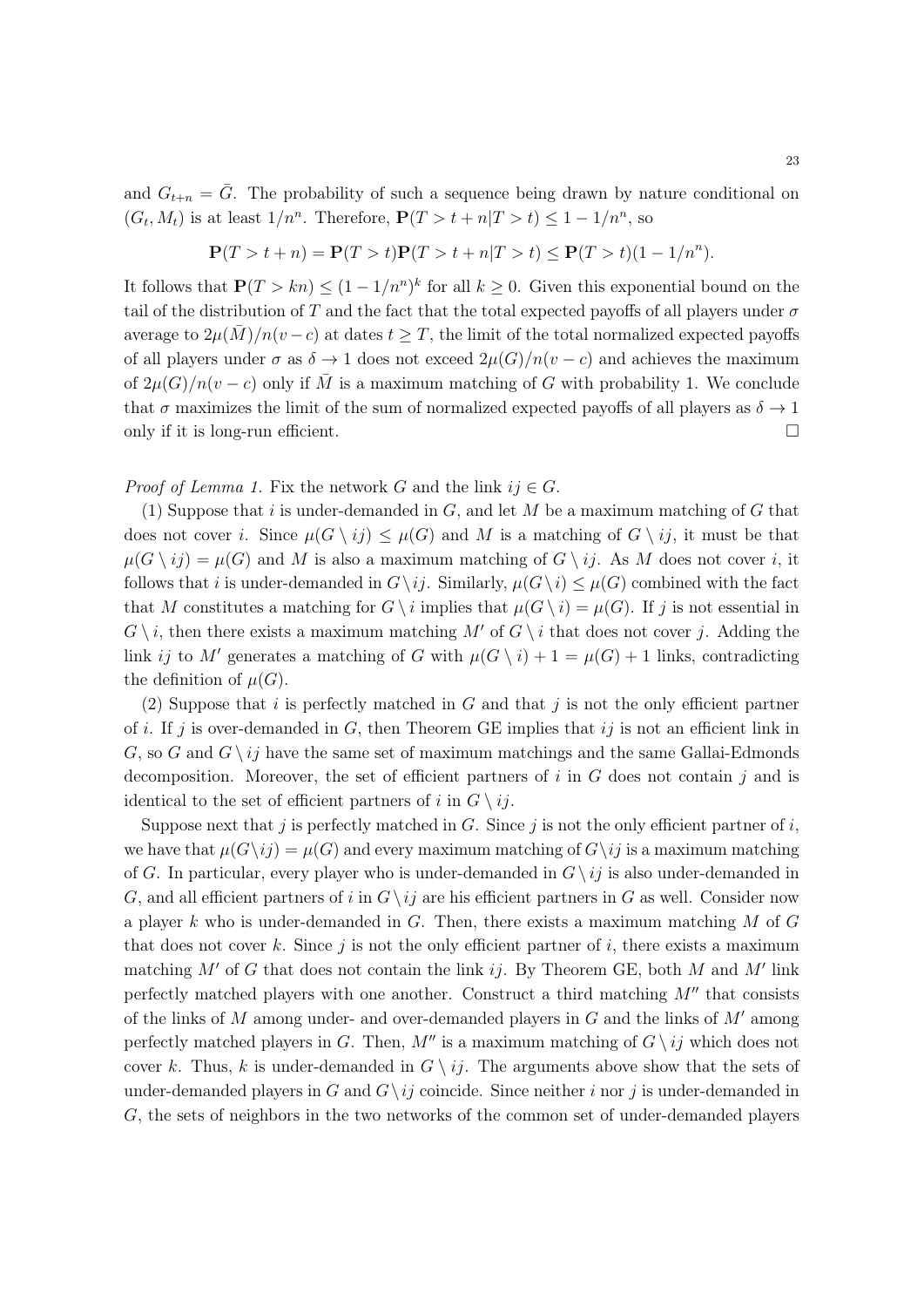and  $G_{t+n} = \overline{G}$ . The probability of such a sequence being drawn by nature conditional on  $(G_t, M_t)$  is at least  $1/n^n$ . Therefore,  $P(T > t + n|T > t) \leq 1 - 1/n^n$ , so

$$
\mathbf{P}(T > t + n) = \mathbf{P}(T > t)\mathbf{P}(T > t + n|T > t) \le \mathbf{P}(T > t)(1 - 1/n^n).
$$

It follows that  $P(T > kn) \leq (1 - 1/n^n)^k$  for all  $k \geq 0$ . Given this exponential bound on the tail of the distribution of T and the fact that the total expected payoffs of all players under  $\sigma$ average to  $2\mu(\overline{M})/n(v-c)$  at dates  $t > T$ , the limit of the total normalized expected payoffs of all players under  $\sigma$  as  $\delta \to 1$  does not exceed  $2\mu(G)/n(v-c)$  and achieves the maximum of  $2\mu(G)/n(v-c)$  only if  $\overline{M}$  is a maximum matching of *G* with probability 1. We conclude that  $\sigma$  maximizes the limit of the sum of normalized expected payoffs of all players as  $\delta \to 1$ only if it is long-run efficient.  $\Box$ 

### *Proof of Lemma 1.* Fix the network *G* and the link  $ij \in G$ .

(1) Suppose that *i* is under-demanded in *G*, and let *M* be a maximum matching of *G* that does not cover *i*. Since  $\mu(G \setminus ij) \leq \mu(G)$  and M is a matching of  $G \setminus ij$ , it must be that  $\mu(G \setminus ij) = \mu(G)$  and M is also a maximum matching of  $G \setminus ij$ . As M does not cover *i*, it follows that *i* is under-demanded in  $G \setminus ij$ . Similarly,  $\mu(G \setminus i) \leq \mu(G)$  combined with the fact that *M* constitutes a matching for  $G \setminus i$  implies that  $\mu(G \setminus i) = \mu(G)$ . If *j* is not essential in  $G \setminus i$ , then there exists a maximum matching M' of  $G \setminus i$  that does not cover *j*. Adding the link *ij* to *M*<sup> $\prime$ </sup> generates a matching of *G* with  $\mu(G \setminus i) + 1 = \mu(G) + 1$  links, contradicting the definition of  $\mu(G)$ .

(2) Suppose that *i* is perfectly matched in *G* and that *j* is not the only efficient partner of *i*. If *j* is over-demanded in *G*, then Theorem GE implies that *ij* is not an efficient link in *G*, so *G* and  $G \setminus ij$  have the same set of maximum matchings and the same Gallai-Edmonds decomposition. Moreover, the set of efficient partners of *i* in *G* does not contain *j* and is identical to the set of efficient partners of *i* in  $G \setminus i j$ .

Suppose next that  $j$  is perfectly matched in  $G$ . Since  $j$  is not the only efficient partner of  $i$ , we have that  $\mu(G\backslash i) = \mu(G)$  and every maximum matching of  $G\backslash i$  is a maximum matching of *G*. In particular, every player who is under-demanded in  $G \setminus ij$  is also under-demanded in *G*, and all efficient partners of *i* in  $G \setminus i_j$  are his efficient partners in *G* as well. Consider now a player *k* who is under-demanded in *G*. Then, there exists a maximum matching *M* of *G* that does not cover  $k$ . Since  $j$  is not the only efficient partner of  $i$ , there exists a maximum matching  $M'$  of  $G$  that does not contain the link  $ij$ . By Theorem GE, both  $M$  and  $M'$  link perfectly matched players with one another. Construct a third matching  $M''$  that consists of the links of  $M$  among under- and over-demanded players in  $G$  and the links of  $M'$  among perfectly matched players in *G*. Then,  $M''$  is a maximum matching of  $G \setminus ij$  which does not cover *k*. Thus, *k* is under-demanded in  $G \setminus i_j$ . The arguments above show that the sets of under-demanded players in *G* and  $G \setminus ij$  coincide. Since neither *i* nor *j* is under-demanded in *G*, the sets of neighbors in the two networks of the common set of under-demanded players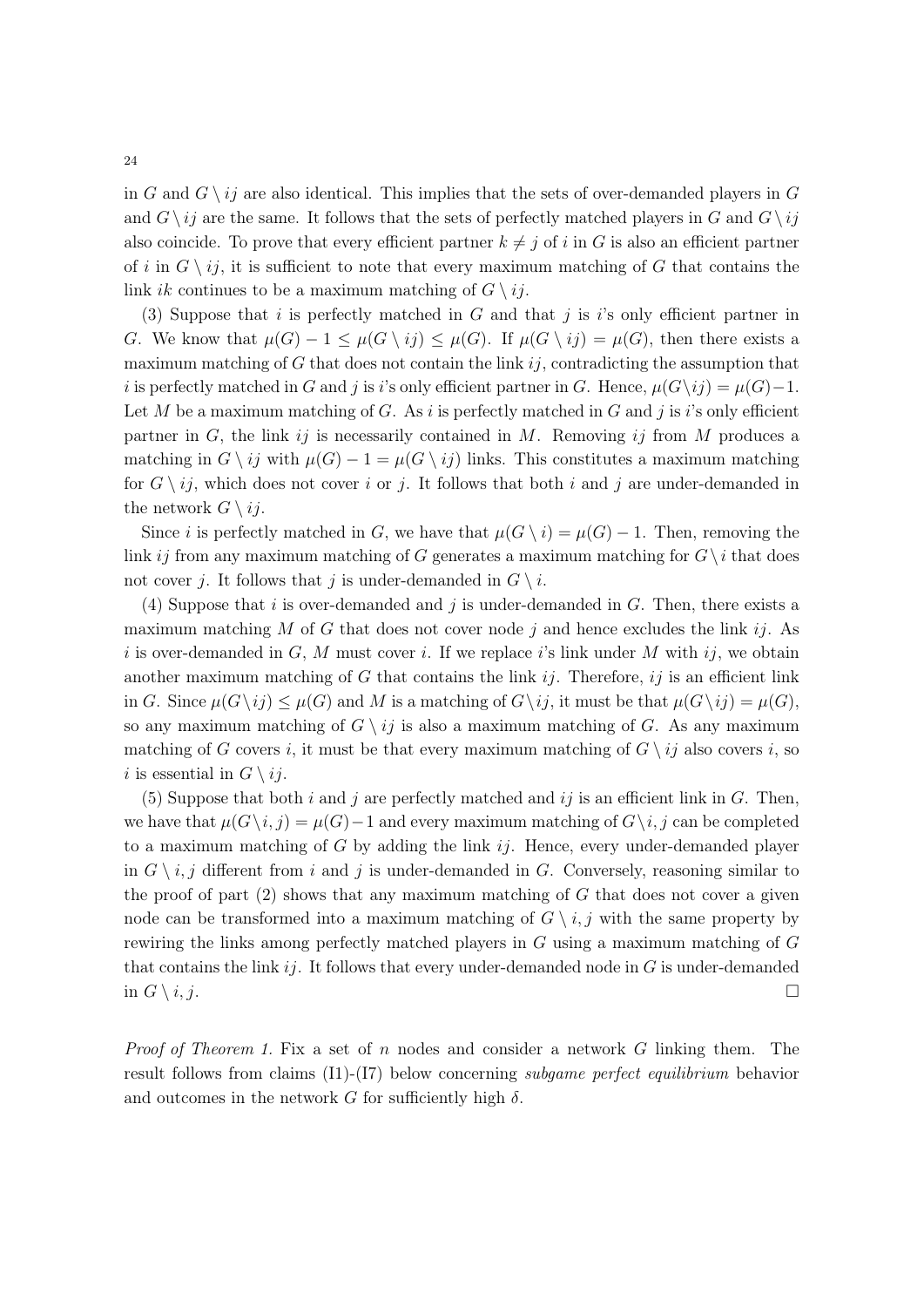in *G* and  $G \setminus ij$  are also identical. This implies that the sets of over-demanded players in *G* and  $G \setminus ij$  are the same. It follows that the sets of perfectly matched players in *G* and  $G \setminus ij$ also coincide. To prove that every efficient partner  $k \neq j$  of *i* in *G* is also an efficient partner of *i* in  $G \setminus i_j$ , it is sufficient to note that every maximum matching of  $G$  that contains the link *ik* continues to be a maximum matching of  $G \setminus i_j$ .

(3) Suppose that *i* is perfectly matched in *G* and that *j* is *i*'s only efficient partner in *G*. We know that  $\mu(G) - 1 \leq \mu(G \setminus ij) \leq \mu(G)$ . If  $\mu(G \setminus ij) = \mu(G)$ , then there exists a maximum matching of *G* that does not contain the link *ij*, contradicting the assumption that *i* is perfectly matched in *G* and *j* is *i*'s only efficient partner in *G*. Hence,  $\mu(G \setminus i j) = \mu(G) - 1$ . Let  $M$  be a maximum matching of  $G$ . As  $i$  is perfectly matched in  $G$  and  $j$  is  $i$ 's only efficient partner in *G*, the link  $ij$  is necessarily contained in *M*. Removing  $ij$  from *M* produces a matching in  $G \setminus ij$  with  $\mu(G) - 1 = \mu(G \setminus ij)$  links. This constitutes a maximum matching for  $G \setminus ij$ , which does not cover *i* or *j*. It follows that both *i* and *j* are under-demanded in the network  $G \setminus i_j$ .

Since *i* is perfectly matched in *G*, we have that  $\mu(G \setminus i) = \mu(G) - 1$ . Then, removing the link *ij* from any maximum matching of *G* generates a maximum matching for  $G \setminus i$  that does not cover *j*. It follows that *j* is under-demanded in  $G \setminus i$ .

(4) Suppose that *i* is over-demanded and *j* is under-demanded in *G*. Then, there exists a maximum matching *M* of *G* that does not cover node *j* and hence excludes the link *ij*. As *i* is over-demanded in *G*, *M* must cover *i*. If we replace *i*'s link under *M* with *ij*, we obtain another maximum matching of *G* that contains the link *ij*. Therefore, *ij* is an efficient link in *G*. Since  $\mu(G \setminus ij) \leq \mu(G)$  and *M* is a matching of  $G \setminus ij$ , it must be that  $\mu(G \setminus ij) = \mu(G)$ , so any maximum matching of  $G \setminus i_j$  is also a maximum matching of G. As any maximum matching of *G* covers *i*, it must be that every maximum matching of  $G \setminus ij$  also covers *i*, so *i* is essential in  $G \setminus i_j$ .

(5) Suppose that both  $i$  and  $j$  are perfectly matched and  $i\,j$  is an efficient link in  $G$ . Then, we have that  $\mu(G\backslash i, j) = \mu(G) - 1$  and every maximum matching of  $G\backslash i, j$  can be completed to a maximum matching of *G* by adding the link *ij*. Hence, every under-demanded player in  $G \setminus i, j$  different from i and j is under-demanded in G. Conversely, reasoning similar to the proof of part (2) shows that any maximum matching of *G* that does not cover a given node can be transformed into a maximum matching of  $G \setminus i, j$  with the same property by rewiring the links among perfectly matched players in *G* using a maximum matching of *G* that contains the link *ij*. It follows that every under-demanded node in *G* is under-demanded in  $G \setminus i, j$ .

*Proof of Theorem 1.* Fix a set of *n* nodes and consider a network *G* linking them. The result follows from claims (I1)-(I7) below concerning *subgame perfect equilibrium* behavior and outcomes in the network  $G$  for sufficiently high  $\delta$ .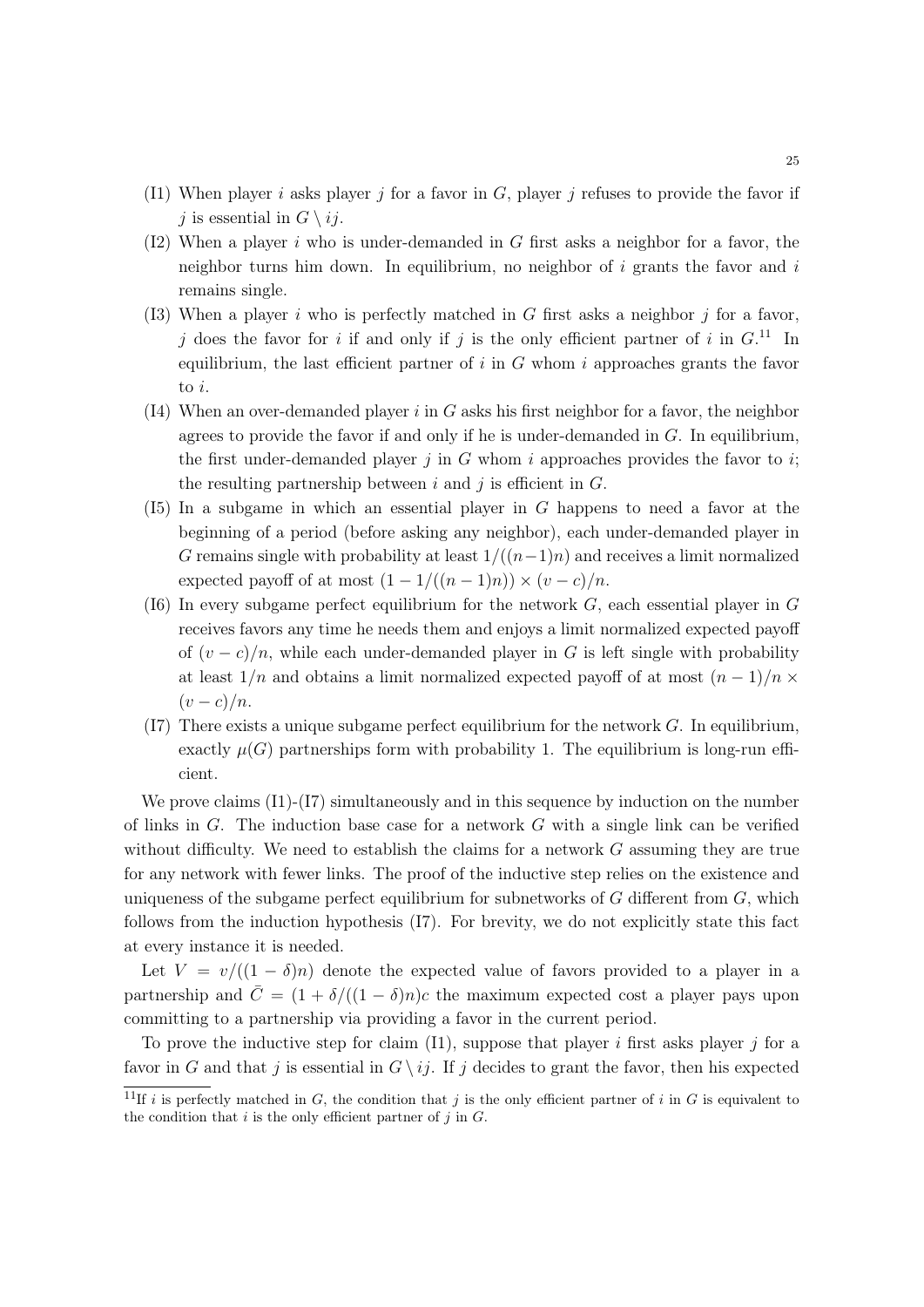- (I1) When player *i* asks player *j* for a favor in *G*, player *j* refuses to provide the favor if *j* is essential in  $G \setminus ij$ .
- (I2) When a player *i* who is under-demanded in *G* first asks a neighbor for a favor, the neighbor turns him down. In equilibrium, no neighbor of *i* grants the favor and *i* remains single.
- (I3) When a player *i* who is perfectly matched in *G* first asks a neighbor *j* for a favor, *j* does the favor for *i* if and only if *j* is the only efficient partner of *i* in  $G$ <sup>11</sup>. In equilibrium, the last efficient partner of  $i$  in  $G$  whom  $i$  approaches grants the favor to *i*.
- (I4) When an over-demanded player *i* in *G* asks his first neighbor for a favor, the neighbor agrees to provide the favor if and only if he is under-demanded in *G*. In equilibrium, the first under-demanded player  $j$  in  $G$  whom  $i$  approaches provides the favor to  $i$ ; the resulting partnership between *i* and *j* is efficient in *G*.
- (I5) In a subgame in which an essential player in *G* happens to need a favor at the beginning of a period (before asking any neighbor), each under-demanded player in *G* remains single with probability at least  $1/((n-1)n)$  and receives a limit normalized expected payoff of at most  $(1 - 1/((n - 1)n)) \times (v - c)/n$ .
- (I6) In every subgame perfect equilibrium for the network *G*, each essential player in *G* receives favors any time he needs them and enjoys a limit normalized expected payoff of  $(v - c)/n$ , while each under-demanded player in *G* is left single with probability at least  $1/n$  and obtains a limit normalized expected payoff of at most  $(n-1)/n \times$  $(v-c)/n$ .
- (I7) There exists a unique subgame perfect equilibrium for the network *G*. In equilibrium, exactly  $\mu(G)$  partnerships form with probability 1. The equilibrium is long-run efficient.

We prove claims  $(I1)-(I7)$  simultaneously and in this sequence by induction on the number of links in *G*. The induction base case for a network *G* with a single link can be verified without difficulty. We need to establish the claims for a network *G* assuming they are true for any network with fewer links. The proof of the inductive step relies on the existence and uniqueness of the subgame perfect equilibrium for subnetworks of *G* different from *G*, which follows from the induction hypothesis (I7). For brevity, we do not explicitly state this fact at every instance it is needed.

Let  $V = v/((1 - \delta)n)$  denote the expected value of favors provided to a player in a partnership and  $\bar{C} = (1 + \delta/((1 - \delta)n)c)$  the maximum expected cost a player pays upon committing to a partnership via providing a favor in the current period.

To prove the inductive step for claim (I1), suppose that player *i* first asks player *j* for a favor in *G* and that *j* is essential in  $G \setminus ij$ . If *j* decides to grant the favor, then his expected

<sup>&</sup>lt;sup>11</sup>If *i* is perfectly matched in *G*, the condition that *j* is the only efficient partner of *i* in *G* is equivalent to the condition that  $i$  is the only efficient partner of  $j$  in  $G$ .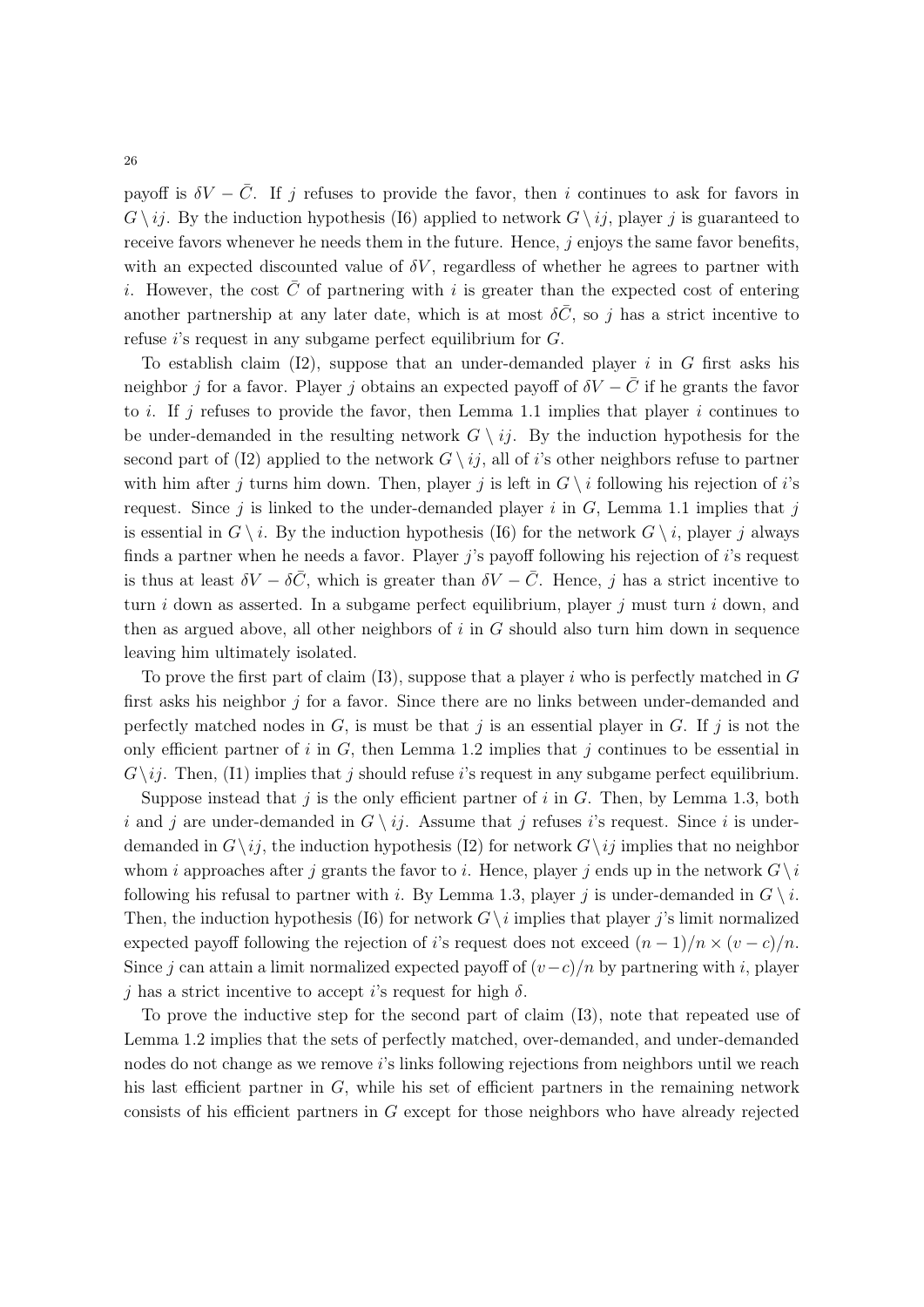payoff is  $\delta V - \bar{C}$ . If *j* refuses to provide the favor, then *i* continues to ask for favors in  $G \setminus ij$ . By the induction hypothesis (I6) applied to network  $G \setminus ij$ , player *j* is guaranteed to receive favors whenever he needs them in the future. Hence, *j* enjoys the same favor benefits, with an expected discounted value of  $\delta V$ , regardless of whether he agrees to partner with *i*. However, the cost C of partnering with *i* is greater than the expected cost of entering another partnership at any later date, which is at most  $\delta \bar{C}$ , so *j* has a strict incentive to refuse *i*'s request in any subgame perfect equilibrium for *G*.

To establish claim (I2), suppose that an under-demanded player *i* in *G* first asks his neighbor *j* for a favor. Player *j* obtains an expected payoff of  $\delta V - \bar{C}$  if he grants the favor to *i*. If *j* refuses to provide the favor, then Lemma 1.1 implies that player *i* continues to be under-demanded in the resulting network  $G \setminus i\dot{\jmath}$ . By the induction hypothesis for the second part of (I2) applied to the network  $G \setminus i_j$ , all of *i*'s other neighbors refuse to partner with him after *j* turns him down. Then, player *j* is left in  $G \setminus i$  following his rejection of *i*'s request. Since  $j$  is linked to the under-demanded player  $i$  in  $G$ , Lemma 1.1 implies that  $j$ is essential in  $G \setminus i$ . By the induction hypothesis (I6) for the network  $G \setminus i$ , player *j* always finds a partner when he needs a favor. Player *j*'s payoff following his rejection of *i*'s request is thus at least  $\delta V - \delta \bar{C}$ , which is greater than  $\delta V - \bar{C}$ . Hence, *j* has a strict incentive to turn *i* down as asserted. In a subgame perfect equilibrium, player *j* must turn *i* down, and then as argued above, all other neighbors of *i* in *G* should also turn him down in sequence leaving him ultimately isolated.

To prove the first part of claim (I3), suppose that a player *i* who is perfectly matched in *G* first asks his neighbor *j* for a favor. Since there are no links between under-demanded and perfectly matched nodes in  $G$ , is must be that  $j$  is an essential player in  $G$ . If  $j$  is not the only efficient partner of *i* in *G*, then Lemma 1.2 implies that *j* continues to be essential in  $G\backslash i$ . Then, (I1) implies that *j* should refuse *i*'s request in any subgame perfect equilibrium.

Suppose instead that *j* is the only efficient partner of *i* in *G*. Then, by Lemma 1.3, both *i* and *j* are under-demanded in  $G \setminus ij$ . Assume that *j* refuses *i*'s request. Since *i* is underdemanded in  $G \setminus ij$ , the induction hypothesis (I2) for network  $G \setminus ij$  implies that no neighbor whom *i* approaches after *j* grants the favor to *i*. Hence, player *j* ends up in the network  $G \setminus i$ following his refusal to partner with *i*. By Lemma 1.3, player *j* is under-demanded in  $G \setminus i$ . Then, the induction hypothesis (I6) for network  $G \setminus i$  implies that player *j*'s limit normalized expected payoff following the rejection of *i*'s request does not exceed  $(n-1)/n \times (v-c)/n$ . Since *j* can attain a limit normalized expected payoff of  $(v-c)/n$  by partnering with *i*, player  $j$  has a strict incentive to accept *i*'s request for high  $\delta$ .

To prove the inductive step for the second part of claim (I3), note that repeated use of Lemma 1.2 implies that the sets of perfectly matched, over-demanded, and under-demanded nodes do not change as we remove *i*'s links following rejections from neighbors until we reach his last efficient partner in *G*, while his set of efficient partners in the remaining network consists of his efficient partners in *G* except for those neighbors who have already rejected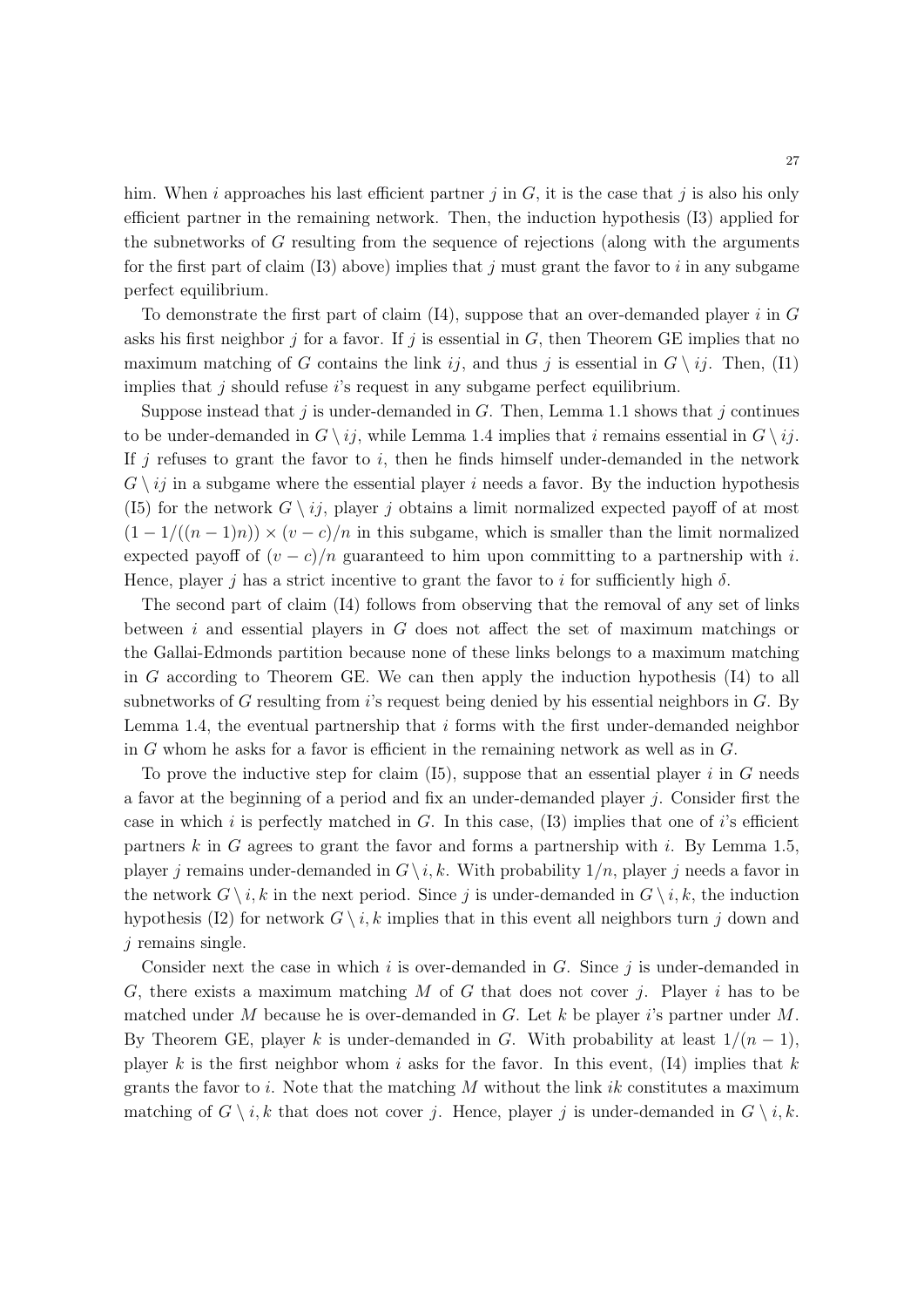him. When *i* approaches his last efficient partner *j* in *G*, it is the case that *j* is also his only efficient partner in the remaining network. Then, the induction hypothesis (I3) applied for the subnetworks of *G* resulting from the sequence of rejections (along with the arguments for the first part of claim (I3) above) implies that *j* must grant the favor to *i* in any subgame perfect equilibrium.

To demonstrate the first part of claim (I4), suppose that an over-demanded player *i* in *G* asks his first neighbor  $j$  for a favor. If  $j$  is essential in  $G$ , then Theorem GE implies that no maximum matching of *G* contains the link  $ij$ , and thus *j* is essential in  $G \setminus ij$ . Then, (I1) implies that *j* should refuse *i*'s request in any subgame perfect equilibrium.

Suppose instead that *j* is under-demanded in *G*. Then, Lemma 1.1 shows that *j* continues to be under-demanded in  $G \setminus i_j$ , while Lemma 1.4 implies that *i* remains essential in  $G \setminus i_j$ . If *j* refuses to grant the favor to *i*, then he finds himself under-demanded in the network  $G \setminus i_j$  in a subgame where the essential player *i* needs a favor. By the induction hypothesis (I5) for the network  $G \setminus i_j$ , player *j* obtains a limit normalized expected payoff of at most  $(1 - 1/((n - 1)n)) \times (v - c)/n$  in this subgame, which is smaller than the limit normalized expected payoff of  $(v - c)/n$  guaranteed to him upon committing to a partnership with *i*. Hence, player *j* has a strict incentive to grant the favor to *i* for sufficiently high  $\delta$ .

The second part of claim (I4) follows from observing that the removal of any set of links between *i* and essential players in *G* does not affect the set of maximum matchings or the Gallai-Edmonds partition because none of these links belongs to a maximum matching in *G* according to Theorem GE. We can then apply the induction hypothesis (I4) to all subnetworks of *G* resulting from *i*'s request being denied by his essential neighbors in *G*. By Lemma 1.4, the eventual partnership that *i* forms with the first under-demanded neighbor in *G* whom he asks for a favor is efficient in the remaining network as well as in *G*.

To prove the inductive step for claim (I5), suppose that an essential player *i* in *G* needs a favor at the beginning of a period and fix an under-demanded player *j*. Consider first the case in which *i* is perfectly matched in *G*. In this case, (I3) implies that one of *i*'s efficient partners *k* in *G* agrees to grant the favor and forms a partnership with *i*. By Lemma 1.5, player *j* remains under-demanded in  $G \setminus i, k$ . With probability  $1/n$ , player *j* needs a favor in the network  $G \setminus i, k$  in the next period. Since *j* is under-demanded in  $G \setminus i, k$ , the induction hypothesis (I2) for network  $G \setminus i, k$  implies that in this event all neighbors turn *j* down and *j* remains single.

Consider next the case in which *i* is over-demanded in *G*. Since *j* is under-demanded in *G*, there exists a maximum matching *M* of *G* that does not cover *j*. Player *i* has to be matched under *M* because he is over-demanded in *G*. Let *k* be player *i*'s partner under *M*. By Theorem GE, player *k* is under-demanded in *G*. With probability at least  $1/(n-1)$ , player  $k$  is the first neighbor whom  $i$  asks for the favor. In this event, (14) implies that  $k$ grants the favor to *i*. Note that the matching *M* without the link *ik* constitutes a maximum matching of  $G \setminus i, k$  that does not cover *j*. Hence, player *j* is under-demanded in  $G \setminus i, k$ .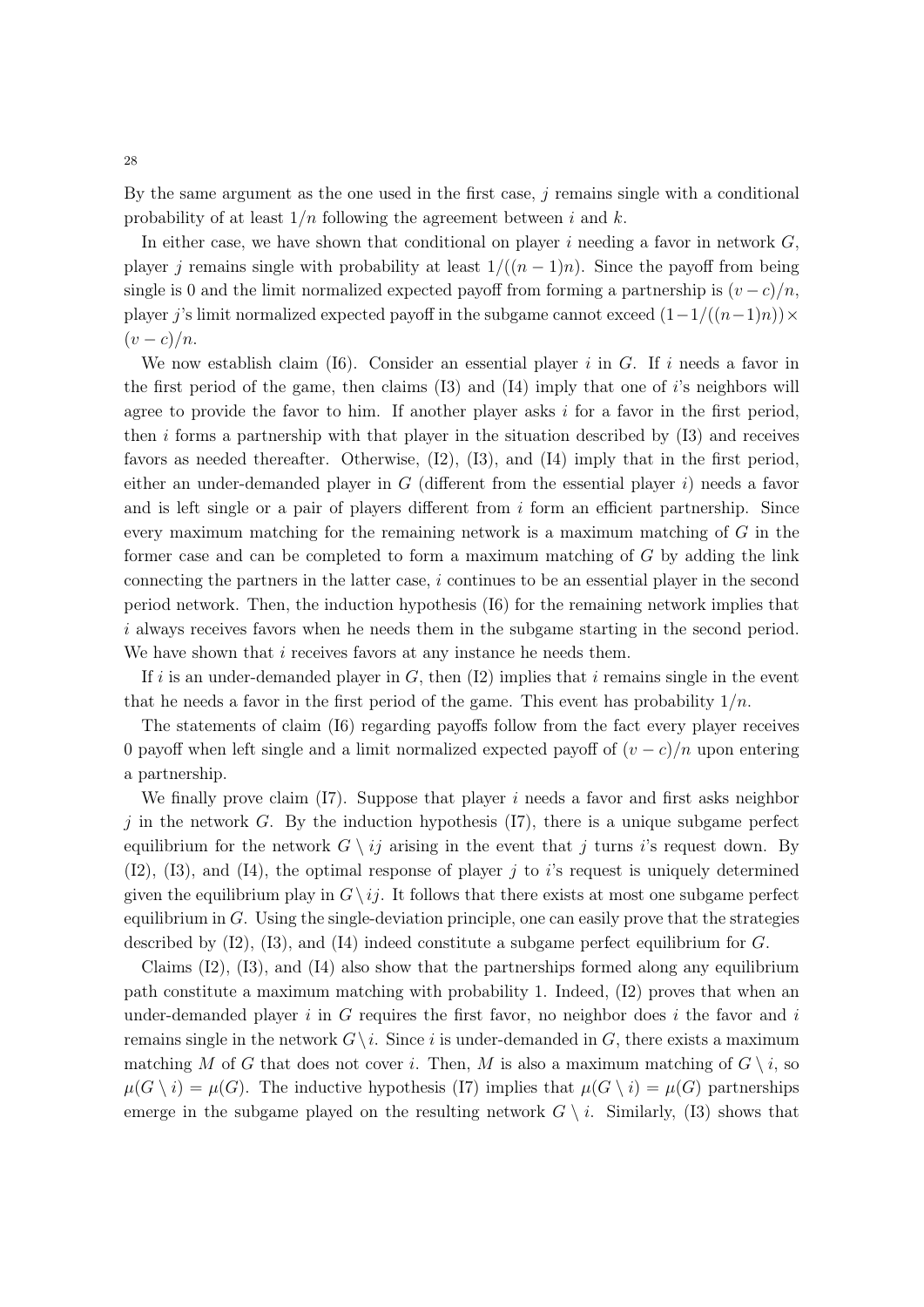By the same argument as the one used in the first case,  $j$  remains single with a conditional probability of at least 1*/n* following the agreement between *i* and *k*.

In either case, we have shown that conditional on player *i* needing a favor in network *G*, player *j* remains single with probability at least  $1/((n-1)n)$ . Since the payoff from being single is 0 and the limit normalized expected payoff from forming a partnership is  $(v-c)/n$ , player *j*'s limit normalized expected payoff in the subgame cannot exceed  $(1-1/((n-1)n)) \times$  $(v-c)/n$ .

We now establish claim (I6). Consider an essential player *i* in *G*. If *i* needs a favor in the first period of the game, then claims (I3) and (I4) imply that one of *i*'s neighbors will agree to provide the favor to him. If another player asks *i* for a favor in the first period, then *i* forms a partnership with that player in the situation described by (I3) and receives favors as needed thereafter. Otherwise, (I2), (I3), and (I4) imply that in the first period, either an under-demanded player in *G* (different from the essential player *i*) needs a favor and is left single or a pair of players different from *i* form an efficient partnership. Since every maximum matching for the remaining network is a maximum matching of *G* in the former case and can be completed to form a maximum matching of *G* by adding the link connecting the partners in the latter case, *i* continues to be an essential player in the second period network. Then, the induction hypothesis (I6) for the remaining network implies that *i* always receives favors when he needs them in the subgame starting in the second period. We have shown that *i* receives favors at any instance he needs them.

If  $i$  is an under-demanded player in  $G$ , then  $(12)$  implies that  $i$  remains single in the event that he needs a favor in the first period of the game. This event has probability  $1/n$ .

The statements of claim (I6) regarding payoffs follow from the fact every player receives 0 payoff when left single and a limit normalized expected payoff of  $(v - c)/n$  upon entering a partnership.

We finally prove claim  $(I7)$ . Suppose that player *i* needs a favor and first asks neighbor *j* in the network *G*. By the induction hypothesis (I7), there is a unique subgame perfect equilibrium for the network  $G \setminus ij$  arising in the event that *j* turns *i*'s request down. By (I2), (I3), and (I4), the optimal response of player *j* to *i*'s request is uniquely determined given the equilibrium play in  $G \setminus i_j$ . It follows that there exists at most one subgame perfect equilibrium in *G*. Using the single-deviation principle, one can easily prove that the strategies described by (I2), (I3), and (I4) indeed constitute a subgame perfect equilibrium for *G*.

Claims  $(12)$ ,  $(13)$ , and  $(14)$  also show that the partnerships formed along any equilibrium path constitute a maximum matching with probability 1. Indeed, (I2) proves that when an under-demanded player *i* in *G* requires the first favor, no neighbor does *i* the favor and *i* remains single in the network  $G \setminus i$ . Since *i* is under-demanded in *G*, there exists a maximum matching *M* of *G* that does not cover *i*. Then, *M* is also a maximum matching of  $G \setminus i$ , so  $\mu(G \setminus i) = \mu(G)$ . The inductive hypothesis (I7) implies that  $\mu(G \setminus i) = \mu(G)$  partnerships emerge in the subgame played on the resulting network  $G \setminus i$ . Similarly, (13) shows that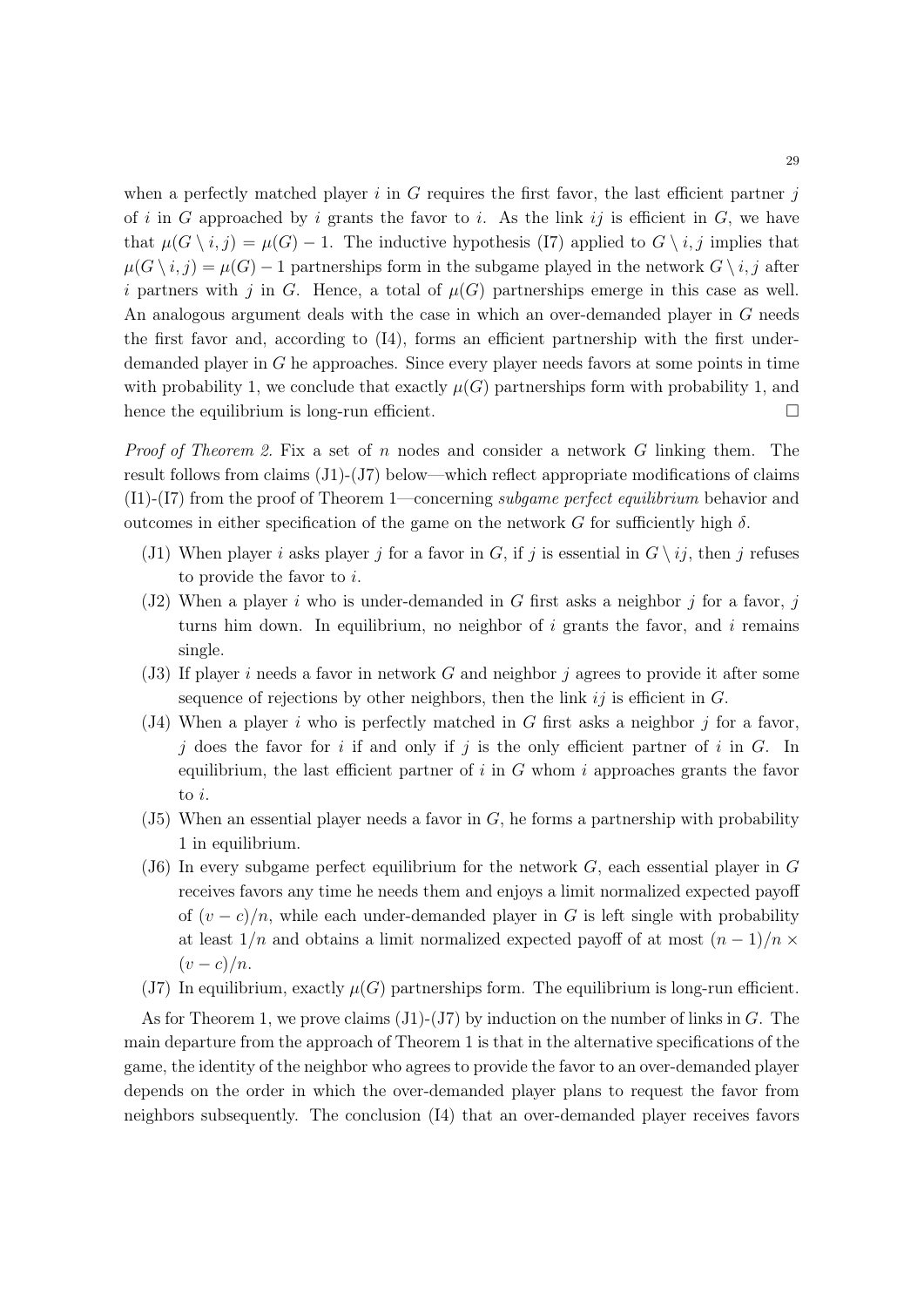when a perfectly matched player *i* in *G* requires the first favor, the last efficient partner *j* of  $i$  in  $G$  approached by  $i$  grants the favor to  $i$ . As the link  $ij$  is efficient in  $G$ , we have that  $\mu(G \setminus i, j) = \mu(G) - 1$ . The inductive hypothesis (I7) applied to  $G \setminus i, j$  implies that  $\mu(G \setminus i, j) = \mu(G) - 1$  partnerships form in the subgame played in the network  $G \setminus i, j$  after *i* partners with *j* in *G*. Hence, a total of  $\mu(G)$  partnerships emerge in this case as well. An analogous argument deals with the case in which an over-demanded player in *G* needs the first favor and, according to (I4), forms an efficient partnership with the first underdemanded player in *G* he approaches. Since every player needs favors at some points in time with probability 1, we conclude that exactly  $\mu(G)$  partnerships form with probability 1, and hence the equilibrium is long-run efficient.  $\Box$ 

*Proof of Theorem 2.* Fix a set of *n* nodes and consider a network *G* linking them. The result follows from claims (J1)-(J7) below—which reflect appropriate modifications of claims (I1)-(I7) from the proof of Theorem 1—concerning *subgame perfect equilibrium* behavior and outcomes in either specification of the game on the network  $G$  for sufficiently high  $\delta$ .

- (J1) When player *i* asks player *j* for a favor in *G*, if *j* is essential in  $G \setminus i j$ , then *j* refuses to provide the favor to *i*.
- (J2) When a player *i* who is under-demanded in *G* first asks a neighbor *j* for a favor, *j* turns him down. In equilibrium, no neighbor of *i* grants the favor, and *i* remains single.
- (J3) If player *i* needs a favor in network *G* and neighbor *j* agrees to provide it after some sequence of rejections by other neighbors, then the link *ij* is efficient in *G*.
- (J4) When a player *i* who is perfectly matched in *G* first asks a neighbor *j* for a favor, *j* does the favor for *i* if and only if *j* is the only efficient partner of *i* in *G*. In equilibrium, the last efficient partner of  $i$  in  $G$  whom  $i$  approaches grants the favor to *i*.
- (J5) When an essential player needs a favor in *G*, he forms a partnership with probability 1 in equilibrium.
- (J6) In every subgame perfect equilibrium for the network *G*, each essential player in *G* receives favors any time he needs them and enjoys a limit normalized expected payoff of  $(v - c)/n$ , while each under-demanded player in *G* is left single with probability at least  $1/n$  and obtains a limit normalized expected payoff of at most  $(n-1)/n \times$  $(v - c)/n$ .
- (J7) In equilibrium, exactly  $\mu(G)$  partnerships form. The equilibrium is long-run efficient.

As for Theorem 1, we prove claims (J1)-(J7) by induction on the number of links in *G*. The main departure from the approach of Theorem 1 is that in the alternative specifications of the game, the identity of the neighbor who agrees to provide the favor to an over-demanded player depends on the order in which the over-demanded player plans to request the favor from neighbors subsequently. The conclusion (I4) that an over-demanded player receives favors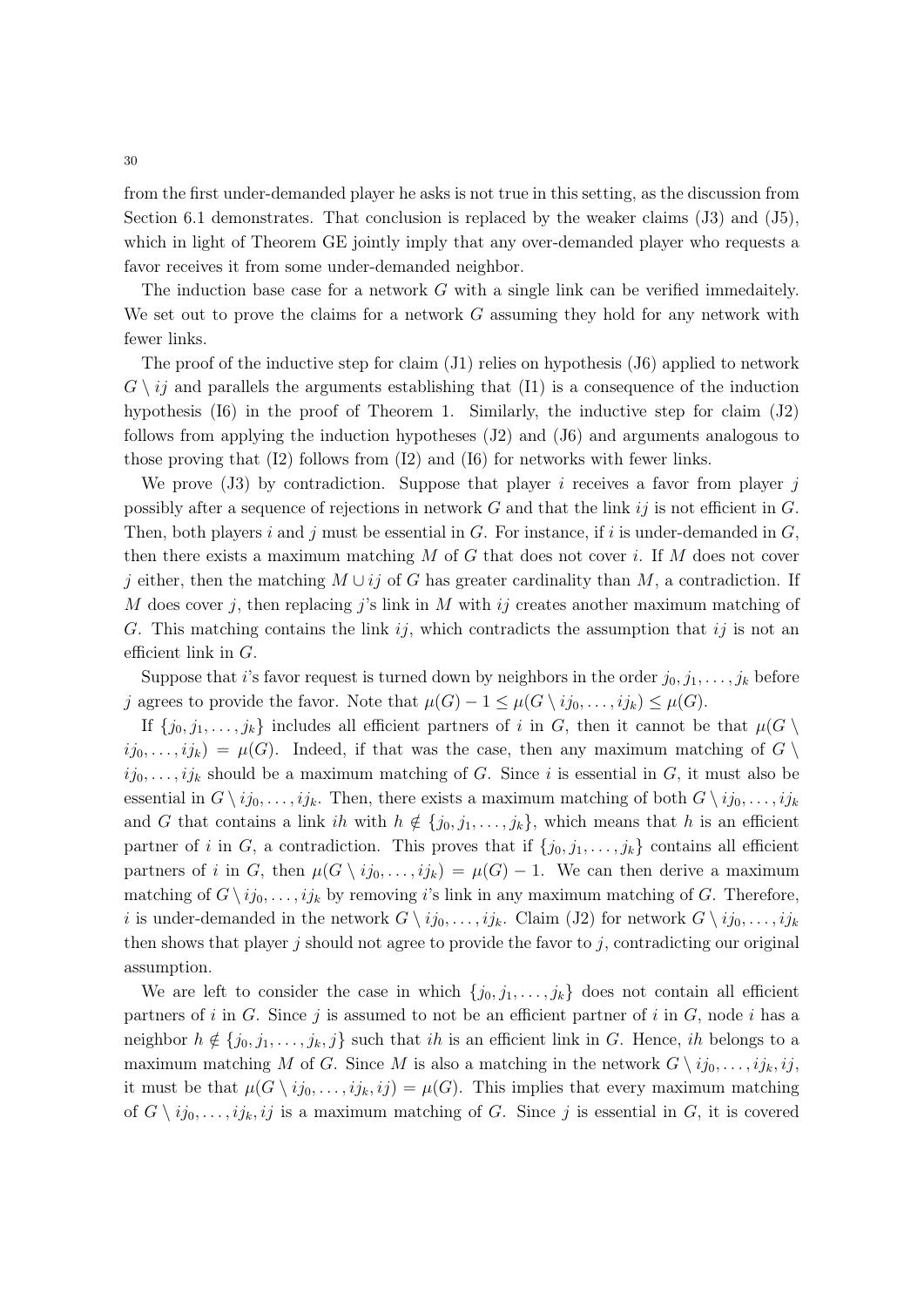from the first under-demanded player he asks is not true in this setting, as the discussion from Section 6.1 demonstrates. That conclusion is replaced by the weaker claims (J3) and (J5), which in light of Theorem GE jointly imply that any over-demanded player who requests a favor receives it from some under-demanded neighbor.

The induction base case for a network *G* with a single link can be verified immedaitely. We set out to prove the claims for a network *G* assuming they hold for any network with fewer links.

The proof of the inductive step for claim  $(J1)$  relies on hypothesis  $(J6)$  applied to network  $G \setminus i_j$  and parallels the arguments establishing that  $(11)$  is a consequence of the induction hypothesis (I6) in the proof of Theorem 1. Similarly, the inductive step for claim (J2) follows from applying the induction hypotheses (J2) and (J6) and arguments analogous to those proving that (I2) follows from (I2) and (I6) for networks with fewer links.

We prove (J3) by contradiction. Suppose that player *i* receives a favor from player *j* possibly after a sequence of rejections in network *G* and that the link *ij* is not efficient in *G*. Then, both players *i* and *j* must be essential in *G*. For instance, if *i* is under-demanded in *G*, then there exists a maximum matching *M* of *G* that does not cover *i*. If *M* does not cover *j* either, then the matching  $M \cup ij$  of *G* has greater cardinality than  $M$ , a contradiction. If *M* does cover *j*, then replacing *j*'s link in *M* with *ij* creates another maximum matching of *G*. This matching contains the link *ij*, which contradicts the assumption that *ij* is not an efficient link in *G*.

Suppose that *i*'s favor request is turned down by neighbors in the order  $j_0, j_1, \ldots, j_k$  before *j* agrees to provide the favor. Note that  $\mu(G) - 1 \leq \mu(G \setminus ij_0, \ldots, ij_k) \leq \mu(G)$ .

If  $\{j_0, j_1, \ldots, j_k\}$  includes all efficient partners of *i* in *G*, then it cannot be that  $\mu(G \setminus$  $ij_0, \ldots, i j_k$  =  $\mu(G)$ . Indeed, if that was the case, then any maximum matching of  $G \setminus$  $ij_0, \ldots, i j_k$  should be a maximum matching of *G*. Since *i* is essential in *G*, it must also be essential in  $G \setminus ij_0, \ldots, ij_k$ . Then, there exists a maximum matching of both  $G \setminus ij_0, \ldots, ij_k$ and *G* that contains a link *ih* with  $h \notin \{j_0, j_1, \ldots, j_k\}$ , which means that *h* is an efficient partner of *i* in *G*, a contradiction. This proves that if  $\{j_0, j_1, \ldots, j_k\}$  contains all efficient partners of *i* in *G*, then  $\mu(G \setminus ij_0, \ldots, ij_k) = \mu(G) - 1$ . We can then derive a maximum matching of  $G \setminus i j_0, \ldots, i j_k$  by removing *i*'s link in any maximum matching of *G*. Therefore, *i* is under-demanded in the network  $G \setminus ij_0, \ldots, ij_k$ . Claim (J2) for network  $G \setminus ij_0, \ldots, ij_k$ then shows that player *j* should not agree to provide the favor to *j*, contradicting our original assumption.

We are left to consider the case in which  $\{j_0, j_1, \ldots, j_k\}$  does not contain all efficient partners of  $i$  in  $G$ . Since  $j$  is assumed to not be an efficient partner of  $i$  in  $G$ , node  $i$  has a neighbor  $h \notin \{j_0, j_1, \ldots, j_k, j\}$  such that *ih* is an efficient link in *G*. Hence, *ih* belongs to a maximum matching *M* of *G*. Since *M* is also a matching in the network  $G \setminus ij_0, \ldots, ij_k, ij$ , it must be that  $\mu(G \setminus ij_0, \ldots, ij_k, ij) = \mu(G)$ . This implies that every maximum matching of  $G \setminus ij_0, \ldots, ij_k, ij$  is a maximum matching of *G*. Since *j* is essential in *G*, it is covered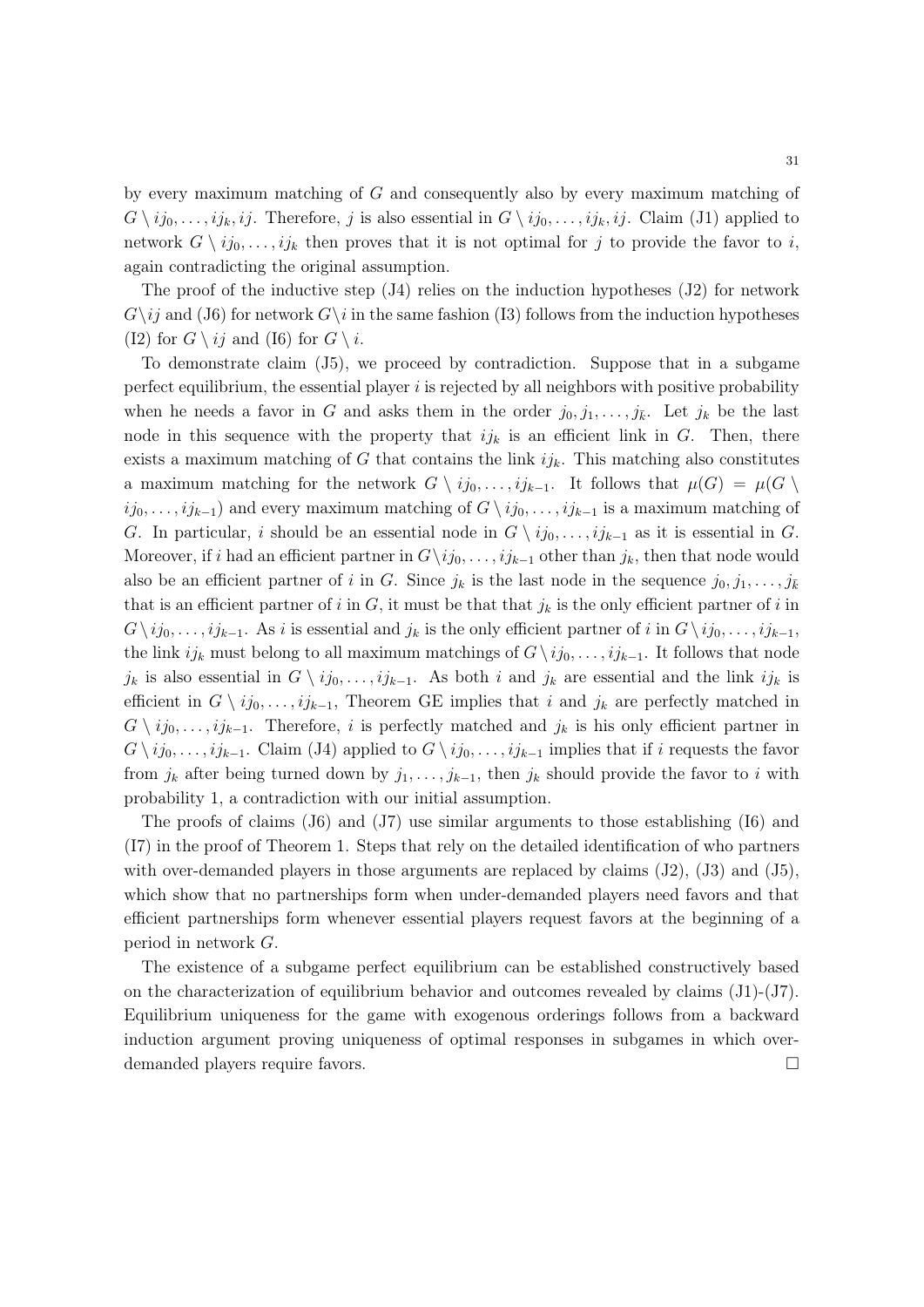by every maximum matching of *G* and consequently also by every maximum matching of  $G \setminus ij_0, \ldots, ij_k, ij$ . Therefore, *j* is also essential in  $G \setminus ij_0, \ldots, ij_k, ij$ . Claim (J1) applied to network  $G \setminus ij_0, \ldots, ij_k$  then proves that it is not optimal for *j* to provide the favor to *i*, again contradicting the original assumption.

The proof of the inductive step  $(J4)$  relies on the induction hypotheses  $(J2)$  for network  $G\$ i *G*<sup> $\$ </sup> in the same fashion (I3) follows from the induction hypotheses (I2) for  $G \setminus ij$  and (I6) for  $G \setminus i$ .

To demonstrate claim (J5), we proceed by contradiction. Suppose that in a subgame perfect equilibrium, the essential player *i* is rejected by all neighbors with positive probability when he needs a favor in *G* and asks them in the order  $j_0, j_1, \ldots, j_{\bar{k}}$ . Let  $j_k$  be the last node in this sequence with the property that  $ijk$  is an efficient link in *G*. Then, there exists a maximum matching of  $G$  that contains the link  $ijk$ . This matching also constitutes a maximum matching for the network  $G \setminus ij_0, \ldots, ij_{k-1}$ . It follows that  $\mu(G) = \mu(G \setminus j_0, \ldots, j_k)$  $ij_0, \ldots, i j_{k-1}$  and every maximum matching of  $G \setminus i j_0, \ldots, i j_{k-1}$  is a maximum matching of *G*. In particular, *i* should be an essential node in  $G \setminus ij_0, \ldots, ij_{k-1}$  as it is essential in *G*. Moreover, if *i* had an efficient partner in  $G\backslash i j_0, \ldots, i j_{k-1}$  other than  $j_k$ , then that node would also be an efficient partner of *i* in *G*. Since  $j_k$  is the last node in the sequence  $j_0, j_1, \ldots, j_{\bar{k}}$ that is an efficient partner of  $i$  in  $G$ , it must be that that  $j_k$  is the only efficient partner of  $i$  in  $G \setminus ij_0, \ldots, ij_{k-1}$ . As *i* is essential and  $j_k$  is the only efficient partner of *i* in  $G \setminus ij_0, \ldots, ij_{k-1}$ , the link  $ij_k$  must belong to all maximum matchings of  $G \setminus ij_0, \ldots, ij_{k-1}$ . It follows that node  $j_k$  is also essential in  $G \setminus ij_0, \ldots, ij_{k-1}$ . As both *i* and  $j_k$  are essential and the link  $ij_k$  is efficient in  $G \setminus ij_0, \ldots, ij_{k-1}$ , Theorem GE implies that *i* and  $j_k$  are perfectly matched in  $G \setminus ij_0, \ldots, ij_{k-1}$ . Therefore, *i* is perfectly matched and  $j_k$  is his only efficient partner in  $G \setminus ij_0, \ldots, ij_{k-1}$ . Claim (J4) applied to  $G \setminus ij_0, \ldots, ij_{k-1}$  implies that if *i* requests the favor from  $j_k$  after being turned down by  $j_1, \ldots, j_{k-1}$ , then  $j_k$  should provide the favor to *i* with probability 1, a contradiction with our initial assumption.

The proofs of claims (J6) and (J7) use similar arguments to those establishing (I6) and (I7) in the proof of Theorem 1. Steps that rely on the detailed identification of who partners with over-demanded players in those arguments are replaced by claims  $(J2)$ ,  $(J3)$  and  $(J5)$ , which show that no partnerships form when under-demanded players need favors and that efficient partnerships form whenever essential players request favors at the beginning of a period in network *G*.

The existence of a subgame perfect equilibrium can be established constructively based on the characterization of equilibrium behavior and outcomes revealed by claims (J1)-(J7). Equilibrium uniqueness for the game with exogenous orderings follows from a backward induction argument proving uniqueness of optimal responses in subgames in which overdemanded players require favors.  $\Box$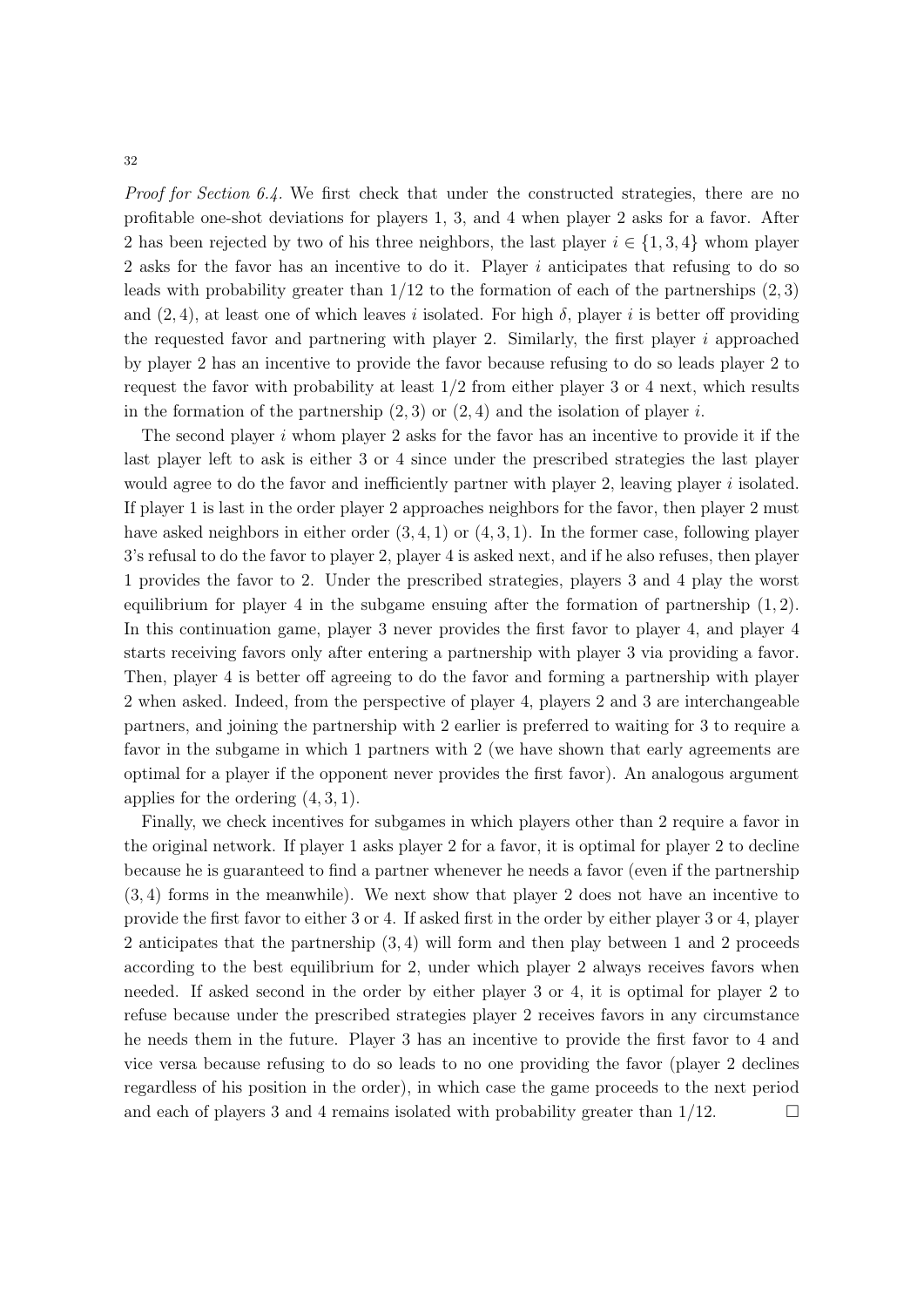*Proof for Section 6.4.* We first check that under the constructed strategies, there are no profitable one-shot deviations for players 1, 3, and 4 when player 2 asks for a favor. After 2 has been rejected by two of his three neighbors, the last player  $i \in \{1,3,4\}$  whom player 2 asks for the favor has an incentive to do it. Player *i* anticipates that refusing to do so leads with probability greater than 1*/*12 to the formation of each of the partnerships (2*,* 3) and  $(2, 4)$ , at least one of which leaves *i* isolated. For high  $\delta$ , player *i* is better off providing the requested favor and partnering with player 2. Similarly, the first player *i* approached by player 2 has an incentive to provide the favor because refusing to do so leads player 2 to request the favor with probability at least 1*/*2 from either player 3 or 4 next, which results in the formation of the partnership  $(2, 3)$  or  $(2, 4)$  and the isolation of player *i*.

The second player *i* whom player 2 asks for the favor has an incentive to provide it if the last player left to ask is either 3 or 4 since under the prescribed strategies the last player would agree to do the favor and inefficiently partner with player 2, leaving player *i* isolated. If player 1 is last in the order player 2 approaches neighbors for the favor, then player 2 must have asked neighbors in either order (3*,* 4*,* 1) or (4*,* 3*,* 1). In the former case, following player 3's refusal to do the favor to player 2, player 4 is asked next, and if he also refuses, then player 1 provides the favor to 2. Under the prescribed strategies, players 3 and 4 play the worst equilibrium for player 4 in the subgame ensuing after the formation of partnership (1*,* 2). In this continuation game, player 3 never provides the first favor to player 4, and player 4 starts receiving favors only after entering a partnership with player 3 via providing a favor. Then, player 4 is better off agreeing to do the favor and forming a partnership with player 2 when asked. Indeed, from the perspective of player 4, players 2 and 3 are interchangeable partners, and joining the partnership with 2 earlier is preferred to waiting for 3 to require a favor in the subgame in which 1 partners with 2 (we have shown that early agreements are optimal for a player if the opponent never provides the first favor). An analogous argument applies for the ordering (4*,* 3*,* 1).

Finally, we check incentives for subgames in which players other than 2 require a favor in the original network. If player 1 asks player 2 for a favor, it is optimal for player 2 to decline because he is guaranteed to find a partner whenever he needs a favor (even if the partnership (3*,* 4) forms in the meanwhile). We next show that player 2 does not have an incentive to provide the first favor to either 3 or 4. If asked first in the order by either player 3 or 4, player 2 anticipates that the partnership (3*,* 4) will form and then play between 1 and 2 proceeds according to the best equilibrium for 2, under which player 2 always receives favors when needed. If asked second in the order by either player 3 or 4, it is optimal for player 2 to refuse because under the prescribed strategies player 2 receives favors in any circumstance he needs them in the future. Player 3 has an incentive to provide the first favor to 4 and vice versa because refusing to do so leads to no one providing the favor (player 2 declines regardless of his position in the order), in which case the game proceeds to the next period and each of players 3 and 4 remains isolated with probability greater than  $1/12$ .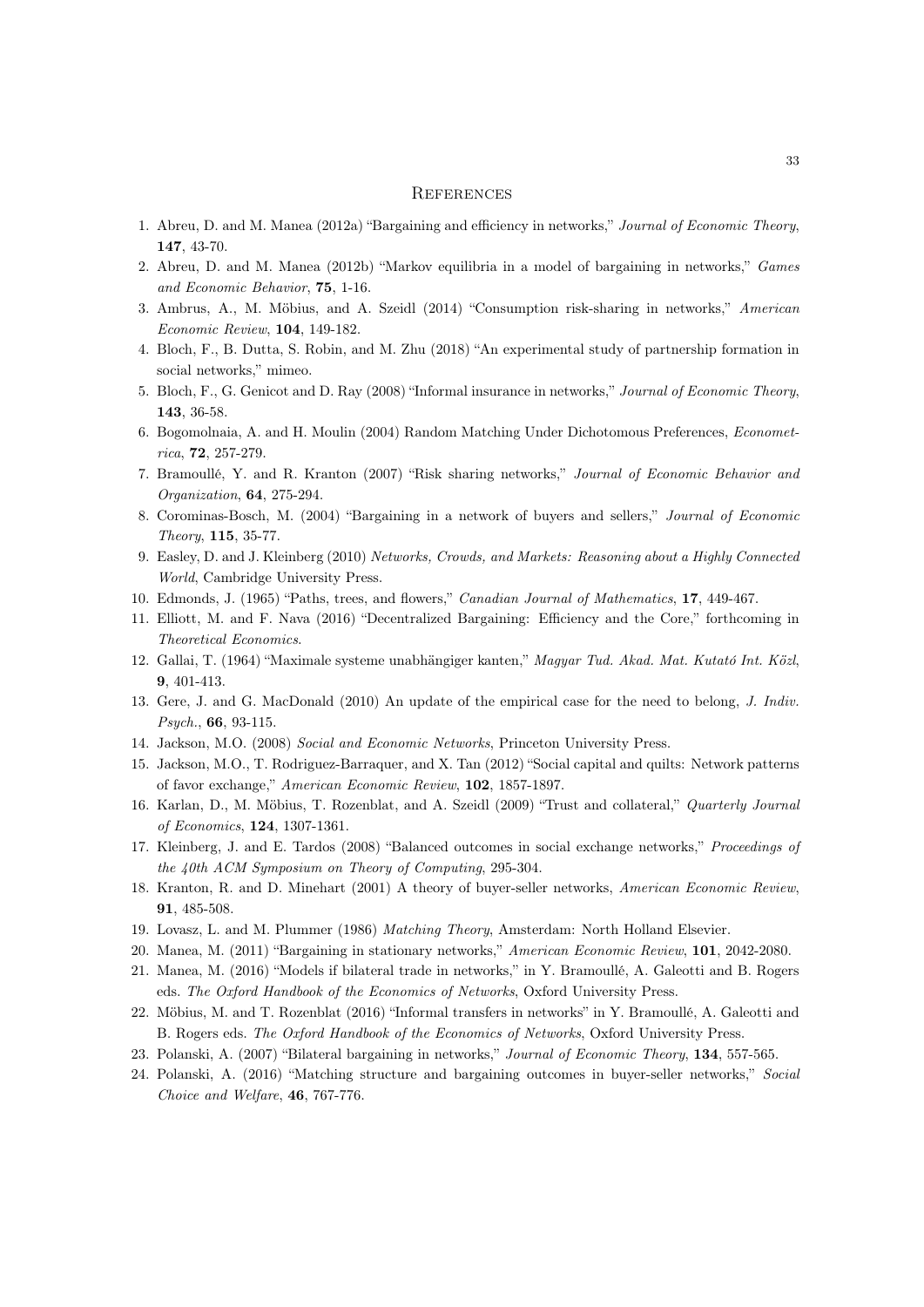#### **REFERENCES**

- 1. Abreu, D. and M. Manea (2012a) "Bargaining and efficiency in networks," *Journal of Economic Theory*, 147, 43-70.
- 2. Abreu, D. and M. Manea (2012b) "Markov equilibria in a model of bargaining in networks," *Games and Economic Behavior*, 75, 1-16.
- 3. Ambrus, A., M. Möbius, and A. Szeidl (2014) "Consumption risk-sharing in networks," *American Economic Review*, 104, 149-182.
- 4. Bloch, F., B. Dutta, S. Robin, and M. Zhu (2018) "An experimental study of partnership formation in social networks," mimeo.
- 5. Bloch, F., G. Genicot and D. Ray (2008) "Informal insurance in networks," *Journal of Economic Theory*, 143, 36-58.
- 6. Bogomolnaia, A. and H. Moulin (2004) Random Matching Under Dichotomous Preferences, *Econometrica*, 72, 257-279.
- 7. Bramoullé, Y. and R. Kranton (2007) "Risk sharing networks," *Journal of Economic Behavior and Organization*, 64, 275-294.
- 8. Corominas-Bosch, M. (2004) "Bargaining in a network of buyers and sellers," *Journal of Economic Theory*, 115, 35-77.
- 9. Easley, D. and J. Kleinberg (2010) *Networks, Crowds, and Markets: Reasoning about a Highly Connected World*, Cambridge University Press.
- 10. Edmonds, J. (1965) "Paths, trees, and flowers," *Canadian Journal of Mathematics*, 17, 449-467.
- 11. Elliott, M. and F. Nava (2016) "Decentralized Bargaining: Efficiency and the Core," forthcoming in *Theoretical Economics*.
- 12. Gallai, T. (1964) "Maximale systeme unabhängiger kanten," *Magyar Tud. Akad. Mat. Kutató Int. Közl*, 9, 401-413.
- 13. Gere, J. and G. MacDonald (2010) An update of the empirical case for the need to belong, *J. Indiv. Psych.*, 66, 93-115.
- 14. Jackson, M.O. (2008) *Social and Economic Networks*, Princeton University Press.
- 15. Jackson, M.O., T. Rodriguez-Barraquer, and X. Tan (2012) "Social capital and quilts: Network patterns of favor exchange," *American Economic Review*, 102, 1857-1897.
- 16. Karlan, D., M. Möbius, T. Rozenblat, and A. Szeidl (2009) "Trust and collateral," *Quarterly Journal of Economics*, 124, 1307-1361.
- 17. Kleinberg, J. and E. Tardos (2008) "Balanced outcomes in social exchange networks," *Proceedings of the 40th ACM Symposium on Theory of Computing*, 295-304.
- 18. Kranton, R. and D. Minehart (2001) A theory of buyer-seller networks, *American Economic Review*, 91, 485-508.
- 19. Lovasz, L. and M. Plummer (1986) *Matching Theory*, Amsterdam: North Holland Elsevier.
- 20. Manea, M. (2011) "Bargaining in stationary networks," *American Economic Review*, 101, 2042-2080.
- 21. Manea, M. (2016) "Models if bilateral trade in networks," in Y. Bramoullé, A. Galeotti and B. Rogers eds. *The Oxford Handbook of the Economics of Networks*, Oxford University Press.
- 22. Möbius, M. and T. Rozenblat (2016) "Informal transfers in networks" in Y. Bramoullé, A. Galeotti and B. Rogers eds. *The Oxford Handbook of the Economics of Networks*, Oxford University Press.
- 23. Polanski, A. (2007) "Bilateral bargaining in networks," *Journal of Economic Theory*, 134, 557-565.
- 24. Polanski, A. (2016) "Matching structure and bargaining outcomes in buyer-seller networks," *Social Choice and Welfare*, 46, 767-776.